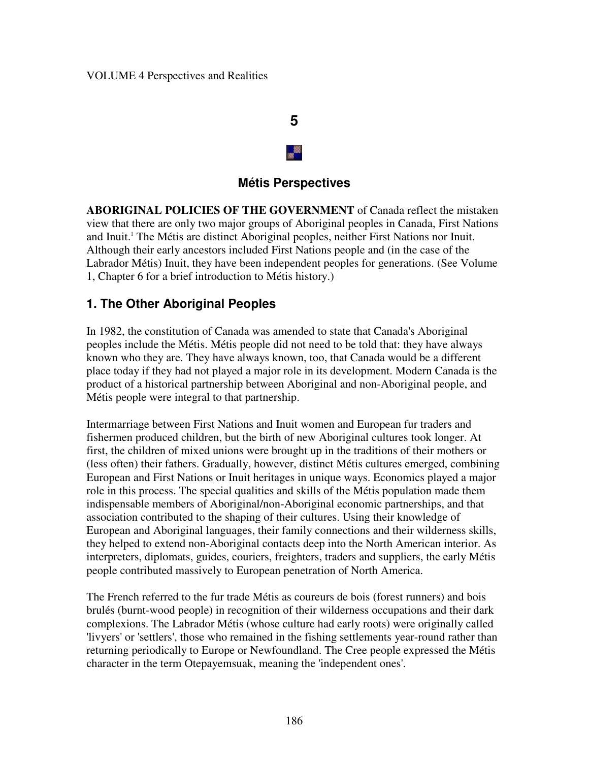# **5** ÷

# **Métis Perspectives**

**ABORIGINAL POLICIES OF THE GOVERNMENT** of Canada reflect the mistaken view that there are only two major groups of Aboriginal peoples in Canada, First Nations and Inuit. <sup>1</sup> The Métis are distinct Aboriginal peoples, neither First Nations nor Inuit. Although their early ancestors included First Nations people and (in the case of the Labrador Métis) Inuit, they have been independent peoples for generations. (See Volume 1, Chapter 6 for a brief introduction to Métis history.)

# **1. The Other Aboriginal Peoples**

In 1982, the constitution of Canada was amended to state that Canada's Aboriginal peoples include the Métis. Métis people did not need to be told that: they have always known who they are. They have always known, too, that Canada would be a different place today if they had not played a major role in its development. Modern Canada is the product of a historical partnership between Aboriginal and non-Aboriginal people, and Métis people were integral to that partnership.

Intermarriage between First Nations and Inuit women and European fur traders and fishermen produced children, but the birth of new Aboriginal cultures took longer. At first, the children of mixed unions were brought up in the traditions of their mothers or (less often) their fathers. Gradually, however, distinct Métis cultures emerged, combining European and First Nations or Inuit heritages in unique ways. Economics played a major role in this process. The special qualities and skills of the Métis population made them indispensable members of Aboriginal/non-Aboriginal economic partnerships, and that association contributed to the shaping of their cultures. Using their knowledge of European and Aboriginal languages, their family connections and their wilderness skills, they helped to extend non-Aboriginal contacts deep into the North American interior. As interpreters, diplomats, guides, couriers, freighters, traders and suppliers, the early Métis people contributed massively to European penetration of North America.

The French referred to the fur trade Métis as coureurs de bois (forest runners) and bois brulés (burnt-wood people) in recognition of their wilderness occupations and their dark complexions. The Labrador Métis (whose culture had early roots) were originally called 'livyers' or 'settlers', those who remained in the fishing settlements year-round rather than returning periodically to Europe or Newfoundland. The Cree people expressed the Métis character in the term Otepayemsuak, meaning the 'independent ones'.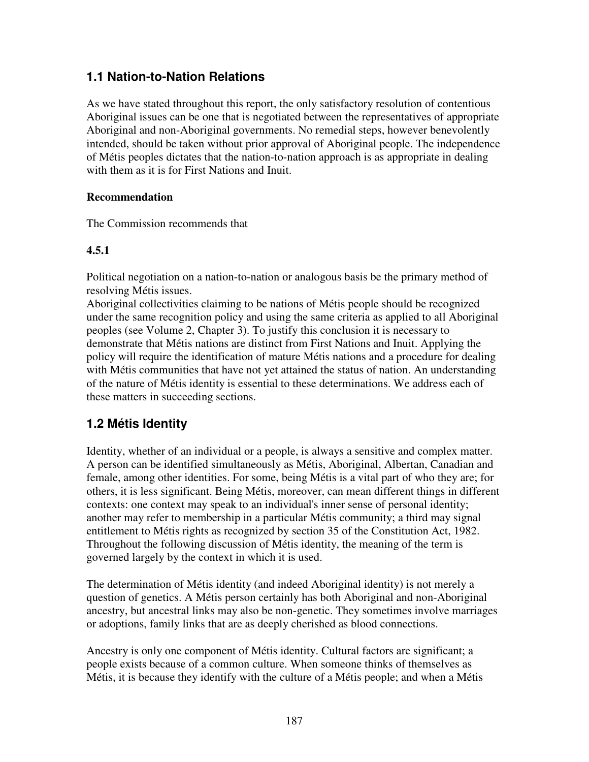# **1.1 Nation-to-Nation Relations**

As we have stated throughout this report, the only satisfactory resolution of contentious Aboriginal issues can be one that is negotiated between the representatives of appropriate Aboriginal and non-Aboriginal governments. No remedial steps, however benevolently intended, should be taken without prior approval of Aboriginal people. The independence of Métis peoples dictates that the nation-to-nation approach is as appropriate in dealing with them as it is for First Nations and Inuit.

#### **Recommendation**

The Commission recommends that

#### **4.5.1**

Political negotiation on a nation-to-nation or analogous basis be the primary method of resolving Métis issues.

Aboriginal collectivities claiming to be nations of Métis people should be recognized under the same recognition policy and using the same criteria as applied to all Aboriginal peoples (see Volume 2, Chapter 3). To justify this conclusion it is necessary to demonstrate that Métis nations are distinct from First Nations and Inuit. Applying the policy will require the identification of mature Métis nations and a procedure for dealing with Métis communities that have not yet attained the status of nation. An understanding of the nature of Métis identity is essential to these determinations. We address each of these matters in succeeding sections.

# **1.2 Métis Identity**

Identity, whether of an individual or a people, is always a sensitive and complex matter. A person can be identified simultaneously as Métis, Aboriginal, Albertan, Canadian and female, among other identities. For some, being Métis is a vital part of who they are; for others, it is less significant. Being Métis, moreover, can mean different things in different contexts: one context may speak to an individual's inner sense of personal identity; another may refer to membership in a particular Métis community; a third may signal entitlement to Métis rights as recognized by section 35 of the Constitution Act, 1982. Throughout the following discussion of Métis identity, the meaning of the term is governed largely by the context in which it is used.

The determination of Métis identity (and indeed Aboriginal identity) is not merely a question of genetics. A Métis person certainly has both Aboriginal and non-Aboriginal ancestry, but ancestral links may also be non-genetic. They sometimes involve marriages or adoptions, family links that are as deeply cherished as blood connections.

Ancestry is only one component of Métis identity. Cultural factors are significant; a people exists because of a common culture. When someone thinks of themselves as Métis, it is because they identify with the culture of a Métis people; and when a Métis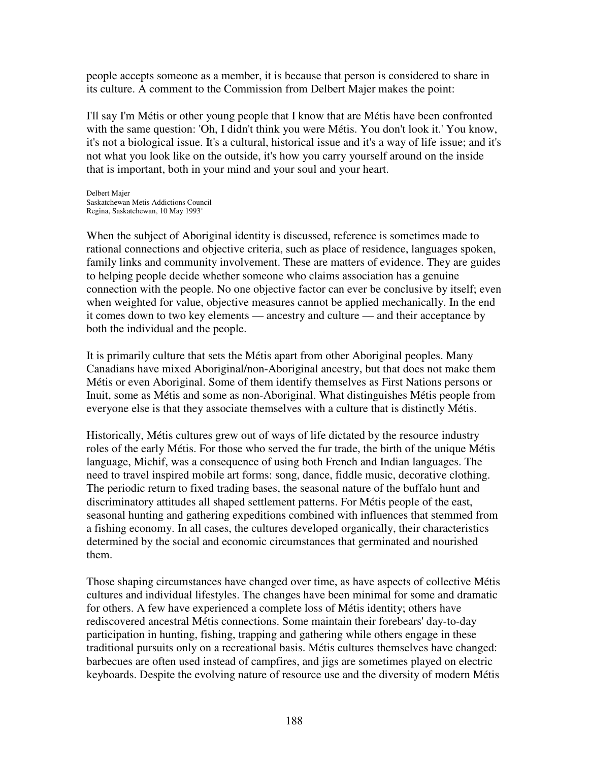people accepts someone as a member, it is because that person is considered to share in its culture. A comment to the Commission from Delbert Majer makes the point:

I'll say I'm Métis or other young people that I know that are Métis have been confronted with the same question: 'Oh, I didn't think you were Métis. You don't look it.' You know, it's not a biological issue. It's a cultural, historical issue and it's a way of life issue; and it's not what you look like on the outside, it's how you carry yourself around on the inside that is important, both in your mind and your soul and your heart.

Delbert Majer Saskatchewan Metis Addictions Council Regina, Saskatchewan, 10 May 1993 \*

When the subject of Aboriginal identity is discussed, reference is sometimes made to rational connections and objective criteria, such as place of residence, languages spoken, family links and community involvement. These are matters of evidence. They are guides to helping people decide whether someone who claims association has a genuine connection with the people. No one objective factor can ever be conclusive by itself; even when weighted for value, objective measures cannot be applied mechanically. In the end it comes down to two key elements — ancestry and culture — and their acceptance by both the individual and the people.

It is primarily culture that sets the Métis apart from other Aboriginal peoples. Many Canadians have mixed Aboriginal/non-Aboriginal ancestry, but that does not make them Métis or even Aboriginal. Some of them identify themselves as First Nations persons or Inuit, some as Métis and some as non-Aboriginal. What distinguishes Métis people from everyone else is that they associate themselves with a culture that is distinctly Métis.

Historically, Métis cultures grew out of ways of life dictated by the resource industry roles of the early Métis. For those who served the fur trade, the birth of the unique Métis language, Michif, was a consequence of using both French and Indian languages. The need to travel inspired mobile art forms: song, dance, fiddle music, decorative clothing. The periodic return to fixed trading bases, the seasonal nature of the buffalo hunt and discriminatory attitudes all shaped settlement patterns. For Métis people of the east, seasonal hunting and gathering expeditions combined with influences that stemmed from a fishing economy. In all cases, the cultures developed organically, their characteristics determined by the social and economic circumstances that germinated and nourished them.

Those shaping circumstances have changed over time, as have aspects of collective Métis cultures and individual lifestyles. The changes have been minimal for some and dramatic for others. A few have experienced a complete loss of Métis identity; others have rediscovered ancestral Métis connections. Some maintain their forebears' day-to-day participation in hunting, fishing, trapping and gathering while others engage in these traditional pursuits only on a recreational basis. Métis cultures themselves have changed: barbecues are often used instead of campfires, and jigs are sometimes played on electric keyboards. Despite the evolving nature of resource use and the diversity of modern Métis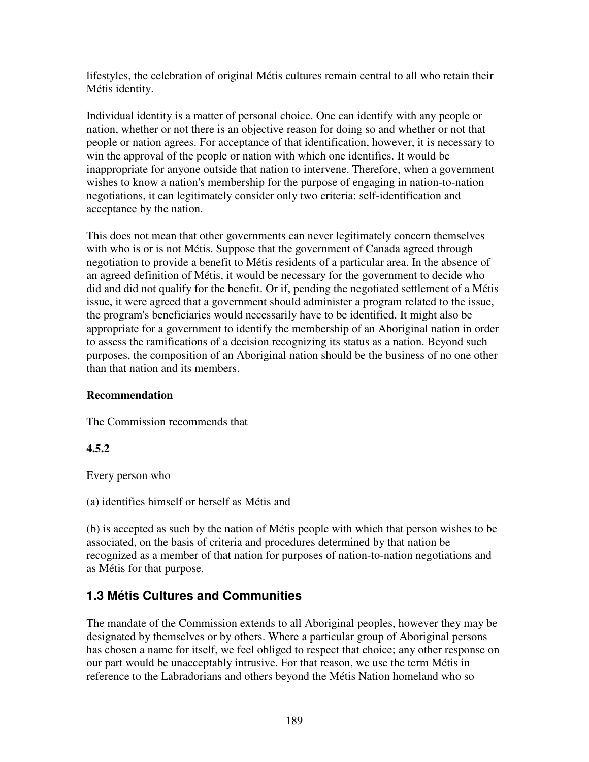lifestyles, the celebration of original Métis cultures remain central to all who retain their Métis identity.

Individual identity is a matter of personal choice. One can identify with any people or nation, whether or not there is an objective reason for doing so and whether or not that people or nation agrees. For acceptance of that identification, however, it is necessary to win the approval of the people or nation with which one identifies. It would be inappropriate for anyone outside that nation to intervene. Therefore, when a government wishes to know a nation's membership for the purpose of engaging in nation-to-nation negotiations, it can legitimately consider only two criteria: self-identification and acceptance by the nation.

This does not mean that other governments can never legitimately concern themselves with who is or is not Métis. Suppose that the government of Canada agreed through negotiation to provide a benefit to Métis residents of a particular area. In the absence of an agreed definition of Métis, it would be necessary for the government to decide who did and did not qualify for the benefit. Or if, pending the negotiated settlement of a Métis issue, it were agreed that a government should administer a program related to the issue, the program's beneficiaries would necessarily have to be identified. It might also be appropriate for a government to identify the membership of an Aboriginal nation in order to assess the ramifications of a decision recognizing its status as a nation. Beyond such purposes, the composition of an Aboriginal nation should be the business of no one other than that nation and its members.

#### **Recommendation**

The Commission recommends that

# **4.5.2**

Every person who

(a) identifies himself or herself as Métis and

(b) is accepted as such by the nation of Métis people with which that person wishes to be associated, on the basis of criteria and procedures determined by that nation be recognized as a member of that nation for purposes of nation-to-nation negotiations and as Métis for that purpose.

# **1.3 Métis Cultures and Communities**

The mandate of the Commission extends to all Aboriginal peoples, however they may be designated by themselves or by others. Where a particular group of Aboriginal persons has chosen a name for itself, we feel obliged to respect that choice; any other response on our part would be unacceptably intrusive. For that reason, we use the term Métis in reference to the Labradorians and others beyond the Métis Nation homeland who so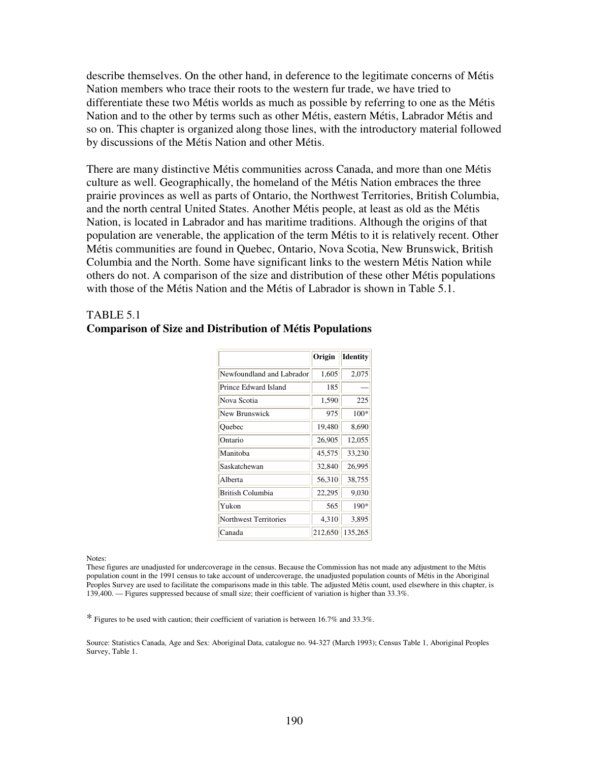describe themselves. On the other hand, in deference to the legitimate concerns of Métis Nation members who trace their roots to the western fur trade, we have tried to differentiate these two Métis worlds as much as possible by referring to one as the Métis Nation and to the other by terms such as other Métis, eastern Métis, Labrador Métis and so on. This chapter is organized along those lines, with the introductory material followed by discussions of the Métis Nation and other Métis.

There are many distinctive Métis communities across Canada, and more than one Métis culture as well. Geographically, the homeland of the Métis Nation embraces the three prairie provinces as well as parts of Ontario, the Northwest Territories, British Columbia, and the north central United States. Another Métis people, at least as old as the Métis Nation, is located in Labrador and has maritime traditions. Although the origins of that population are venerable, the application of the term Métis to it is relatively recent. Other Métis communities are found in Quebec, Ontario, Nova Scotia, New Brunswick, British Columbia and the North. Some have significant links to the western Métis Nation while others do not. A comparison of the size and distribution of these other Métis populations with those of the Métis Nation and the Métis of Labrador is shown in Table 5.1.

#### TABLE 5.1 **Comparison of Size and Distribution of Métis Populations**

|                              | Origin  | <b>Identity</b> |
|------------------------------|---------|-----------------|
| Newfoundland and Labrador    | 1,605   | 2,075           |
| Prince Edward Island         | 185     |                 |
| Nova Scotia                  | 1,590   | 225             |
| New Brunswick                | 975     | $100*$          |
| Quebec                       | 19,480  | 8,690           |
| Ontario                      | 26,905  | 12,055          |
| Manitoba                     | 45,575  | 33,230          |
| Saskatchewan                 | 32,840  | 26,995          |
| Alberta                      | 56,310  | 38,755          |
| British Columbia             | 22,295  | 9,030           |
| Yukon                        | 565     | 190*            |
| <b>Northwest Territories</b> | 4,310   | 3,895           |
| Canada                       | 212,650 | 135,265         |

Notes:

These figures are unadjusted for undercoverage in the census. Because the Commission has not made any adjustment to the Métis population count in the 1991 census to take account of undercoverage, the unadjusted population counts of Métis in the Aboriginal Peoples Survey are used to facilitate the comparisons made in this table. The adjusted Métis count, used elsewhere in this chapter, is 139,400. — Figures suppressed because of small size; their coefficient of variation is higher than 33.3%.

\* Figures to be used with caution; their coefficient of variation is between 16.7% and 33.3%.

Source: Statistics Canada, Age and Sex: Aboriginal Data, catalogue no. 94-327 (March 1993); Census Table 1, Aboriginal Peoples Survey, Table 1.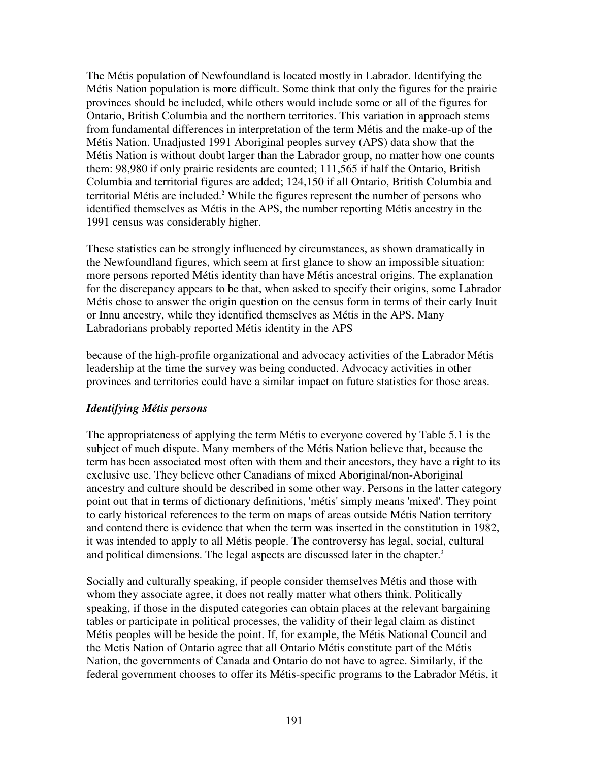The Métis population of Newfoundland is located mostly in Labrador. Identifying the Métis Nation population is more difficult. Some think that only the figures for the prairie provinces should be included, while others would include some or all of the figures for Ontario, British Columbia and the northern territories. This variation in approach stems from fundamental differences in interpretation of the term Métis and the make-up of the Métis Nation. Unadjusted 1991 Aboriginal peoples survey (APS) data show that the Métis Nation is without doubt larger than the Labrador group, no matter how one counts them: 98,980 if only prairie residents are counted; 111,565 if half the Ontario, British Columbia and territorial figures are added; 124,150 if all Ontario, British Columbia and territorial Métis are included. <sup>2</sup> While the figures represent the number of persons who identified themselves as Métis in the APS, the number reporting Métis ancestry in the 1991 census was considerably higher.

These statistics can be strongly influenced by circumstances, as shown dramatically in the Newfoundland figures, which seem at first glance to show an impossible situation: more persons reported Métis identity than have Métis ancestral origins. The explanation for the discrepancy appears to be that, when asked to specify their origins, some Labrador Métis chose to answer the origin question on the census form in terms of their early Inuit or Innu ancestry, while they identified themselves as Métis in the APS. Many Labradorians probably reported Métis identity in the APS

because of the high-profile organizational and advocacy activities of the Labrador Métis leadership at the time the survey was being conducted. Advocacy activities in other provinces and territories could have a similar impact on future statistics for those areas.

# *Identifying Métis persons*

The appropriateness of applying the term Métis to everyone covered by Table 5.1 is the subject of much dispute. Many members of the Métis Nation believe that, because the term has been associated most often with them and their ancestors, they have a right to its exclusive use. They believe other Canadians of mixed Aboriginal/non-Aboriginal ancestry and culture should be described in some other way. Persons in the latter category point out that in terms of dictionary definitions, 'métis' simply means 'mixed'. They point to early historical references to the term on maps of areas outside Métis Nation territory and contend there is evidence that when the term was inserted in the constitution in 1982, it was intended to apply to all Métis people. The controversy has legal, social, cultural and political dimensions. The legal aspects are discussed later in the chapter.<sup>3</sup>

Socially and culturally speaking, if people consider themselves Métis and those with whom they associate agree, it does not really matter what others think. Politically speaking, if those in the disputed categories can obtain places at the relevant bargaining tables or participate in political processes, the validity of their legal claim as distinct Métis peoples will be beside the point. If, for example, the Métis National Council and the Metis Nation of Ontario agree that all Ontario Métis constitute part of the Métis Nation, the governments of Canada and Ontario do not have to agree. Similarly, if the federal government chooses to offer its Métis-specific programs to the Labrador Métis, it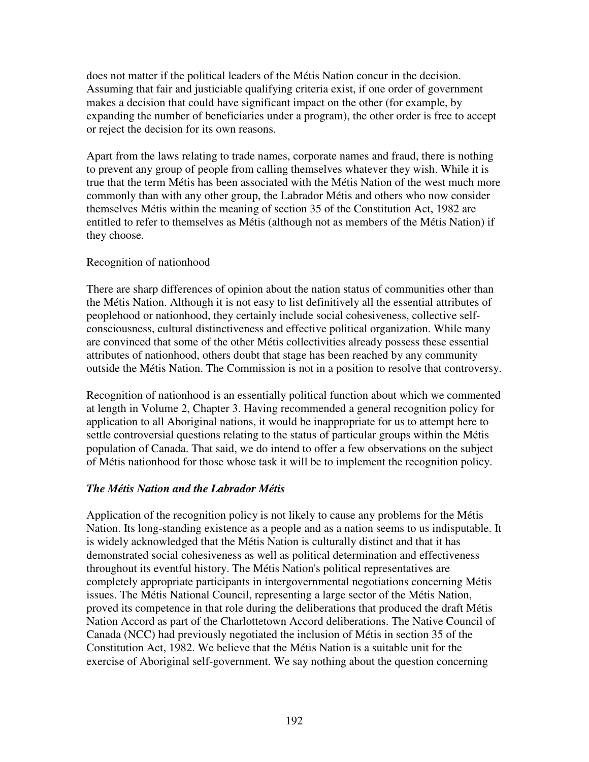does not matter if the political leaders of the Métis Nation concur in the decision. Assuming that fair and justiciable qualifying criteria exist, if one order of government makes a decision that could have significant impact on the other (for example, by expanding the number of beneficiaries under a program), the other order is free to accept or reject the decision for its own reasons.

Apart from the laws relating to trade names, corporate names and fraud, there is nothing to prevent any group of people from calling themselves whatever they wish. While it is true that the term Métis has been associated with the Métis Nation of the west much more commonly than with any other group, the Labrador Métis and others who now consider themselves Métis within the meaning of section 35 of the Constitution Act, 1982 are entitled to refer to themselves as Métis (although not as members of the Métis Nation) if they choose.

#### Recognition of nationhood

There are sharp differences of opinion about the nation status of communities other than the Métis Nation. Although it is not easy to list definitively all the essential attributes of peoplehood or nationhood, they certainly include social cohesiveness, collective selfconsciousness, cultural distinctiveness and effective political organization. While many are convinced that some of the other Métis collectivities already possess these essential attributes of nationhood, others doubt that stage has been reached by any community outside the Métis Nation. The Commission is not in a position to resolve that controversy.

Recognition of nationhood is an essentially political function about which we commented at length in Volume 2, Chapter 3. Having recommended a general recognition policy for application to all Aboriginal nations, it would be inappropriate for us to attempt here to settle controversial questions relating to the status of particular groups within the Métis population of Canada. That said, we do intend to offer a few observations on the subject of Métis nationhood for those whose task it will be to implement the recognition policy.

#### *The Métis Nation and the Labrador Métis*

Application of the recognition policy is not likely to cause any problems for the Métis Nation. Its long-standing existence as a people and as a nation seems to us indisputable. It is widely acknowledged that the Métis Nation is culturally distinct and that it has demonstrated social cohesiveness as well as political determination and effectiveness throughout its eventful history. The Métis Nation's political representatives are completely appropriate participants in intergovernmental negotiations concerning Métis issues. The Métis National Council, representing a large sector of the Métis Nation, proved its competence in that role during the deliberations that produced the draft Métis Nation Accord as part of the Charlottetown Accord deliberations. The Native Council of Canada (NCC) had previously negotiated the inclusion of Métis in section 35 of the Constitution Act, 1982. We believe that the Métis Nation is a suitable unit for the exercise of Aboriginal self-government. We say nothing about the question concerning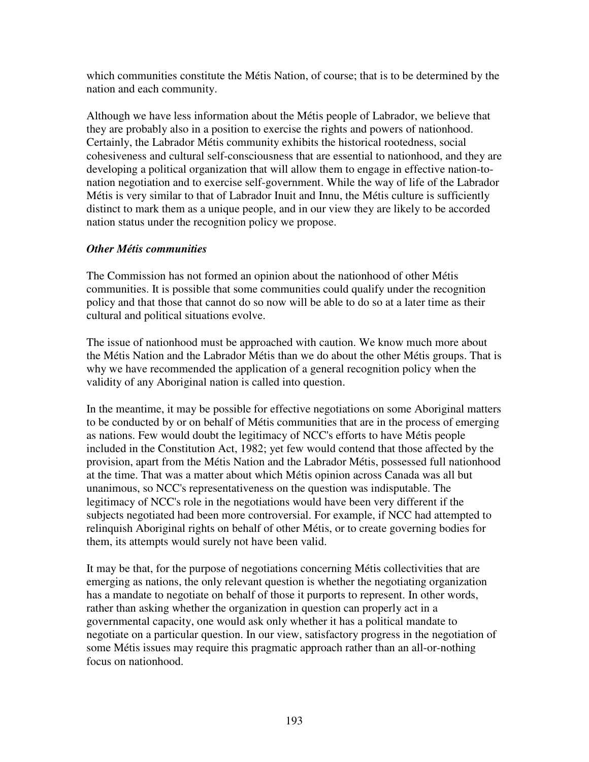which communities constitute the Métis Nation, of course; that is to be determined by the nation and each community.

Although we have less information about the Métis people of Labrador, we believe that they are probably also in a position to exercise the rights and powers of nationhood. Certainly, the Labrador Métis community exhibits the historical rootedness, social cohesiveness and cultural self-consciousness that are essential to nationhood, and they are developing a political organization that will allow them to engage in effective nation-tonation negotiation and to exercise self-government. While the way of life of the Labrador Métis is very similar to that of Labrador Inuit and Innu, the Métis culture is sufficiently distinct to mark them as a unique people, and in our view they are likely to be accorded nation status under the recognition policy we propose.

#### *Other Métis communities*

The Commission has not formed an opinion about the nationhood of other Métis communities. It is possible that some communities could qualify under the recognition policy and that those that cannot do so now will be able to do so at a later time as their cultural and political situations evolve.

The issue of nationhood must be approached with caution. We know much more about the Métis Nation and the Labrador Métis than we do about the other Métis groups. That is why we have recommended the application of a general recognition policy when the validity of any Aboriginal nation is called into question.

In the meantime, it may be possible for effective negotiations on some Aboriginal matters to be conducted by or on behalf of Métis communities that are in the process of emerging as nations. Few would doubt the legitimacy of NCC's efforts to have Métis people included in the Constitution Act, 1982; yet few would contend that those affected by the provision, apart from the Métis Nation and the Labrador Métis, possessed full nationhood at the time. That was a matter about which Métis opinion across Canada was all but unanimous, so NCC's representativeness on the question was indisputable. The legitimacy of NCC's role in the negotiations would have been very different if the subjects negotiated had been more controversial. For example, if NCC had attempted to relinquish Aboriginal rights on behalf of other Métis, or to create governing bodies for them, its attempts would surely not have been valid.

It may be that, for the purpose of negotiations concerning Métis collectivities that are emerging as nations, the only relevant question is whether the negotiating organization has a mandate to negotiate on behalf of those it purports to represent. In other words, rather than asking whether the organization in question can properly act in a governmental capacity, one would ask only whether it has a political mandate to negotiate on a particular question. In our view, satisfactory progress in the negotiation of some Métis issues may require this pragmatic approach rather than an all-or-nothing focus on nationhood.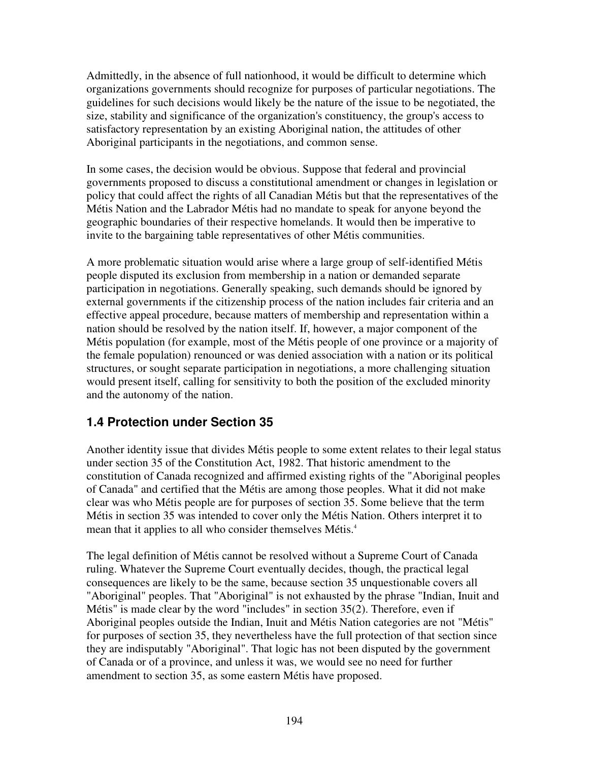Admittedly, in the absence of full nationhood, it would be difficult to determine which organizations governments should recognize for purposes of particular negotiations. The guidelines for such decisions would likely be the nature of the issue to be negotiated, the size, stability and significance of the organization's constituency, the group's access to satisfactory representation by an existing Aboriginal nation, the attitudes of other Aboriginal participants in the negotiations, and common sense.

In some cases, the decision would be obvious. Suppose that federal and provincial governments proposed to discuss a constitutional amendment or changes in legislation or policy that could affect the rights of all Canadian Métis but that the representatives of the Métis Nation and the Labrador Métis had no mandate to speak for anyone beyond the geographic boundaries of their respective homelands. It would then be imperative to invite to the bargaining table representatives of other Métis communities.

A more problematic situation would arise where a large group of self-identified Métis people disputed its exclusion from membership in a nation or demanded separate participation in negotiations. Generally speaking, such demands should be ignored by external governments if the citizenship process of the nation includes fair criteria and an effective appeal procedure, because matters of membership and representation within a nation should be resolved by the nation itself. If, however, a major component of the Métis population (for example, most of the Métis people of one province or a majority of the female population) renounced or was denied association with a nation or its political structures, or sought separate participation in negotiations, a more challenging situation would present itself, calling for sensitivity to both the position of the excluded minority and the autonomy of the nation.

# **1.4 Protection under Section 35**

Another identity issue that divides Métis people to some extent relates to their legal status under section 35 of the Constitution Act, 1982. That historic amendment to the constitution of Canada recognized and affirmed existing rights of the "Aboriginal peoples of Canada" and certified that the Métis are among those peoples. What it did not make clear was who Métis people are for purposes of section 35. Some believe that the term Métis in section 35 was intended to cover only the Métis Nation. Others interpret it to mean that it applies to all who consider themselves Métis. 4

The legal definition of Métis cannot be resolved without a Supreme Court of Canada ruling. Whatever the Supreme Court eventually decides, though, the practical legal consequences are likely to be the same, because section 35 unquestionable covers all "Aboriginal" peoples. That "Aboriginal" is not exhausted by the phrase "Indian, Inuit and Métis" is made clear by the word "includes" in section 35(2). Therefore, even if Aboriginal peoples outside the Indian, Inuit and Métis Nation categories are not "Métis" for purposes of section 35, they nevertheless have the full protection of that section since they are indisputably "Aboriginal". That logic has not been disputed by the government of Canada or of a province, and unless it was, we would see no need for further amendment to section 35, as some eastern Métis have proposed.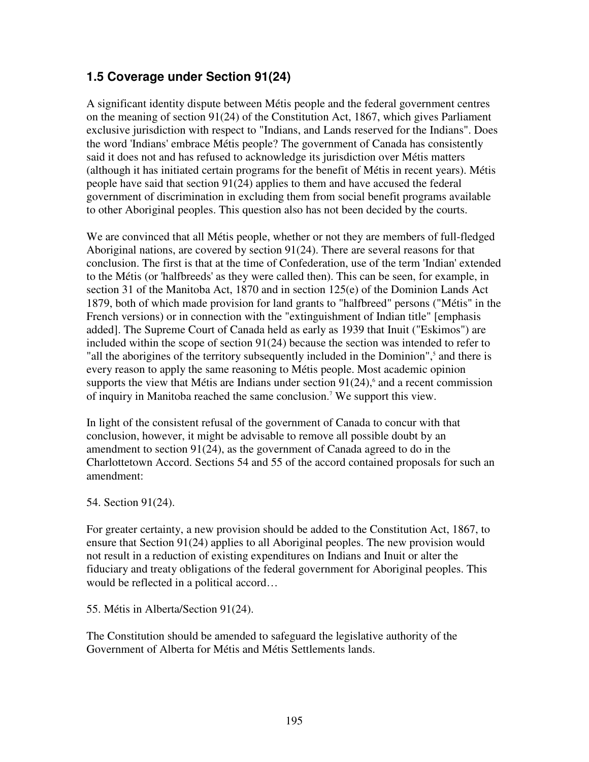# **1.5 Coverage under Section 91(24)**

A significant identity dispute between Métis people and the federal government centres on the meaning of section 91(24) of the Constitution Act, 1867, which gives Parliament exclusive jurisdiction with respect to "Indians, and Lands reserved for the Indians". Does the word 'Indians' embrace Métis people? The government of Canada has consistently said it does not and has refused to acknowledge its jurisdiction over Métis matters (although it has initiated certain programs for the benefit of Métis in recent years). Métis people have said that section 91(24) applies to them and have accused the federal government of discrimination in excluding them from social benefit programs available to other Aboriginal peoples. This question also has not been decided by the courts.

We are convinced that all Métis people, whether or not they are members of full-fledged Aboriginal nations, are covered by section 91(24). There are several reasons for that conclusion. The first is that at the time of Confederation, use of the term 'Indian' extended to the Métis (or 'halfbreeds' as they were called then). This can be seen, for example, in section 31 of the Manitoba Act, 1870 and in section 125(e) of the Dominion Lands Act 1879, both of which made provision for land grants to "halfbreed" persons ("Métis" in the French versions) or in connection with the "extinguishment of Indian title" [emphasis added]. The Supreme Court of Canada held as early as 1939 that Inuit ("Eskimos") are included within the scope of section 91(24) because the section was intended to refer to "all the aborigines of the territory subsequently included in the Dominion",<sup>5</sup> and there is every reason to apply the same reasoning to Métis people. Most academic opinion supports the view that Métis are Indians under section 91(24), 6 and a recent commission of inquiry in Manitoba reached the same conclusion. <sup>7</sup> We support this view.

In light of the consistent refusal of the government of Canada to concur with that conclusion, however, it might be advisable to remove all possible doubt by an amendment to section 91(24), as the government of Canada agreed to do in the Charlottetown Accord. Sections 54 and 55 of the accord contained proposals for such an amendment:

#### 54. Section 91(24).

For greater certainty, a new provision should be added to the Constitution Act, 1867, to ensure that Section 91(24) applies to all Aboriginal peoples. The new provision would not result in a reduction of existing expenditures on Indians and Inuit or alter the fiduciary and treaty obligations of the federal government for Aboriginal peoples. This would be reflected in a political accord...

55. Métis in Alberta/Section 91(24).

The Constitution should be amended to safeguard the legislative authority of the Government of Alberta for Métis and Métis Settlements lands.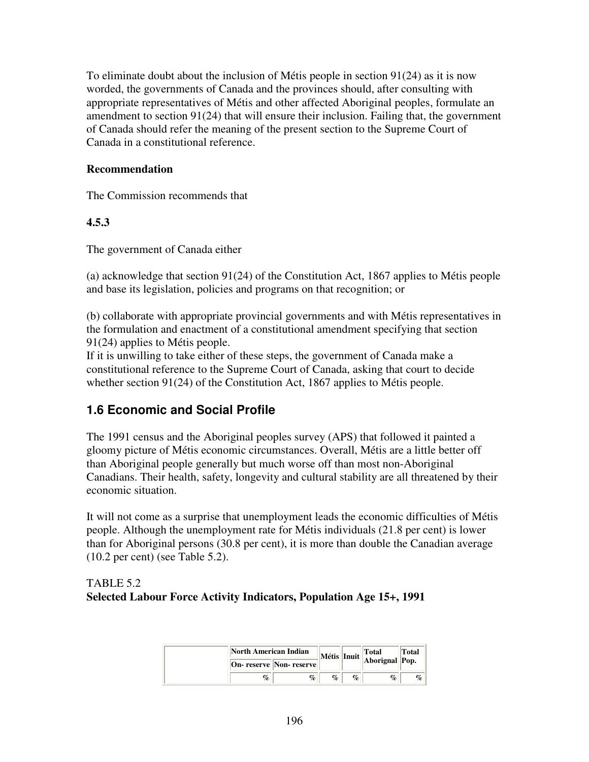To eliminate doubt about the inclusion of Métis people in section 91(24) as it is now worded, the governments of Canada and the provinces should, after consulting with appropriate representatives of Métis and other affected Aboriginal peoples, formulate an amendment to section 91(24) that will ensure their inclusion. Failing that, the government of Canada should refer the meaning of the present section to the Supreme Court of Canada in a constitutional reference.

#### **Recommendation**

The Commission recommends that

#### **4.5.3**

The government of Canada either

(a) acknowledge that section 91(24) of the Constitution Act, 1867 applies to Métis people and base its legislation, policies and programs on that recognition; or

(b) collaborate with appropriate provincial governments and with Métis representatives in the formulation and enactment of a constitutional amendment specifying that section 91(24) applies to Métis people.

If it is unwilling to take either of these steps, the government of Canada make a constitutional reference to the Supreme Court of Canada, asking that court to decide whether section 91(24) of the Constitution Act, 1867 applies to Métis people.

# **1.6 Economic and Social Profile**

The 1991 census and the Aboriginal peoples survey (APS) that followed it painted a gloomy picture of Métis economic circumstances. Overall, Métis are a little better off than Aboriginal people generally but much worse off than most non-Aboriginal Canadians. Their health, safety, longevity and cultural stability are all threatened by their economic situation.

It will not come as a surprise that unemployment leads the economic difficulties of Métis people. Although the unemployment rate for Métis individuals (21.8 per cent) is lower than for Aboriginal persons (30.8 per cent), it is more than double the Canadian average (10.2 per cent) (see Table 5.2).

### TABLE 5.2 **Selected Labour Force Activity Indicators, Population Age 15+, 1991**

| North American Indian |                                | Métis Inuit                 |                 | <b>Total</b>   | <b>Total</b>                |
|-----------------------|--------------------------------|-----------------------------|-----------------|----------------|-----------------------------|
|                       | On- reserve   Non- reserve   ' |                             |                 | Aborignal Pop. |                             |
| %                     | %                              | $\mathcal{G}_{\mathcal{D}}$ | $\mathcal{O}_0$ | %              | $\mathcal{O}_{\mathcal{O}}$ |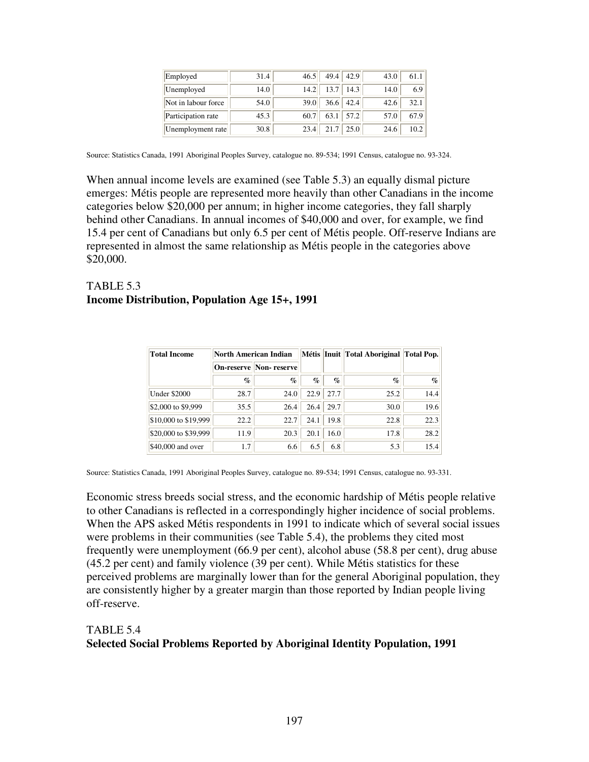| Employed            | 31.4 | 46.5 | 49.4 | 42.9 | 43.0 |      |
|---------------------|------|------|------|------|------|------|
| Unemployed          | 14.0 | 14.2 | 13.7 | 14.3 | 14.0 | 6.9  |
| Not in labour force | 54.0 | 39.0 | 36.6 | 42.4 | 42.6 | 32.1 |
| Participation rate  | 45.3 | 60.7 | 63.1 | 57.2 | 57.0 | 67.9 |
| Unemployment rate   | 30.8 | 23.4 | 21   | 25.0 | 24.6 | 10.2 |

Source: Statistics Canada, 1991 Aboriginal Peoples Survey, catalogue no. 89-534; 1991 Census, catalogue no. 93-324.

When annual income levels are examined (see Table 5.3) an equally dismal picture emerges: Métis people are represented more heavily than other Canadians in the income categories below \$20,000 per annum; in higher income categories, they fall sharply behind other Canadians. In annual incomes of \$40,000 and over, for example, we find 15.4 per cent of Canadians but only 6.5 per cent of Métis people. Off-reserve Indians are represented in almost the same relationship as Métis people in the categories above \$20,000.

#### TABLE 5.3 **Income Distribution, Population Age 15+, 1991**

| <b>Total Income</b>  | North American Indian |                                |      | Métis Inuit Total Aboriginal Total Pop. |      |      |
|----------------------|-----------------------|--------------------------------|------|-----------------------------------------|------|------|
|                      |                       | <b>On-reserve Non- reserve</b> |      |                                         |      |      |
|                      | $\%$                  | $\%$                           | $\%$ | $\%$                                    | $\%$ | $\%$ |
| <b>Under \$2000</b>  | 28.7                  | 24.0                           | 22.9 | 27.7                                    | 25.2 | 14.4 |
| \$2,000 to \$9,999   | 35.5                  | 26.4                           | 26.4 | 29.7                                    | 30.0 | 19.6 |
| \$10,000 to \$19,999 | 22.2                  | 22.7                           | 24.1 | 19.8                                    | 22.8 | 22.3 |
| \$20,000 to \$39,999 | 11.9                  | 20.3                           | 20.1 | 16.0                                    | 17.8 | 28.2 |
| \$40,000 and over    | 1.7                   | 6.6                            | 6.5  | 6.8                                     | 5.3  | 15.4 |

Source: Statistics Canada, 1991 Aboriginal Peoples Survey, catalogue no. 89-534; 1991 Census, catalogue no. 93-331.

Economic stress breeds social stress, and the economic hardship of Métis people relative to other Canadians is reflected in a correspondingly higher incidence of social problems. When the APS asked Métis respondents in 1991 to indicate which of several social issues were problems in their communities (see Table 5.4), the problems they cited most frequently were unemployment (66.9 per cent), alcohol abuse (58.8 per cent), drug abuse (45.2 per cent) and family violence (39 per cent). While Métis statistics for these perceived problems are marginally lower than for the general Aboriginal population, they are consistently higher by a greater margin than those reported by Indian people living off-reserve.

### TABLE 5.4 **Selected Social Problems Reported by Aboriginal Identity Population, 1991**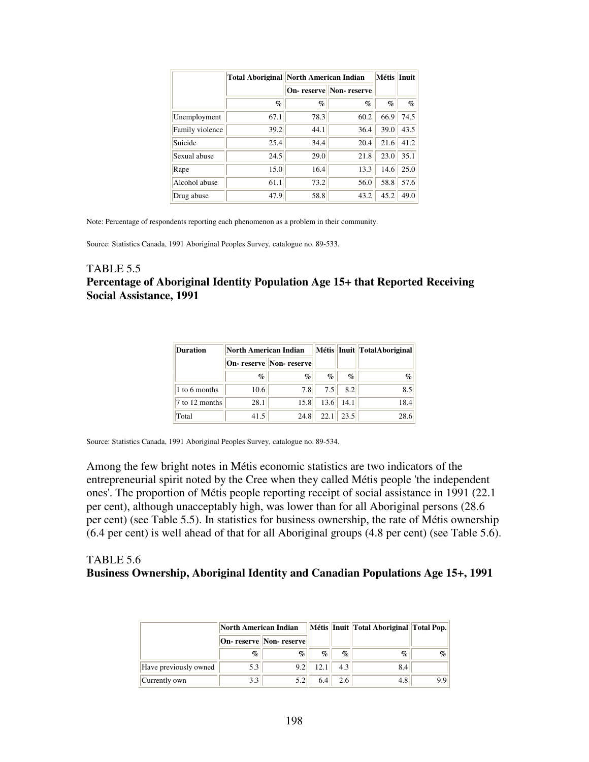|                 | Total Aboriginal North American Indian |      | Métis Inuit            |      |      |
|-----------------|----------------------------------------|------|------------------------|------|------|
|                 |                                        |      | On-reserve Non-reserve |      |      |
|                 | $\%$                                   | $\%$ | $\%$                   | $\%$ | $\%$ |
| Unemployment    | 67.1                                   | 78.3 | 60.2                   | 66.9 | 74.5 |
| Family violence | 39.2                                   | 44.1 | 36.4                   | 39.0 | 43.5 |
| Suicide         | 25.4                                   | 34.4 | 20.4                   | 21.6 | 41.2 |
| Sexual abuse    | 24.5                                   | 29.0 | 21.8                   | 23.0 | 35.1 |
| Rape            | 15.0                                   | 16.4 | 13.3                   | 14.6 | 25.0 |
| Alcohol abuse   | 61.1                                   | 73.2 | 56.0                   | 58.8 | 57.6 |
| Drug abuse      | 47.9                                   | 58.8 | 43.2                   | 45.2 | 49.0 |

Note: Percentage of respondents reporting each phenomenon as a problem in their community.

Source: Statistics Canada, 1991 Aboriginal Peoples Survey, catalogue no. 89-533.

#### TABLE 5.5 **Percentage of Aboriginal Identity Population Age 15+ that Reported Receiving Social Assistance, 1991**

| <b>Duration</b>         | North American Indian  |                             |      | Métis Inuit TotalAboriginal |      |  |
|-------------------------|------------------------|-----------------------------|------|-----------------------------|------|--|
|                         |                        | On-reserve Non-reserve      |      |                             |      |  |
|                         | $\mathcal{G}_{\Omega}$ | $\mathcal{G}_{\mathcal{O}}$ | $\%$ | $\%$                        | $\%$ |  |
| 1 to 6 months           | 10.6                   | 7.8                         | 7.5  | 8.2                         | 8.5  |  |
| $\sqrt{7}$ to 12 months | 28.1                   | 15.8                        | 13.6 | 14.1                        | 18.4 |  |
| Total                   | 41.5                   | 24.8                        | 22.1 | 23.5                        | 28.6 |  |

Source: Statistics Canada, 1991 Aboriginal Peoples Survey, catalogue no. 89-534.

Among the few bright notes in Métis economic statistics are two indicators of the entrepreneurial spirit noted by the Cree when they called Métis people 'the independent ones'. The proportion of Métis people reporting receipt of social assistance in 1991 (22.1 per cent), although unacceptably high, was lower than for all Aboriginal persons (28.6 per cent) (see Table 5.5). In statistics for business ownership, the rate of Métis ownership (6.4 per cent) is well ahead of that for all Aboriginal groups (4.8 per cent) (see Table 5.6).

#### TABLE 5.6 **Business Ownership, Aboriginal Identity and Canadian Populations Age 15+, 1991**

|                       | North American Indian |                                 |                        |      | Métis Inuit Total Aboriginal Total Pop. |                 |
|-----------------------|-----------------------|---------------------------------|------------------------|------|-----------------------------------------|-----------------|
|                       |                       | <b>On-</b> reserve Non- reserve |                        |      |                                         |                 |
|                       | $\%$                  | $\%$                            | $\mathcal{G}_{\Omega}$ | $\%$ | $\%$                                    | $\mathcal{O}_0$ |
| Have previously owned | 5.3                   | 9.2                             | 12.1                   | 4.3  | 8.4                                     |                 |
| Currently own         | 3.3                   | 5.2                             | 6.4                    | 2.6  | 4.8                                     | 9.9             |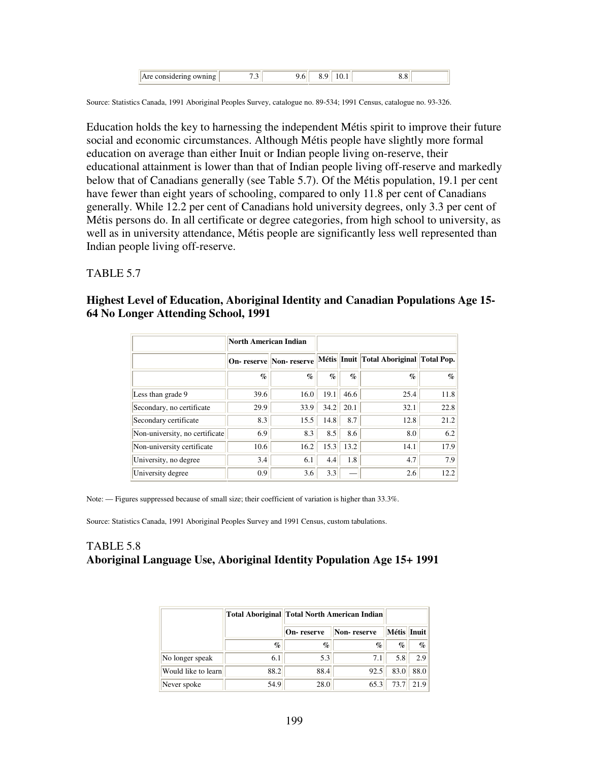| $ Are$ considering owning $ $ |  |  |  |  |  |
|-------------------------------|--|--|--|--|--|
|-------------------------------|--|--|--|--|--|

Source: Statistics Canada, 1991 Aboriginal Peoples Survey, catalogue no. 89-534; 1991 Census, catalogue no. 93-326.

Education holds the key to harnessing the independent Métis spirit to improve their future social and economic circumstances. Although Métis people have slightly more formal education on average than either Inuit or Indian people living on-reserve, their educational attainment is lower than that of Indian people living off-reserve and markedly below that of Canadians generally (see Table 5.7). Of the Métis population, 19.1 per cent have fewer than eight years of schooling, compared to only 11.8 per cent of Canadians generally. While 12.2 per cent of Canadians hold university degrees, only 3.3 per cent of Métis persons do. In all certificate or degree categories, from high school to university, as well as in university attendance, Métis people are significantly less well represented than Indian people living off-reserve.

#### TABLE 5.7

| Highest Level of Education, Aboriginal Identity and Canadian Populations Age 15- |  |  |
|----------------------------------------------------------------------------------|--|--|
| 64 No Longer Attending School, 1991                                              |  |  |

|                                | North American Indian |                                 |      |      |                                         |                 |
|--------------------------------|-----------------------|---------------------------------|------|------|-----------------------------------------|-----------------|
|                                |                       | <b>On- reserve Non- reserve</b> |      |      | Métis Inuit Total Aboriginal Total Pop. |                 |
|                                | $\%$                  | $\%$                            | $\%$ | $\%$ | $\%$                                    | $\mathcal{O}_0$ |
| Less than grade 9              | 39.6                  | 16.0                            | 19.1 | 46.6 | 25.4                                    | 11.8            |
| Secondary, no certificate      | 29.9                  | 33.9                            | 34.2 | 20.1 | 32.1                                    | 22.8            |
| Secondary certificate          | 8.3                   | 15.5                            | 14.8 | 8.7  | 12.8                                    | 21.2            |
| Non-university, no certificate | 6.9                   | 8.3                             | 8.5  | 8.6  | 8.0                                     | 6.2             |
| Non-university certificate     | 10.6                  | 16.2                            | 15.3 | 13.2 | 14.1                                    | 17.9            |
| University, no degree          | 3.4                   | 6.1                             | 4.4  | 1.8  | 4.7                                     | 7.9             |
| University degree              | 0.9                   | 3.6                             | 3.3  |      | 2.6                                     | 12.2            |

Note: — Figures suppressed because of small size; their coefficient of variation is higher than 33.3%.

Source: Statistics Canada, 1991 Aboriginal Peoples Survey and 1991 Census, custom tabulations.

### TABLE 5.8 **Aboriginal Language Use, Aboriginal Identity Population Age 15+ 1991**

|                     | Total Aboriginal Total North American Indian |                    |                        |             |      |
|---------------------|----------------------------------------------|--------------------|------------------------|-------------|------|
|                     |                                              | <b>On-</b> reserve | Non-reserve            | Métis Inuit |      |
|                     | $\%$                                         | $\%$               | $\mathcal{G}_{\Omega}$ | %           | $\%$ |
| No longer speak     | 6.1                                          | 5.3                | 7.1                    | 5.8         | 2.9  |
| Would like to learn | 88.2                                         | 88.4               | 92.5                   | 83.0        | 88.0 |
| Never spoke         | 54.9                                         | 28.0               | 65.3                   | 73.7        | 21.9 |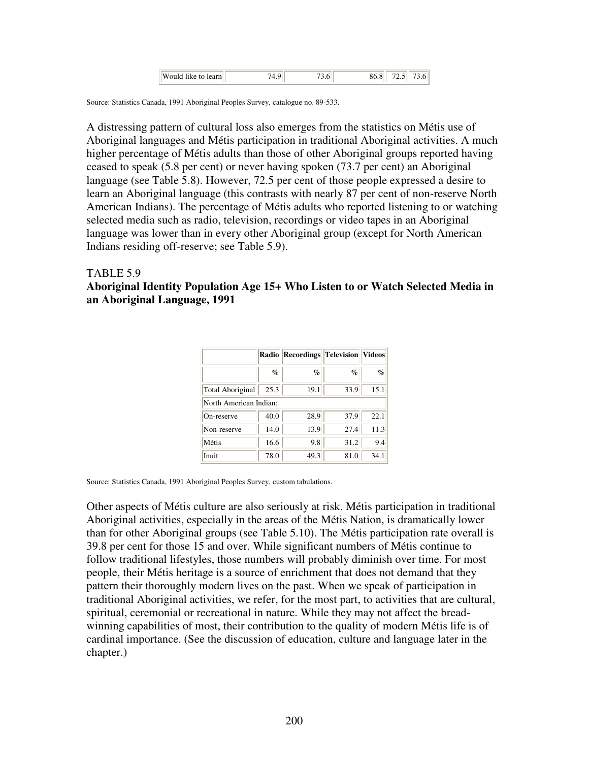Source: Statistics Canada, 1991 Aboriginal Peoples Survey, catalogue no. 89-533.

A distressing pattern of cultural loss also emerges from the statistics on Métis use of Aboriginal languages and Métis participation in traditional Aboriginal activities. A much higher percentage of Métis adults than those of other Aboriginal groups reported having ceased to speak (5.8 per cent) or never having spoken (73.7 per cent) an Aboriginal language (see Table 5.8). However, 72.5 per cent of those people expressed a desire to learn an Aboriginal language (this contrasts with nearly 87 per cent of non-reserve North American Indians). The percentage of Métis adults who reported listening to or watching selected media such as radio, television, recordings or video tapes in an Aboriginal language was lower than in every other Aboriginal group (except for North American Indians residing off-reserve; see Table 5.9).

#### TABLE 5.9

#### **Aboriginal Identity Population Age 15+ Who Listen to or Watch Selected Media in an Aboriginal Language, 1991**

|                        |                 | Radio   Recordings   Television   Videos |                 |                 |  |  |  |
|------------------------|-----------------|------------------------------------------|-----------------|-----------------|--|--|--|
|                        | $\mathcal{G}_0$ | $\mathcal{G}_0$                          | $\mathcal{G}_0$ | $\mathcal{O}_0$ |  |  |  |
| Total Aboriginal       | 25.3            | 19.1                                     | 33.9            | 15.1            |  |  |  |
| North American Indian: |                 |                                          |                 |                 |  |  |  |
| On-reserve             | 40.0            | 28.9                                     | 37.9            | 22.1            |  |  |  |
| Non-reserve            | 14.0            | 13.9                                     | 27.4            | 11.3            |  |  |  |
| Métis                  | 16.6            | 9.8                                      | 31.2            | 9.4             |  |  |  |
| Inuit                  | 78.0            | 49.3                                     | 81.0            | 34.1            |  |  |  |

Source: Statistics Canada, 1991 Aboriginal Peoples Survey, custom tabulations.

Other aspects of Métis culture are also seriously at risk. Métis participation in traditional Aboriginal activities, especially in the areas of the Métis Nation, is dramatically lower than for other Aboriginal groups (see Table 5.10). The Métis participation rate overall is 39.8 per cent for those 15 and over. While significant numbers of Métis continue to follow traditional lifestyles, those numbers will probably diminish over time. For most people, their Métis heritage is a source of enrichment that does not demand that they pattern their thoroughly modern lives on the past. When we speak of participation in traditional Aboriginal activities, we refer, for the most part, to activities that are cultural, spiritual, ceremonial or recreational in nature. While they may not affect the breadwinning capabilities of most, their contribution to the quality of modern Métis life is of cardinal importance. (See the discussion of education, culture and language later in the chapter.)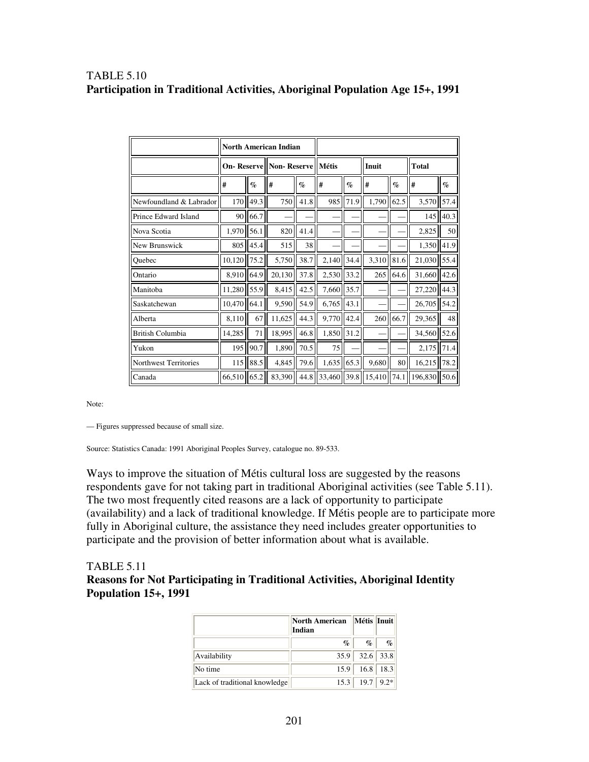### TABLE 5.10 **Participation in Traditional Activities, Aboriginal Population Age 15+, 1991**

|                         |        | <b>North American Indian</b> |                                |      |        |                 |        |      |              |      |
|-------------------------|--------|------------------------------|--------------------------------|------|--------|-----------------|--------|------|--------------|------|
|                         |        |                              | On-ReservellNon-ReservellMétis |      |        |                 | Inuit  |      | <b>Total</b> |      |
|                         | #      | $\mathcal{G}_0$              | #<br>$\mathcal{G}_0$           |      | #      | $\mathcal{G}_0$ | #      | $\%$ | #            | $\%$ |
| Newfoundland & Labrador | 170    | 49.3                         | 750                            | 41.8 | 985    | 71.9            | 1,790  | 62.5 | 3,570        | 57.4 |
| Prince Edward Island    | 90     | 66.7                         |                                |      |        |                 |        |      | 145          | 40.3 |
| Nova Scotia             | 1,970  | 56.1                         | 820                            | 41.4 |        |                 |        |      | 2,825        | 50   |
| New Brunswick           | 805    | 45.4                         | 515                            | 38   |        |                 |        |      | 1,350        | 41.9 |
| Quebec                  | 10,120 | 75.2                         | 5,750                          | 38.7 | 2,140  | 34.4            | 3,310  | 81.6 | 21,030       | 55.4 |
| Ontario                 | 8,910  | 64.9                         | 20,130                         | 37.8 | 2,530  | 33.2            | 265    | 64.6 | 31,660       | 42.6 |
| Manitoba                | 11,280 | 55.9                         | 8,415                          | 42.5 | 7,660  | 35.7            |        |      | 27,220       | 44.3 |
| Saskatchewan            | 10,470 | 64.1                         | 9,590                          | 54.9 | 6,765  | 43.1            |        |      | 26,705       | 54.2 |
| Alberta                 | 8,110  | 67                           | 11,625                         | 44.3 | 9,770  | 42.4            | 260    | 66.7 | 29,365       | 48   |
| <b>British Columbia</b> | 14,285 | 71                           | 18,995                         | 46.8 | 1,850  | 31.2            |        |      | 34,560       | 52.6 |
| Yukon                   | 195    | 90.7                         | 1,890                          | 70.5 | 75     |                 |        |      | 2,175        | 71.4 |
| Northwest Territories   | 115    | 88.5                         | 4,845                          | 79.6 | 1,635  | 65.3            | 9,680  | 80   | 16,215       | 78.2 |
| Canada                  | 66,510 | 65.2                         | 83,390                         | 44.8 | 33,460 | 39.8            | 15,410 | 74.1 | 196,830      | 50.6 |

Note:

— Figures suppressed because of small size.

Source: Statistics Canada: 1991 Aboriginal Peoples Survey, catalogue no. 89-533.

Ways to improve the situation of Métis cultural loss are suggested by the reasons respondents gave for not taking part in traditional Aboriginal activities (see Table 5.11). The two most frequently cited reasons are a lack of opportunity to participate (availability) and a lack of traditional knowledge. If Métis people are to participate more fully in Aboriginal culture, the assistance they need includes greater opportunities to participate and the provision of better information about what is available.

#### TABLE 5.11 **Reasons for Not Participating in Traditional Activities, Aboriginal Identity Population 15+, 1991**

|                               | <b>North American</b><br>Indian | Métis Inuit |                           |
|-------------------------------|---------------------------------|-------------|---------------------------|
|                               | $\%$                            | $\%$        | $\%$                      |
| Availability                  | 35.9                            |             | 32.6 33.8                 |
| No time                       | 15.9                            | 16.8        | 18.3                      |
| Lack of traditional knowledge | 15.3                            |             | $19.7$   9.2 <sup>*</sup> |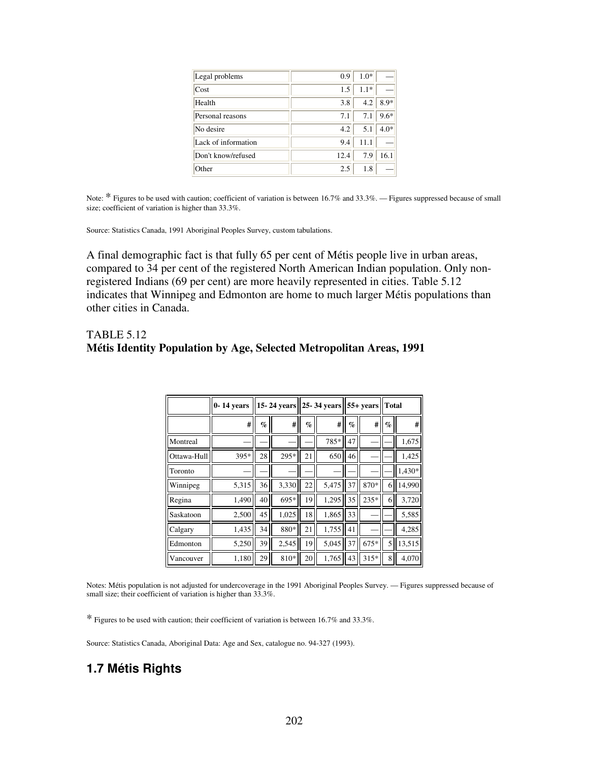| Legal problems      | 0.9  | $1.0*$ |        |
|---------------------|------|--------|--------|
| Cost                | 1.5  | $1.1*$ |        |
| Health              | 3.8  | 4.2    | $8.9*$ |
| Personal reasons    | 7.1  | 7.1    | $9.6*$ |
| No desire           | 4.2  | 5.1    | $4.0*$ |
| Lack of information | 9.4  | 11.1   |        |
| Don't know/refused  | 12.4 | 7.9    | 16.1   |
| Other               | 2.5  | 1.8    |        |

Note: \* Figures to be used with caution; coefficient of variation is between 16.7% and 33.3%. — Figures suppressed because of small size; coefficient of variation is higher than 33.3%.

Source: Statistics Canada, 1991 Aboriginal Peoples Survey, custom tabulations.

A final demographic fact is that fully 65 per cent of Métis people live in urban areas, compared to 34 per cent of the registered North American Indian population. Only nonregistered Indians (69 per cent) are more heavily represented in cities. Table 5.12 indicates that Winnipeg and Edmonton are home to much larger Métis populations than other cities in Canada.

#### TABLE 5.12 **Métis Identity Population by Age, Selected Metropolitan Areas, 1991**

|             | $0 - 14$ vears | 15-24 years |        |      | $ 25 - 34$ years $ 55 +$ years |      |        | Total |        |  |
|-------------|----------------|-------------|--------|------|--------------------------------|------|--------|-------|--------|--|
|             | #              | $\%$        | #      | $\%$ | #                              | $\%$ | #      | $\%$  | #      |  |
| Montreal    |                |             |        |      | 785*                           | 47   |        |       | 1,675  |  |
| Ottawa-Hull | 395*           | 28          | 295*   | 21   | 650                            | 46   |        |       | 1,425  |  |
| Toronto     |                |             |        |      |                                |      |        |       | 1,430* |  |
| Winnipeg    | 5,315          | 36          | 3,330  | 22   | 5,475                          | 37   | 870*   | 6     | 14,990 |  |
| Regina      | 1,490          | 40          | 695*   | 19   | 1,295                          | 35   | $235*$ | 6     | 3,720  |  |
| Saskatoon   | 2,500          | 45          | 1,025  | 18   | 1,865                          | 33   |        |       | 5,585  |  |
| Calgary     | 1,435          | 34          | $880*$ | 21   | 1,755                          | 41   |        |       | 4,285  |  |
| Edmonton    | 5,250          | 39          | 2,545  | 19   | 5,045                          | 37   | $675*$ | 5     | 13,515 |  |
| Vancouver   | 1,180          | 29          | 810*   | 20   | 1,765                          | 43   | 315*   |       | 4,070  |  |

Notes: Métis population is not adjusted for undercoverage in the 1991 Aboriginal Peoples Survey. — Figures suppressed because of small size; their coefficient of variation is higher than 33.3%.

\* Figures to be used with caution; their coefficient of variation is between 16.7% and 33.3%.

Source: Statistics Canada, Aboriginal Data: Age and Sex, catalogue no. 94-327 (1993).

# **1.7 Métis Rights**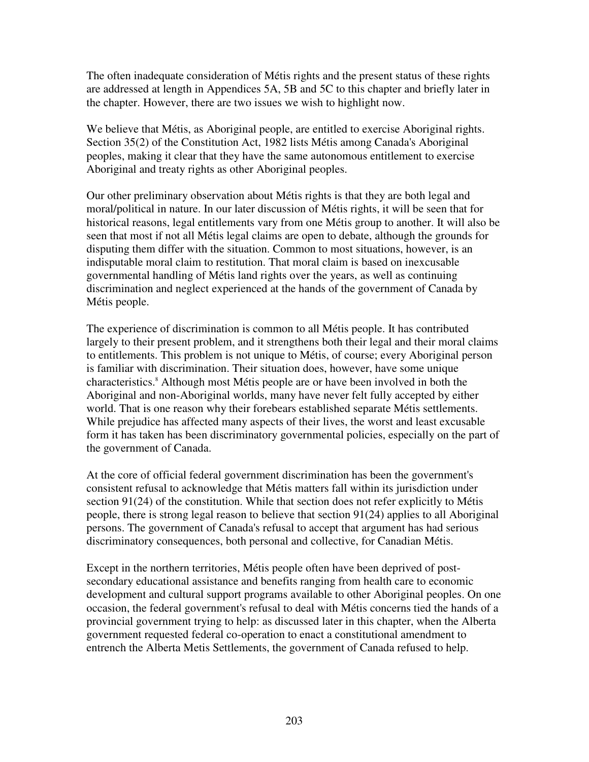The often inadequate consideration of Métis rights and the present status of these rights are addressed at length in Appendices 5A, 5B and 5C to this chapter and briefly later in the chapter. However, there are two issues we wish to highlight now.

We believe that Métis, as Aboriginal people, are entitled to exercise Aboriginal rights. Section 35(2) of the Constitution Act, 1982 lists Métis among Canada's Aboriginal peoples, making it clear that they have the same autonomous entitlement to exercise Aboriginal and treaty rights as other Aboriginal peoples.

Our other preliminary observation about Métis rights is that they are both legal and moral/political in nature. In our later discussion of Métis rights, it will be seen that for historical reasons, legal entitlements vary from one Métis group to another. It will also be seen that most if not all Métis legal claims are open to debate, although the grounds for disputing them differ with the situation. Common to most situations, however, is an indisputable moral claim to restitution. That moral claim is based on inexcusable governmental handling of Métis land rights over the years, as well as continuing discrimination and neglect experienced at the hands of the government of Canada by Métis people.

The experience of discrimination is common to all Métis people. It has contributed largely to their present problem, and it strengthens both their legal and their moral claims to entitlements. This problem is not unique to Métis, of course; every Aboriginal person is familiar with discrimination. Their situation does, however, have some unique characteristics. <sup>8</sup> Although most Métis people are or have been involved in both the Aboriginal and non-Aboriginal worlds, many have never felt fully accepted by either world. That is one reason why their forebears established separate Métis settlements. While prejudice has affected many aspects of their lives, the worst and least excusable form it has taken has been discriminatory governmental policies, especially on the part of the government of Canada.

At the core of official federal government discrimination has been the government's consistent refusal to acknowledge that Métis matters fall within its jurisdiction under section 91(24) of the constitution. While that section does not refer explicitly to Métis people, there is strong legal reason to believe that section 91(24) applies to all Aboriginal persons. The government of Canada's refusal to accept that argument has had serious discriminatory consequences, both personal and collective, for Canadian Métis.

Except in the northern territories, Métis people often have been deprived of postsecondary educational assistance and benefits ranging from health care to economic development and cultural support programs available to other Aboriginal peoples. On one occasion, the federal government's refusal to deal with Métis concerns tied the hands of a provincial government trying to help: as discussed later in this chapter, when the Alberta government requested federal co-operation to enact a constitutional amendment to entrench the Alberta Metis Settlements, the government of Canada refused to help.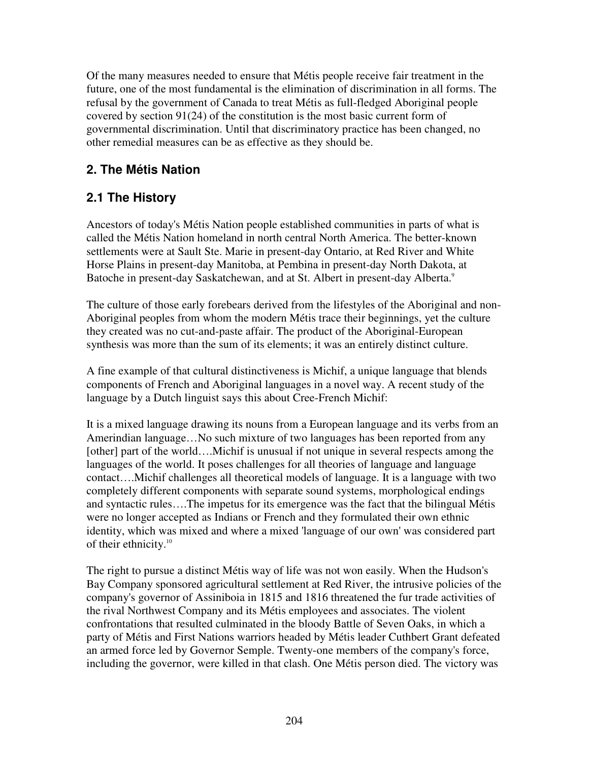Of the many measures needed to ensure that Métis people receive fair treatment in the future, one of the most fundamental is the elimination of discrimination in all forms. The refusal by the government of Canada to treat Métis as full-fledged Aboriginal people covered by section 91(24) of the constitution is the most basic current form of governmental discrimination. Until that discriminatory practice has been changed, no other remedial measures can be as effective as they should be.

# **2. The Métis Nation**

# **2.1 The History**

Ancestors of today's Métis Nation people established communities in parts of what is called the Métis Nation homeland in north central North America. The better-known settlements were at Sault Ste. Marie in present-day Ontario, at Red River and White Horse Plains in present-day Manitoba, at Pembina in present-day North Dakota, at Batoche in present-day Saskatchewan, and at St. Albert in present-day Alberta.9

The culture of those early forebears derived from the lifestyles of the Aboriginal and non-Aboriginal peoples from whom the modern Métis trace their beginnings, yet the culture they created was no cut-and-paste affair. The product of the Aboriginal-European synthesis was more than the sum of its elements; it was an entirely distinct culture.

A fine example of that cultural distinctiveness is Michif, a unique language that blends components of French and Aboriginal languages in a novel way. A recent study of the language by a Dutch linguist says this about Cree-French Michif:

It is a mixed language drawing its nouns from a European language and its verbs from an Amerindian language…No such mixture of two languages has been reported from any [other] part of the world....Michif is unusual if not unique in several respects among the languages of the world. It poses challenges for all theories of language and language contact….Michif challenges all theoretical models of language. It is a language with two completely different components with separate sound systems, morphological endings and syntactic rules….The impetus for its emergence was the fact that the bilingual Métis were no longer accepted as Indians or French and they formulated their own ethnic identity, which was mixed and where a mixed 'language of our own' was considered part of their ethnicity. 10

The right to pursue a distinct Métis way of life was not won easily. When the Hudson's Bay Company sponsored agricultural settlement at Red River, the intrusive policies of the company's governor of Assiniboia in 1815 and 1816 threatened the fur trade activities of the rival Northwest Company and its Métis employees and associates. The violent confrontations that resulted culminated in the bloody Battle of Seven Oaks, in which a party of Métis and First Nations warriors headed by Métis leader Cuthbert Grant defeated an armed force led by Governor Semple. Twenty-one members of the company's force, including the governor, were killed in that clash. One Métis person died. The victory was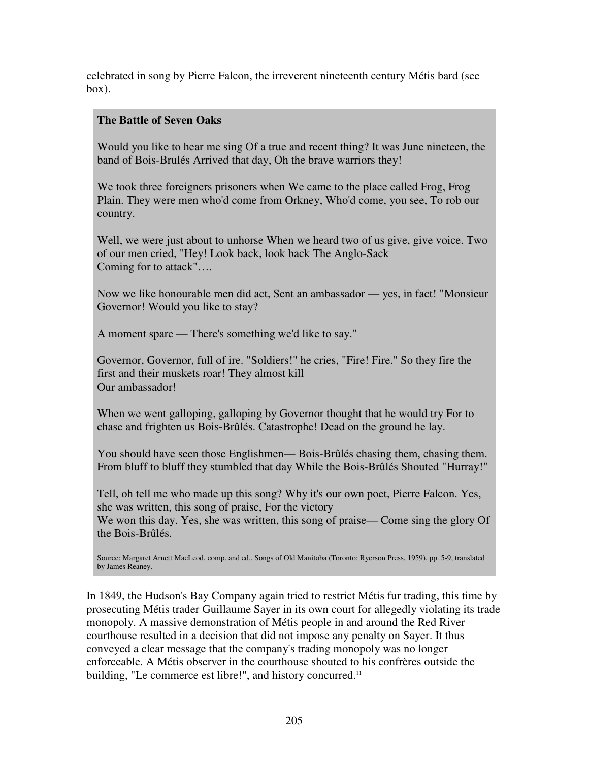celebrated in song by Pierre Falcon, the irreverent nineteenth century Métis bard (see box).

#### **The Battle of Seven Oaks**

Would you like to hear me sing Of a true and recent thing? It was June nineteen, the band of Bois-Brulés Arrived that day, Oh the brave warriors they!

We took three foreigners prisoners when We came to the place called Frog, Frog Plain. They were men who'd come from Orkney, Who'd come, you see, To rob our country.

Well, we were just about to unhorse When we heard two of us give, give voice. Two of our men cried, "Hey! Look back, look back The Anglo-Sack Coming for to attack"….

Now we like honourable men did act, Sent an ambassador — yes, in fact! "Monsieur Governor! Would you like to stay?

A moment spare — There's something we'd like to say."

Governor, Governor, full of ire. "Soldiers!" he cries, "Fire! Fire." So they fire the first and their muskets roar! They almost kill Our ambassador!

When we went galloping, galloping by Governor thought that he would try For to chase and frighten us Bois-Brûlés. Catastrophe! Dead on the ground he lay.

You should have seen those Englishmen— Bois-Brûlés chasing them, chasing them. From bluff to bluff they stumbled that day While the Bois-Brûlés Shouted "Hurray!"

Tell, oh tell me who made up this song? Why it's our own poet, Pierre Falcon. Yes, she was written, this song of praise, For the victory

We won this day. Yes, she was written, this song of praise— Come sing the glory Of the Bois-Brûlés.

Source: Margaret Arnett MacLeod, comp. and ed., Songs of Old Manitoba (Toronto: Ryerson Press, 1959), pp. 5-9, translated by James Reaney.

In 1849, the Hudson's Bay Company again tried to restrict Métis fur trading, this time by prosecuting Métis trader Guillaume Sayer in its own court for allegedly violating its trade monopoly. A massive demonstration of Métis people in and around the Red River courthouse resulted in a decision that did not impose any penalty on Sayer. It thus conveyed a clear message that the company's trading monopoly was no longer enforceable. A Métis observer in the courthouse shouted to his confrères outside the building, "Le commerce est libre!", and history concurred.<sup>11</sup>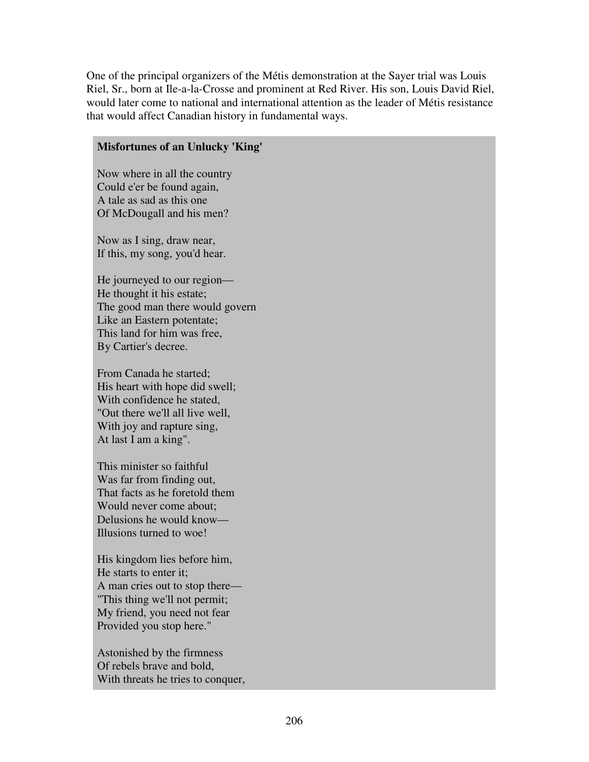One of the principal organizers of the Métis demonstration at the Sayer trial was Louis Riel, Sr., born at Ile-a-la-Crosse and prominent at Red River. His son, Louis David Riel, would later come to national and international attention as the leader of Métis resistance that would affect Canadian history in fundamental ways.

#### **Misfortunes of an Unlucky 'King'**

Now where in all the country Could e'er be found again, A tale as sad as this one Of McDougall and his men?

Now as I sing, draw near, If this, my song, you'd hear.

He journeyed to our region— He thought it his estate; The good man there would govern Like an Eastern potentate; This land for him was free, By Cartier's decree.

From Canada he started; His heart with hope did swell; With confidence he stated, "Out there we'll all live well, With joy and rapture sing, At last I am a king".

This minister so faithful Was far from finding out, That facts as he foretold them Would never come about; Delusions he would know— Illusions turned to woe!

His kingdom lies before him, He starts to enter it; A man cries out to stop there— "This thing we'll not permit; My friend, you need not fear Provided you stop here."

Astonished by the firmness Of rebels brave and bold, With threats he tries to conquer,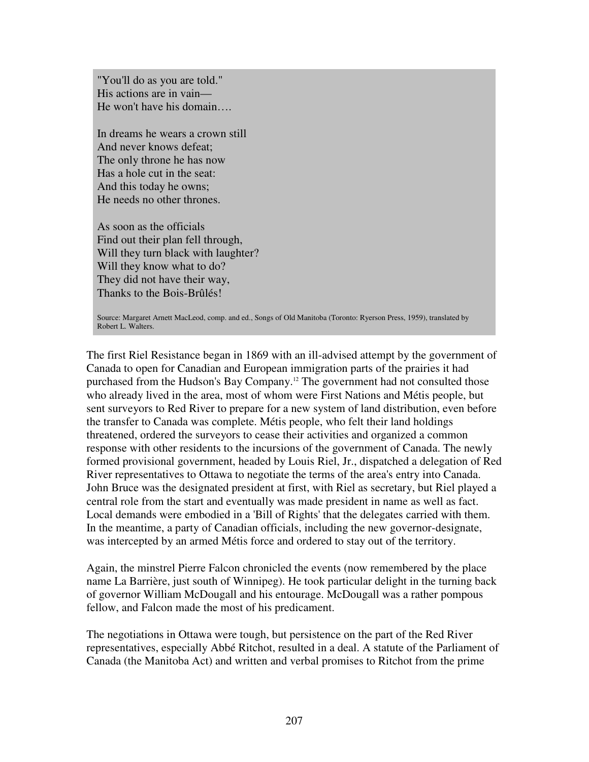"You'll do as you are told." His actions are in vain— He won't have his domain….

In dreams he wears a crown still And never knows defeat; The only throne he has now Has a hole cut in the seat: And this today he owns; He needs no other thrones.

As soon as the officials Find out their plan fell through, Will they turn black with laughter? Will they know what to do? They did not have their way, Thanks to the Bois-Brûlés!

Source: Margaret Arnett MacLeod, comp. and ed., Songs of Old Manitoba (Toronto: Ryerson Press, 1959), translated by Robert L. Walters.

The first Riel Resistance began in 1869 with an ill-advised attempt by the government of Canada to open for Canadian and European immigration parts of the prairies it had purchased from the Hudson's Bay Company. <sup>12</sup> The government had not consulted those who already lived in the area, most of whom were First Nations and Métis people, but sent surveyors to Red River to prepare for a new system of land distribution, even before the transfer to Canada was complete. Métis people, who felt their land holdings threatened, ordered the surveyors to cease their activities and organized a common response with other residents to the incursions of the government of Canada. The newly formed provisional government, headed by Louis Riel, Jr., dispatched a delegation of Red River representatives to Ottawa to negotiate the terms of the area's entry into Canada. John Bruce was the designated president at first, with Riel as secretary, but Riel played a central role from the start and eventually was made president in name as well as fact. Local demands were embodied in a 'Bill of Rights' that the delegates carried with them. In the meantime, a party of Canadian officials, including the new governor-designate, was intercepted by an armed Métis force and ordered to stay out of the territory.

Again, the minstrel Pierre Falcon chronicled the events (now remembered by the place name La Barrière, just south of Winnipeg). He took particular delight in the turning back of governor William McDougall and his entourage. McDougall was a rather pompous fellow, and Falcon made the most of his predicament.

The negotiations in Ottawa were tough, but persistence on the part of the Red River representatives, especially Abbé Ritchot, resulted in a deal. A statute of the Parliament of Canada (the Manitoba Act) and written and verbal promises to Ritchot from the prime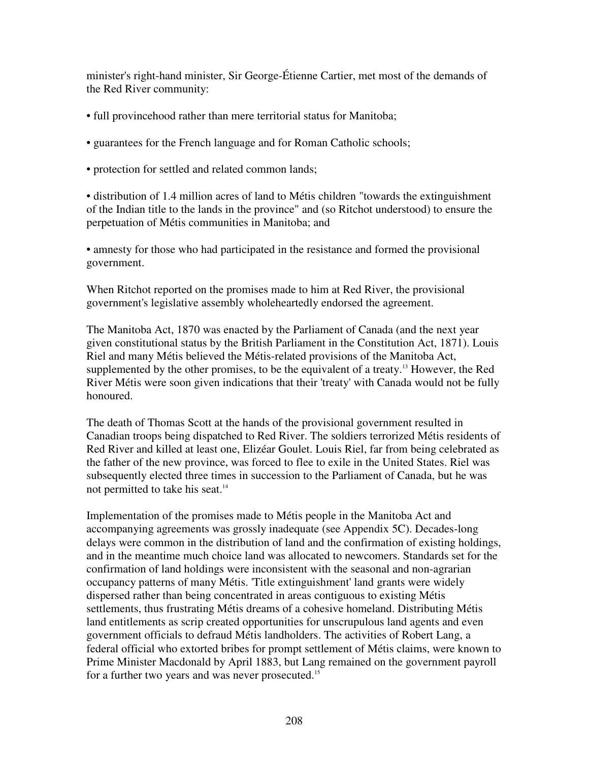minister's right-hand minister, Sir George-Étienne Cartier, met most of the demands of the Red River community:

- full provincehood rather than mere territorial status for Manitoba;
- guarantees for the French language and for Roman Catholic schools;
- protection for settled and related common lands;

• distribution of 1.4 million acres of land to Métis children "towards the extinguishment of the Indian title to the lands in the province" and (so Ritchot understood) to ensure the perpetuation of Métis communities in Manitoba; and

• amnesty for those who had participated in the resistance and formed the provisional government.

When Ritchot reported on the promises made to him at Red River, the provisional government's legislative assembly wholeheartedly endorsed the agreement.

The Manitoba Act, 1870 was enacted by the Parliament of Canada (and the next year given constitutional status by the British Parliament in the Constitution Act, 1871). Louis Riel and many Métis believed the Métis-related provisions of the Manitoba Act, supplemented by the other promises, to be the equivalent of a treaty. <sup>13</sup> However, the Red River Métis were soon given indications that their 'treaty' with Canada would not be fully honoured.

The death of Thomas Scott at the hands of the provisional government resulted in Canadian troops being dispatched to Red River. The soldiers terrorized Métis residents of Red River and killed at least one, Elizéar Goulet. Louis Riel, far from being celebrated as the father of the new province, was forced to flee to exile in the United States. Riel was subsequently elected three times in succession to the Parliament of Canada, but he was not permitted to take his seat. 14

Implementation of the promises made to Métis people in the Manitoba Act and accompanying agreements was grossly inadequate (see Appendix 5C). Decades-long delays were common in the distribution of land and the confirmation of existing holdings, and in the meantime much choice land was allocated to newcomers. Standards set for the confirmation of land holdings were inconsistent with the seasonal and non-agrarian occupancy patterns of many Métis. 'Title extinguishment' land grants were widely dispersed rather than being concentrated in areas contiguous to existing Métis settlements, thus frustrating Métis dreams of a cohesive homeland. Distributing Métis land entitlements as scrip created opportunities for unscrupulous land agents and even government officials to defraud Métis landholders. The activities of Robert Lang, a federal official who extorted bribes for prompt settlement of Métis claims, were known to Prime Minister Macdonald by April 1883, but Lang remained on the government payroll for a further two years and was never prosecuted.<sup>15</sup>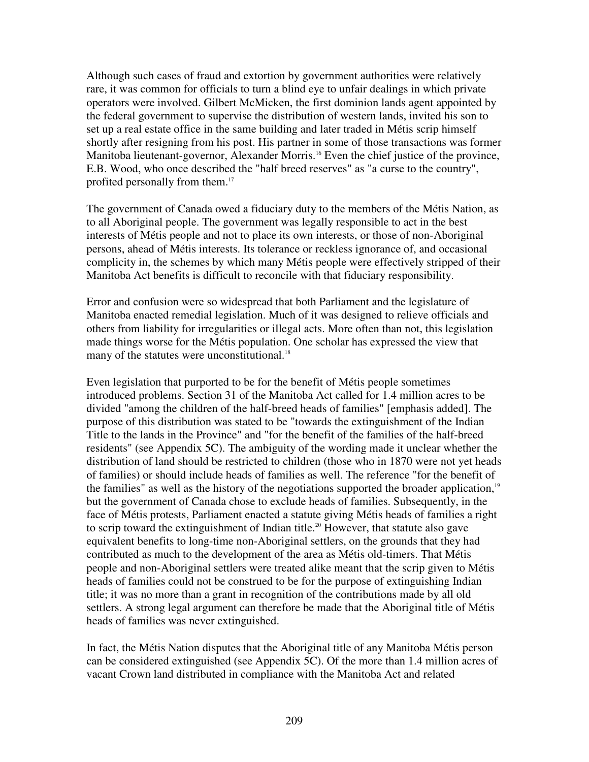Although such cases of fraud and extortion by government authorities were relatively rare, it was common for officials to turn a blind eye to unfair dealings in which private operators were involved. Gilbert McMicken, the first dominion lands agent appointed by the federal government to supervise the distribution of western lands, invited his son to set up a real estate office in the same building and later traded in Métis scrip himself shortly after resigning from his post. His partner in some of those transactions was former Manitoba lieutenant-governor, Alexander Morris. <sup>16</sup> Even the chief justice of the province, E.B. Wood, who once described the "half breed reserves" as "a curse to the country", profited personally from them. 17

The government of Canada owed a fiduciary duty to the members of the Métis Nation, as to all Aboriginal people. The government was legally responsible to act in the best interests of Métis people and not to place its own interests, or those of non-Aboriginal persons, ahead of Métis interests. Its tolerance or reckless ignorance of, and occasional complicity in, the schemes by which many Métis people were effectively stripped of their Manitoba Act benefits is difficult to reconcile with that fiduciary responsibility.

Error and confusion were so widespread that both Parliament and the legislature of Manitoba enacted remedial legislation. Much of it was designed to relieve officials and others from liability for irregularities or illegal acts. More often than not, this legislation made things worse for the Métis population. One scholar has expressed the view that many of the statutes were unconstitutional.<sup>18</sup>

Even legislation that purported to be for the benefit of Métis people sometimes introduced problems. Section 31 of the Manitoba Act called for 1.4 million acres to be divided "among the children of the half-breed heads of families" [emphasis added]. The purpose of this distribution was stated to be "towards the extinguishment of the Indian Title to the lands in the Province" and "for the benefit of the families of the half-breed residents" (see Appendix 5C). The ambiguity of the wording made it unclear whether the distribution of land should be restricted to children (those who in 1870 were not yet heads of families) or should include heads of families as well. The reference "for the benefit of the families" as well as the history of the negotiations supported the broader application,<sup>19</sup> but the government of Canada chose to exclude heads of families. Subsequently, in the face of Métis protests, Parliament enacted a statute giving Métis heads of families a right to scrip toward the extinguishment of Indian title. <sup>20</sup> However, that statute also gave equivalent benefits to long-time non-Aboriginal settlers, on the grounds that they had contributed as much to the development of the area as Métis old-timers. That Métis people and non-Aboriginal settlers were treated alike meant that the scrip given to Métis heads of families could not be construed to be for the purpose of extinguishing Indian title; it was no more than a grant in recognition of the contributions made by all old settlers. A strong legal argument can therefore be made that the Aboriginal title of Métis heads of families was never extinguished.

In fact, the Métis Nation disputes that the Aboriginal title of any Manitoba Métis person can be considered extinguished (see Appendix 5C). Of the more than 1.4 million acres of vacant Crown land distributed in compliance with the Manitoba Act and related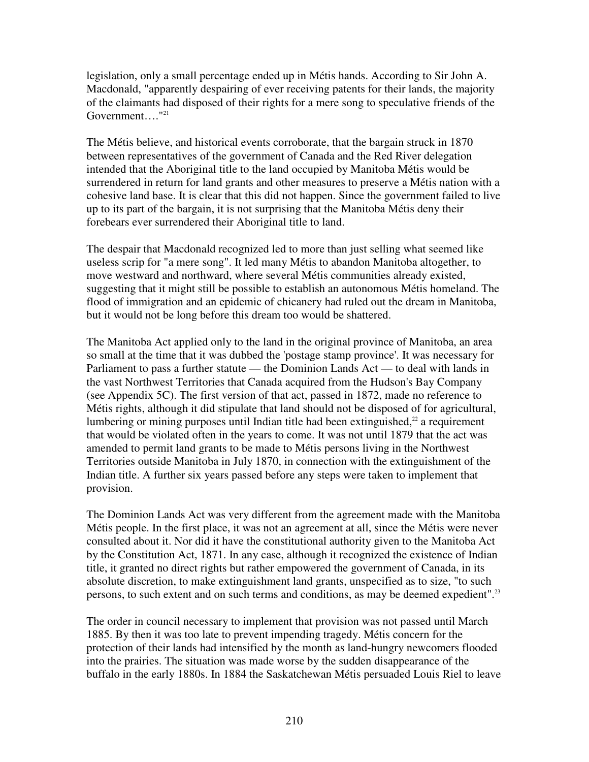legislation, only a small percentage ended up in Métis hands. According to Sir John A. Macdonald, "apparently despairing of ever receiving patents for their lands, the majority of the claimants had disposed of their rights for a mere song to speculative friends of the Government…." 21

The Métis believe, and historical events corroborate, that the bargain struck in 1870 between representatives of the government of Canada and the Red River delegation intended that the Aboriginal title to the land occupied by Manitoba Métis would be surrendered in return for land grants and other measures to preserve a Métis nation with a cohesive land base. It is clear that this did not happen. Since the government failed to live up to its part of the bargain, it is not surprising that the Manitoba Métis deny their forebears ever surrendered their Aboriginal title to land.

The despair that Macdonald recognized led to more than just selling what seemed like useless scrip for "a mere song". It led many Métis to abandon Manitoba altogether, to move westward and northward, where several Métis communities already existed, suggesting that it might still be possible to establish an autonomous Métis homeland. The flood of immigration and an epidemic of chicanery had ruled out the dream in Manitoba, but it would not be long before this dream too would be shattered.

The Manitoba Act applied only to the land in the original province of Manitoba, an area so small at the time that it was dubbed the 'postage stamp province'. It was necessary for Parliament to pass a further statute — the Dominion Lands Act — to deal with lands in the vast Northwest Territories that Canada acquired from the Hudson's Bay Company (see Appendix 5C). The first version of that act, passed in 1872, made no reference to Métis rights, although it did stipulate that land should not be disposed of for agricultural, lumbering or mining purposes until Indian title had been extinguished,<sup>22</sup> a requirement that would be violated often in the years to come. It was not until 1879 that the act was amended to permit land grants to be made to Métis persons living in the Northwest Territories outside Manitoba in July 1870, in connection with the extinguishment of the Indian title. A further six years passed before any steps were taken to implement that provision.

The Dominion Lands Act was very different from the agreement made with the Manitoba Métis people. In the first place, it was not an agreement at all, since the Métis were never consulted about it. Nor did it have the constitutional authority given to the Manitoba Act by the Constitution Act, 1871. In any case, although it recognized the existence of Indian title, it granted no direct rights but rather empowered the government of Canada, in its absolute discretion, to make extinguishment land grants, unspecified as to size, "to such persons, to such extent and on such terms and conditions, as may be deemed expedient".<sup>23</sup>

The order in council necessary to implement that provision was not passed until March 1885. By then it was too late to prevent impending tragedy. Métis concern for the protection of their lands had intensified by the month as land-hungry newcomers flooded into the prairies. The situation was made worse by the sudden disappearance of the buffalo in the early 1880s. In 1884 the Saskatchewan Métis persuaded Louis Riel to leave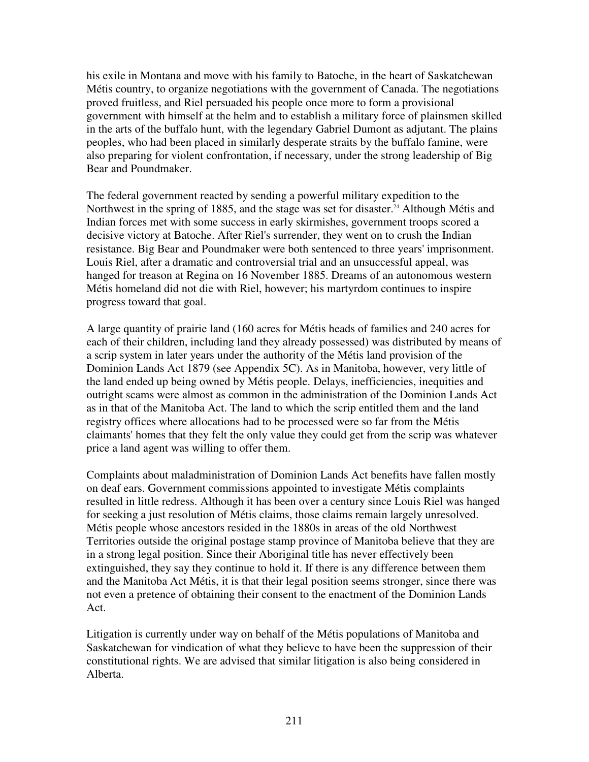his exile in Montana and move with his family to Batoche, in the heart of Saskatchewan Métis country, to organize negotiations with the government of Canada. The negotiations proved fruitless, and Riel persuaded his people once more to form a provisional government with himself at the helm and to establish a military force of plainsmen skilled in the arts of the buffalo hunt, with the legendary Gabriel Dumont as adjutant. The plains peoples, who had been placed in similarly desperate straits by the buffalo famine, were also preparing for violent confrontation, if necessary, under the strong leadership of Big Bear and Poundmaker.

The federal government reacted by sending a powerful military expedition to the Northwest in the spring of 1885, and the stage was set for disaster.<sup>24</sup> Although Métis and Indian forces met with some success in early skirmishes, government troops scored a decisive victory at Batoche. After Riel's surrender, they went on to crush the Indian resistance. Big Bear and Poundmaker were both sentenced to three years' imprisonment. Louis Riel, after a dramatic and controversial trial and an unsuccessful appeal, was hanged for treason at Regina on 16 November 1885. Dreams of an autonomous western Métis homeland did not die with Riel, however; his martyrdom continues to inspire progress toward that goal.

A large quantity of prairie land (160 acres for Métis heads of families and 240 acres for each of their children, including land they already possessed) was distributed by means of a scrip system in later years under the authority of the Métis land provision of the Dominion Lands Act 1879 (see Appendix 5C). As in Manitoba, however, very little of the land ended up being owned by Métis people. Delays, inefficiencies, inequities and outright scams were almost as common in the administration of the Dominion Lands Act as in that of the Manitoba Act. The land to which the scrip entitled them and the land registry offices where allocations had to be processed were so far from the Métis claimants' homes that they felt the only value they could get from the scrip was whatever price a land agent was willing to offer them.

Complaints about maladministration of Dominion Lands Act benefits have fallen mostly on deaf ears. Government commissions appointed to investigate Métis complaints resulted in little redress. Although it has been over a century since Louis Riel was hanged for seeking a just resolution of Métis claims, those claims remain largely unresolved. Métis people whose ancestors resided in the 1880s in areas of the old Northwest Territories outside the original postage stamp province of Manitoba believe that they are in a strong legal position. Since their Aboriginal title has never effectively been extinguished, they say they continue to hold it. If there is any difference between them and the Manitoba Act Métis, it is that their legal position seems stronger, since there was not even a pretence of obtaining their consent to the enactment of the Dominion Lands Act.

Litigation is currently under way on behalf of the Métis populations of Manitoba and Saskatchewan for vindication of what they believe to have been the suppression of their constitutional rights. We are advised that similar litigation is also being considered in Alberta.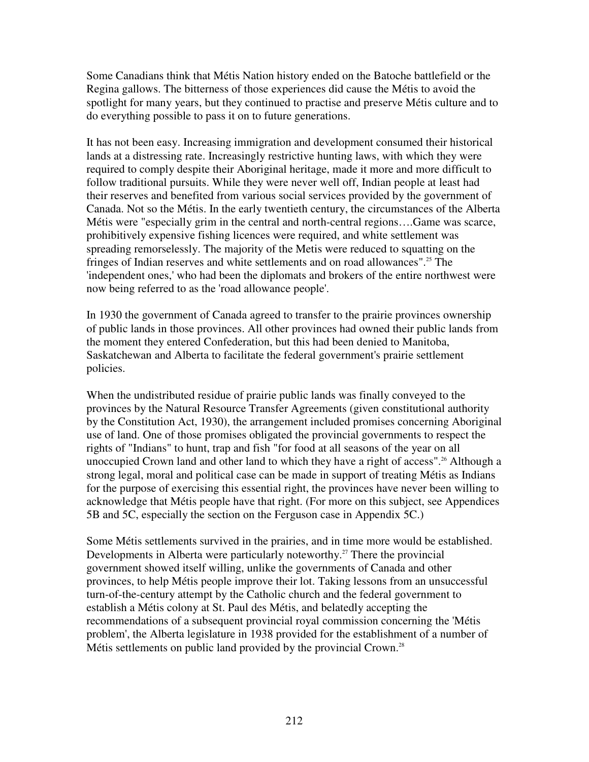Some Canadians think that Métis Nation history ended on the Batoche battlefield or the Regina gallows. The bitterness of those experiences did cause the Métis to avoid the spotlight for many years, but they continued to practise and preserve Métis culture and to do everything possible to pass it on to future generations.

It has not been easy. Increasing immigration and development consumed their historical lands at a distressing rate. Increasingly restrictive hunting laws, with which they were required to comply despite their Aboriginal heritage, made it more and more difficult to follow traditional pursuits. While they were never well off, Indian people at least had their reserves and benefited from various social services provided by the government of Canada. Not so the Métis. In the early twentieth century, the circumstances of the Alberta Métis were "especially grim in the central and north-central regions….Game was scarce, prohibitively expensive fishing licences were required, and white settlement was spreading remorselessly. The majority of the Metis were reduced to squatting on the fringes of Indian reserves and white settlements and on road allowances". <sup>25</sup> The 'independent ones,' who had been the diplomats and brokers of the entire northwest were now being referred to as the 'road allowance people'.

In 1930 the government of Canada agreed to transfer to the prairie provinces ownership of public lands in those provinces. All other provinces had owned their public lands from the moment they entered Confederation, but this had been denied to Manitoba, Saskatchewan and Alberta to facilitate the federal government's prairie settlement policies.

When the undistributed residue of prairie public lands was finally conveyed to the provinces by the Natural Resource Transfer Agreements (given constitutional authority by the Constitution Act, 1930), the arrangement included promises concerning Aboriginal use of land. One of those promises obligated the provincial governments to respect the rights of "Indians" to hunt, trap and fish "for food at all seasons of the year on all unoccupied Crown land and other land to which they have a right of access". <sup>26</sup> Although a strong legal, moral and political case can be made in support of treating Métis as Indians for the purpose of exercising this essential right, the provinces have never been willing to acknowledge that Métis people have that right. (For more on this subject, see Appendices 5B and 5C, especially the section on the Ferguson case in Appendix 5C.)

Some Métis settlements survived in the prairies, and in time more would be established. Developments in Alberta were particularly noteworthy.<sup>27</sup> There the provincial government showed itself willing, unlike the governments of Canada and other provinces, to help Métis people improve their lot. Taking lessons from an unsuccessful turn-of-the-century attempt by the Catholic church and the federal government to establish a Métis colony at St. Paul des Métis, and belatedly accepting the recommendations of a subsequent provincial royal commission concerning the 'Métis problem', the Alberta legislature in 1938 provided for the establishment of a number of Métis settlements on public land provided by the provincial Crown.<sup>28</sup>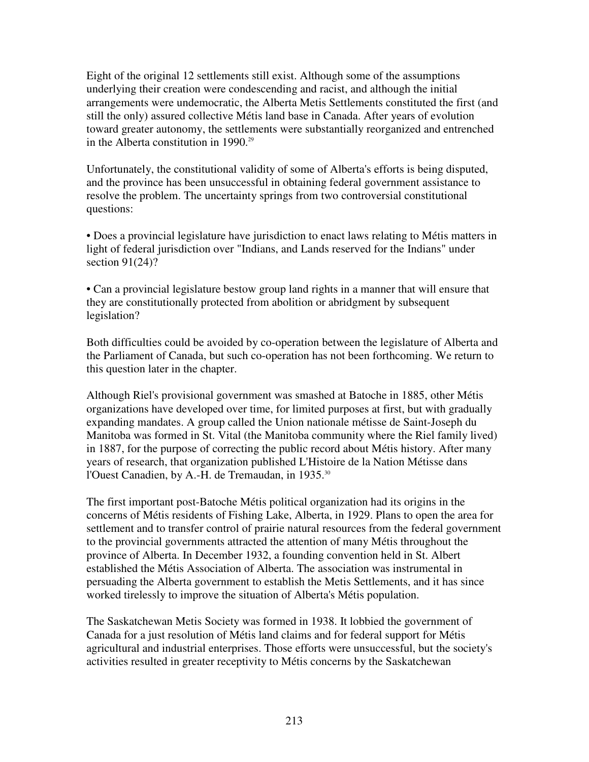Eight of the original 12 settlements still exist. Although some of the assumptions underlying their creation were condescending and racist, and although the initial arrangements were undemocratic, the Alberta Metis Settlements constituted the first (and still the only) assured collective Métis land base in Canada. After years of evolution toward greater autonomy, the settlements were substantially reorganized and entrenched in the Alberta constitution in 1990. 29

Unfortunately, the constitutional validity of some of Alberta's efforts is being disputed, and the province has been unsuccessful in obtaining federal government assistance to resolve the problem. The uncertainty springs from two controversial constitutional questions:

• Does a provincial legislature have jurisdiction to enact laws relating to Métis matters in light of federal jurisdiction over "Indians, and Lands reserved for the Indians" under section 91(24)?

• Can a provincial legislature bestow group land rights in a manner that will ensure that they are constitutionally protected from abolition or abridgment by subsequent legislation?

Both difficulties could be avoided by co-operation between the legislature of Alberta and the Parliament of Canada, but such co-operation has not been forthcoming. We return to this question later in the chapter.

Although Riel's provisional government was smashed at Batoche in 1885, other Métis organizations have developed over time, for limited purposes at first, but with gradually expanding mandates. A group called the Union nationale métisse de Saint-Joseph du Manitoba was formed in St. Vital (the Manitoba community where the Riel family lived) in 1887, for the purpose of correcting the public record about Métis history. After many years of research, that organization published L'Histoire de la Nation Métisse dans l'Ouest Canadien, by A.-H. de Tremaudan, in 1935.<sup>30</sup>

The first important post-Batoche Métis political organization had its origins in the concerns of Métis residents of Fishing Lake, Alberta, in 1929. Plans to open the area for settlement and to transfer control of prairie natural resources from the federal government to the provincial governments attracted the attention of many Métis throughout the province of Alberta. In December 1932, a founding convention held in St. Albert established the Métis Association of Alberta. The association was instrumental in persuading the Alberta government to establish the Metis Settlements, and it has since worked tirelessly to improve the situation of Alberta's Métis population.

The Saskatchewan Metis Society was formed in 1938. It lobbied the government of Canada for a just resolution of Métis land claims and for federal support for Métis agricultural and industrial enterprises. Those efforts were unsuccessful, but the society's activities resulted in greater receptivity to Métis concerns by the Saskatchewan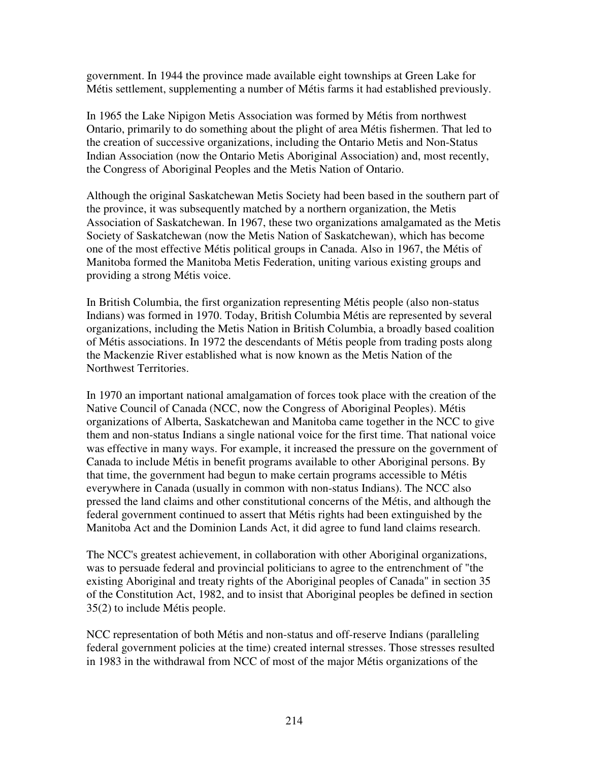government. In 1944 the province made available eight townships at Green Lake for Métis settlement, supplementing a number of Métis farms it had established previously.

In 1965 the Lake Nipigon Metis Association was formed by Métis from northwest Ontario, primarily to do something about the plight of area Métis fishermen. That led to the creation of successive organizations, including the Ontario Metis and Non-Status Indian Association (now the Ontario Metis Aboriginal Association) and, most recently, the Congress of Aboriginal Peoples and the Metis Nation of Ontario.

Although the original Saskatchewan Metis Society had been based in the southern part of the province, it was subsequently matched by a northern organization, the Metis Association of Saskatchewan. In 1967, these two organizations amalgamated as the Metis Society of Saskatchewan (now the Metis Nation of Saskatchewan), which has become one of the most effective Métis political groups in Canada. Also in 1967, the Métis of Manitoba formed the Manitoba Metis Federation, uniting various existing groups and providing a strong Métis voice.

In British Columbia, the first organization representing Métis people (also non-status Indians) was formed in 1970. Today, British Columbia Métis are represented by several organizations, including the Metis Nation in British Columbia, a broadly based coalition of Métis associations. In 1972 the descendants of Métis people from trading posts along the Mackenzie River established what is now known as the Metis Nation of the Northwest Territories.

In 1970 an important national amalgamation of forces took place with the creation of the Native Council of Canada (NCC, now the Congress of Aboriginal Peoples). Métis organizations of Alberta, Saskatchewan and Manitoba came together in the NCC to give them and non-status Indians a single national voice for the first time. That national voice was effective in many ways. For example, it increased the pressure on the government of Canada to include Métis in benefit programs available to other Aboriginal persons. By that time, the government had begun to make certain programs accessible to Métis everywhere in Canada (usually in common with non-status Indians). The NCC also pressed the land claims and other constitutional concerns of the Métis, and although the federal government continued to assert that Métis rights had been extinguished by the Manitoba Act and the Dominion Lands Act, it did agree to fund land claims research.

The NCC's greatest achievement, in collaboration with other Aboriginal organizations, was to persuade federal and provincial politicians to agree to the entrenchment of "the existing Aboriginal and treaty rights of the Aboriginal peoples of Canada" in section 35 of the Constitution Act, 1982, and to insist that Aboriginal peoples be defined in section 35(2) to include Métis people.

NCC representation of both Métis and non-status and off-reserve Indians (paralleling federal government policies at the time) created internal stresses. Those stresses resulted in 1983 in the withdrawal from NCC of most of the major Métis organizations of the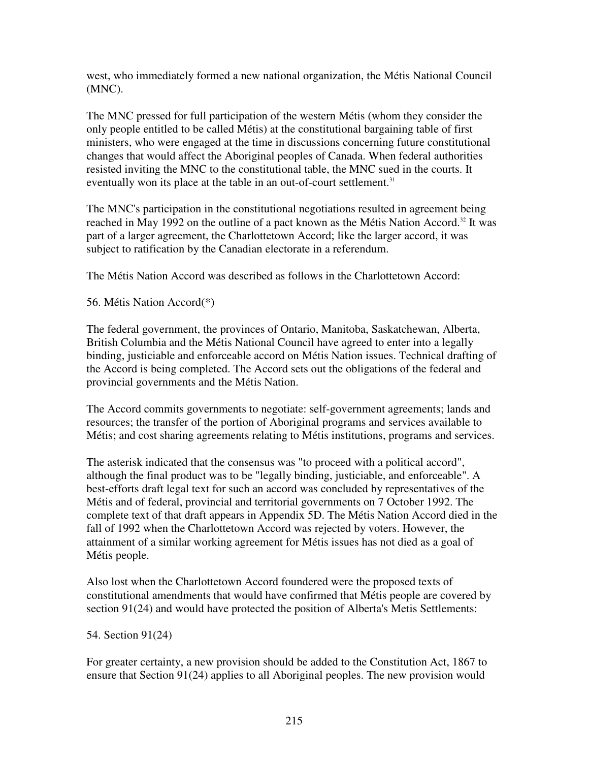west, who immediately formed a new national organization, the Métis National Council (MNC).

The MNC pressed for full participation of the western Métis (whom they consider the only people entitled to be called Métis) at the constitutional bargaining table of first ministers, who were engaged at the time in discussions concerning future constitutional changes that would affect the Aboriginal peoples of Canada. When federal authorities resisted inviting the MNC to the constitutional table, the MNC sued in the courts. It eventually won its place at the table in an out-of-court settlement.<sup>31</sup>

The MNC's participation in the constitutional negotiations resulted in agreement being reached in May 1992 on the outline of a pact known as the Métis Nation Accord.<sup>32</sup> It was part of a larger agreement, the Charlottetown Accord; like the larger accord, it was subject to ratification by the Canadian electorate in a referendum.

The Métis Nation Accord was described as follows in the Charlottetown Accord:

56. Métis Nation Accord(\*)

The federal government, the provinces of Ontario, Manitoba, Saskatchewan, Alberta, British Columbia and the Métis National Council have agreed to enter into a legally binding, justiciable and enforceable accord on Métis Nation issues. Technical drafting of the Accord is being completed. The Accord sets out the obligations of the federal and provincial governments and the Métis Nation.

The Accord commits governments to negotiate: self-government agreements; lands and resources; the transfer of the portion of Aboriginal programs and services available to Métis; and cost sharing agreements relating to Métis institutions, programs and services.

The asterisk indicated that the consensus was "to proceed with a political accord", although the final product was to be "legally binding, justiciable, and enforceable". A best-efforts draft legal text for such an accord was concluded by representatives of the Métis and of federal, provincial and territorial governments on 7 October 1992. The complete text of that draft appears in Appendix 5D. The Métis Nation Accord died in the fall of 1992 when the Charlottetown Accord was rejected by voters. However, the attainment of a similar working agreement for Métis issues has not died as a goal of Métis people.

Also lost when the Charlottetown Accord foundered were the proposed texts of constitutional amendments that would have confirmed that Métis people are covered by section 91(24) and would have protected the position of Alberta's Metis Settlements:

#### 54. Section 91(24)

For greater certainty, a new provision should be added to the Constitution Act, 1867 to ensure that Section 91(24) applies to all Aboriginal peoples. The new provision would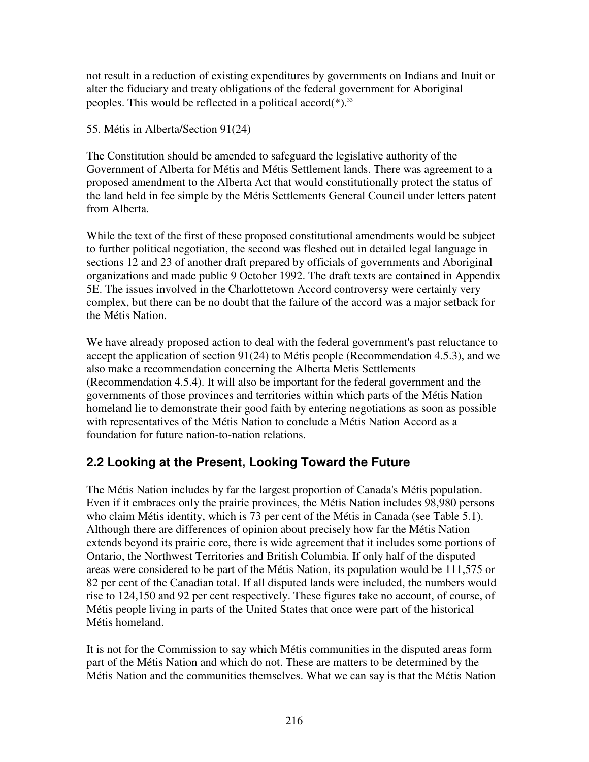not result in a reduction of existing expenditures by governments on Indians and Inuit or alter the fiduciary and treaty obligations of the federal government for Aboriginal peoples. This would be reflected in a political accord(\*). 33

55. Métis in Alberta/Section 91(24)

The Constitution should be amended to safeguard the legislative authority of the Government of Alberta for Métis and Métis Settlement lands. There was agreement to a proposed amendment to the Alberta Act that would constitutionally protect the status of the land held in fee simple by the Métis Settlements General Council under letters patent from Alberta.

While the text of the first of these proposed constitutional amendments would be subject to further political negotiation, the second was fleshed out in detailed legal language in sections 12 and 23 of another draft prepared by officials of governments and Aboriginal organizations and made public 9 October 1992. The draft texts are contained in Appendix 5E. The issues involved in the Charlottetown Accord controversy were certainly very complex, but there can be no doubt that the failure of the accord was a major setback for the Métis Nation.

We have already proposed action to deal with the federal government's past reluctance to accept the application of section 91(24) to Métis people (Recommendation 4.5.3), and we also make a recommendation concerning the Alberta Metis Settlements (Recommendation 4.5.4). It will also be important for the federal government and the governments of those provinces and territories within which parts of the Métis Nation homeland lie to demonstrate their good faith by entering negotiations as soon as possible with representatives of the Métis Nation to conclude a Métis Nation Accord as a foundation for future nation-to-nation relations.

# **2.2 Looking at the Present, Looking Toward the Future**

The Métis Nation includes by far the largest proportion of Canada's Métis population. Even if it embraces only the prairie provinces, the Métis Nation includes 98,980 persons who claim Métis identity, which is 73 per cent of the Métis in Canada (see Table 5.1). Although there are differences of opinion about precisely how far the Métis Nation extends beyond its prairie core, there is wide agreement that it includes some portions of Ontario, the Northwest Territories and British Columbia. If only half of the disputed areas were considered to be part of the Métis Nation, its population would be 111,575 or 82 per cent of the Canadian total. If all disputed lands were included, the numbers would rise to 124,150 and 92 per cent respectively. These figures take no account, of course, of Métis people living in parts of the United States that once were part of the historical Métis homeland.

It is not for the Commission to say which Métis communities in the disputed areas form part of the Métis Nation and which do not. These are matters to be determined by the Métis Nation and the communities themselves. What we can say is that the Métis Nation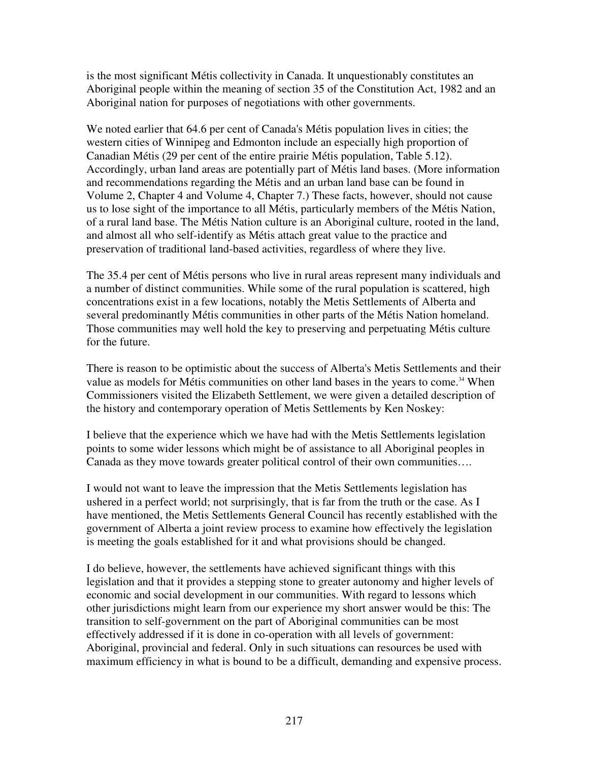is the most significant Métis collectivity in Canada. It unquestionably constitutes an Aboriginal people within the meaning of section 35 of the Constitution Act, 1982 and an Aboriginal nation for purposes of negotiations with other governments.

We noted earlier that 64.6 per cent of Canada's Métis population lives in cities; the western cities of Winnipeg and Edmonton include an especially high proportion of Canadian Métis (29 per cent of the entire prairie Métis population, Table 5.12). Accordingly, urban land areas are potentially part of Métis land bases. (More information and recommendations regarding the Métis and an urban land base can be found in Volume 2, Chapter 4 and Volume 4, Chapter 7.) These facts, however, should not cause us to lose sight of the importance to all Métis, particularly members of the Métis Nation, of a rural land base. The Métis Nation culture is an Aboriginal culture, rooted in the land, and almost all who self-identify as Métis attach great value to the practice and preservation of traditional land-based activities, regardless of where they live.

The 35.4 per cent of Métis persons who live in rural areas represent many individuals and a number of distinct communities. While some of the rural population is scattered, high concentrations exist in a few locations, notably the Metis Settlements of Alberta and several predominantly Métis communities in other parts of the Métis Nation homeland. Those communities may well hold the key to preserving and perpetuating Métis culture for the future.

There is reason to be optimistic about the success of Alberta's Metis Settlements and their value as models for Métis communities on other land bases in the years to come.<sup>34</sup> When Commissioners visited the Elizabeth Settlement, we were given a detailed description of the history and contemporary operation of Metis Settlements by Ken Noskey:

I believe that the experience which we have had with the Metis Settlements legislation points to some wider lessons which might be of assistance to all Aboriginal peoples in Canada as they move towards greater political control of their own communities….

I would not want to leave the impression that the Metis Settlements legislation has ushered in a perfect world; not surprisingly, that is far from the truth or the case. As I have mentioned, the Metis Settlements General Council has recently established with the government of Alberta a joint review process to examine how effectively the legislation is meeting the goals established for it and what provisions should be changed.

I do believe, however, the settlements have achieved significant things with this legislation and that it provides a stepping stone to greater autonomy and higher levels of economic and social development in our communities. With regard to lessons which other jurisdictions might learn from our experience my short answer would be this: The transition to self-government on the part of Aboriginal communities can be most effectively addressed if it is done in co-operation with all levels of government: Aboriginal, provincial and federal. Only in such situations can resources be used with maximum efficiency in what is bound to be a difficult, demanding and expensive process.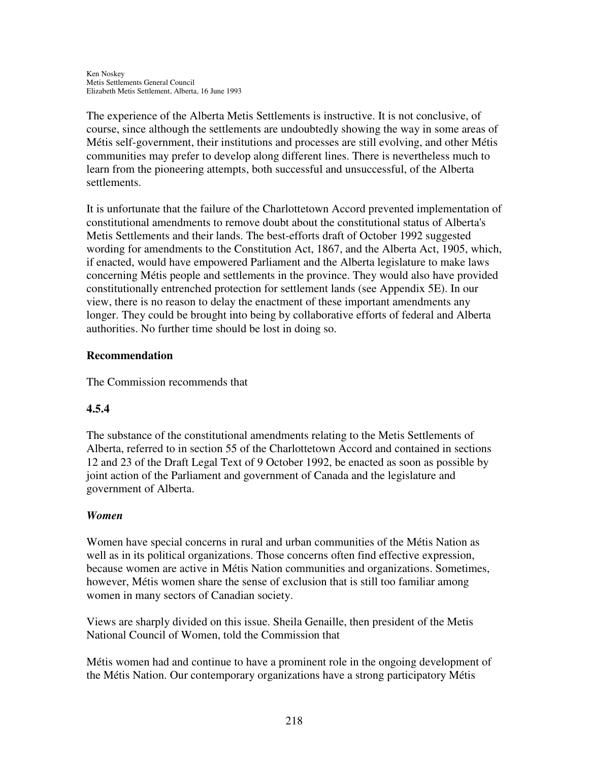The experience of the Alberta Metis Settlements is instructive. It is not conclusive, of course, since although the settlements are undoubtedly showing the way in some areas of Métis self-government, their institutions and processes are still evolving, and other Métis communities may prefer to develop along different lines. There is nevertheless much to learn from the pioneering attempts, both successful and unsuccessful, of the Alberta settlements.

It is unfortunate that the failure of the Charlottetown Accord prevented implementation of constitutional amendments to remove doubt about the constitutional status of Alberta's Metis Settlements and their lands. The best-efforts draft of October 1992 suggested wording for amendments to the Constitution Act, 1867, and the Alberta Act, 1905, which, if enacted, would have empowered Parliament and the Alberta legislature to make laws concerning Métis people and settlements in the province. They would also have provided constitutionally entrenched protection for settlement lands (see Appendix 5E). In our view, there is no reason to delay the enactment of these important amendments any longer. They could be brought into being by collaborative efforts of federal and Alberta authorities. No further time should be lost in doing so.

# **Recommendation**

The Commission recommends that

# **4.5.4**

The substance of the constitutional amendments relating to the Metis Settlements of Alberta, referred to in section 55 of the Charlottetown Accord and contained in sections 12 and 23 of the Draft Legal Text of 9 October 1992, be enacted as soon as possible by joint action of the Parliament and government of Canada and the legislature and government of Alberta.

#### *Women*

Women have special concerns in rural and urban communities of the Métis Nation as well as in its political organizations. Those concerns often find effective expression, because women are active in Métis Nation communities and organizations. Sometimes, however, Métis women share the sense of exclusion that is still too familiar among women in many sectors of Canadian society.

Views are sharply divided on this issue. Sheila Genaille, then president of the Metis National Council of Women, told the Commission that

Métis women had and continue to have a prominent role in the ongoing development of the Métis Nation. Our contemporary organizations have a strong participatory Métis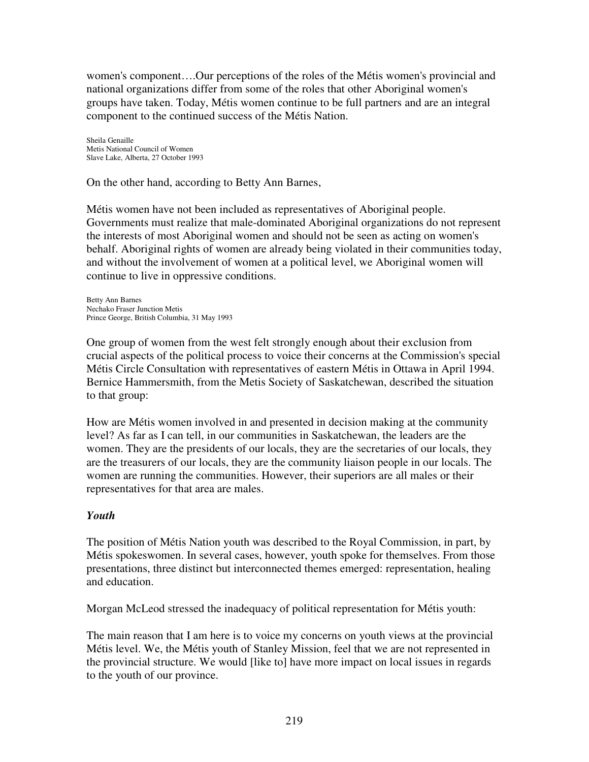women's component….Our perceptions of the roles of the Métis women's provincial and national organizations differ from some of the roles that other Aboriginal women's groups have taken. Today, Métis women continue to be full partners and are an integral component to the continued success of the Métis Nation.

Sheila Genaille Metis National Council of Women Slave Lake, Alberta, 27 October 1993

On the other hand, according to Betty Ann Barnes,

Métis women have not been included as representatives of Aboriginal people. Governments must realize that male-dominated Aboriginal organizations do not represent the interests of most Aboriginal women and should not be seen as acting on women's behalf. Aboriginal rights of women are already being violated in their communities today, and without the involvement of women at a political level, we Aboriginal women will continue to live in oppressive conditions.

Betty Ann Barnes Nechako Fraser Junction Metis Prince George, British Columbia, 31 May 1993

One group of women from the west felt strongly enough about their exclusion from crucial aspects of the political process to voice their concerns at the Commission's special Métis Circle Consultation with representatives of eastern Métis in Ottawa in April 1994. Bernice Hammersmith, from the Metis Society of Saskatchewan, described the situation to that group:

How are Métis women involved in and presented in decision making at the community level? As far as I can tell, in our communities in Saskatchewan, the leaders are the women. They are the presidents of our locals, they are the secretaries of our locals, they are the treasurers of our locals, they are the community liaison people in our locals. The women are running the communities. However, their superiors are all males or their representatives for that area are males.

#### *Youth*

The position of Métis Nation youth was described to the Royal Commission, in part, by Métis spokeswomen. In several cases, however, youth spoke for themselves. From those presentations, three distinct but interconnected themes emerged: representation, healing and education.

Morgan McLeod stressed the inadequacy of political representation for Métis youth:

The main reason that I am here is to voice my concerns on youth views at the provincial Métis level. We, the Métis youth of Stanley Mission, feel that we are not represented in the provincial structure. We would [like to] have more impact on local issues in regards to the youth of our province.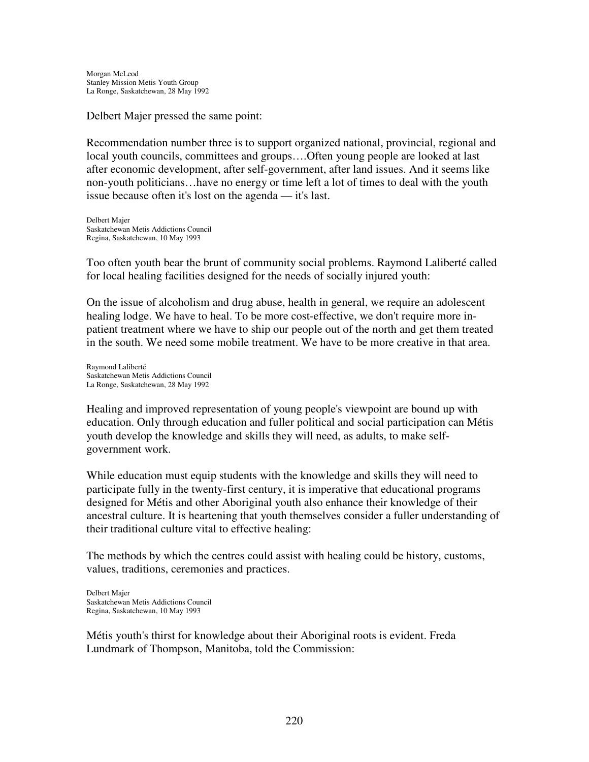Delbert Majer pressed the same point:

Recommendation number three is to support organized national, provincial, regional and local youth councils, committees and groups….Often young people are looked at last after economic development, after self-government, after land issues. And it seems like non-youth politicians…have no energy or time left a lot of times to deal with the youth issue because often it's lost on the agenda — it's last.

Delbert Majer Saskatchewan Metis Addictions Council Regina, Saskatchewan, 10 May 1993

Too often youth bear the brunt of community social problems. Raymond Laliberté called for local healing facilities designed for the needs of socially injured youth:

On the issue of alcoholism and drug abuse, health in general, we require an adolescent healing lodge. We have to heal. To be more cost-effective, we don't require more inpatient treatment where we have to ship our people out of the north and get them treated in the south. We need some mobile treatment. We have to be more creative in that area.

Raymond Laliberté Saskatchewan Metis Addictions Council La Ronge, Saskatchewan, 28 May 1992

Healing and improved representation of young people's viewpoint are bound up with education. Only through education and fuller political and social participation can Métis youth develop the knowledge and skills they will need, as adults, to make selfgovernment work.

While education must equip students with the knowledge and skills they will need to participate fully in the twenty-first century, it is imperative that educational programs designed for Métis and other Aboriginal youth also enhance their knowledge of their ancestral culture. It is heartening that youth themselves consider a fuller understanding of their traditional culture vital to effective healing:

The methods by which the centres could assist with healing could be history, customs, values, traditions, ceremonies and practices.

Delbert Majer Saskatchewan Metis Addictions Council Regina, Saskatchewan, 10 May 1993

Métis youth's thirst for knowledge about their Aboriginal roots is evident. Freda Lundmark of Thompson, Manitoba, told the Commission: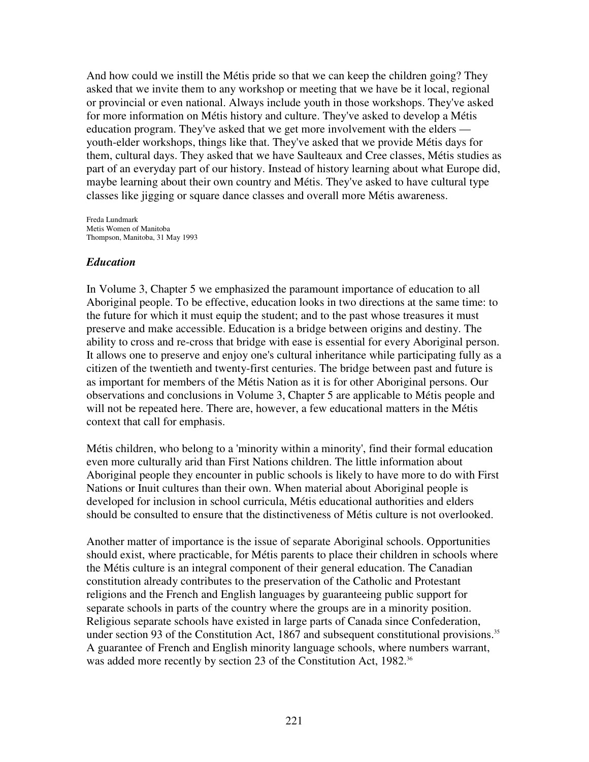And how could we instill the Métis pride so that we can keep the children going? They asked that we invite them to any workshop or meeting that we have be it local, regional or provincial or even national. Always include youth in those workshops. They've asked for more information on Métis history and culture. They've asked to develop a Métis education program. They've asked that we get more involvement with the elders youth-elder workshops, things like that. They've asked that we provide Métis days for them, cultural days. They asked that we have Saulteaux and Cree classes, Métis studies as part of an everyday part of our history. Instead of history learning about what Europe did, maybe learning about their own country and Métis. They've asked to have cultural type classes like jigging or square dance classes and overall more Métis awareness.

Freda Lundmark Metis Women of Manitoba Thompson, Manitoba, 31 May 1993

#### *Education*

In Volume 3, Chapter 5 we emphasized the paramount importance of education to all Aboriginal people. To be effective, education looks in two directions at the same time: to the future for which it must equip the student; and to the past whose treasures it must preserve and make accessible. Education is a bridge between origins and destiny. The ability to cross and re-cross that bridge with ease is essential for every Aboriginal person. It allows one to preserve and enjoy one's cultural inheritance while participating fully as a citizen of the twentieth and twenty-first centuries. The bridge between past and future is as important for members of the Métis Nation as it is for other Aboriginal persons. Our observations and conclusions in Volume 3, Chapter 5 are applicable to Métis people and will not be repeated here. There are, however, a few educational matters in the Métis context that call for emphasis.

Métis children, who belong to a 'minority within a minority', find their formal education even more culturally arid than First Nations children. The little information about Aboriginal people they encounter in public schools is likely to have more to do with First Nations or Inuit cultures than their own. When material about Aboriginal people is developed for inclusion in school curricula, Métis educational authorities and elders should be consulted to ensure that the distinctiveness of Métis culture is not overlooked.

Another matter of importance is the issue of separate Aboriginal schools. Opportunities should exist, where practicable, for Métis parents to place their children in schools where the Métis culture is an integral component of their general education. The Canadian constitution already contributes to the preservation of the Catholic and Protestant religions and the French and English languages by guaranteeing public support for separate schools in parts of the country where the groups are in a minority position. Religious separate schools have existed in large parts of Canada since Confederation, under section 93 of the Constitution Act, 1867 and subsequent constitutional provisions.<sup>35</sup> A guarantee of French and English minority language schools, where numbers warrant, was added more recently by section 23 of the Constitution Act, 1982.<sup>36</sup>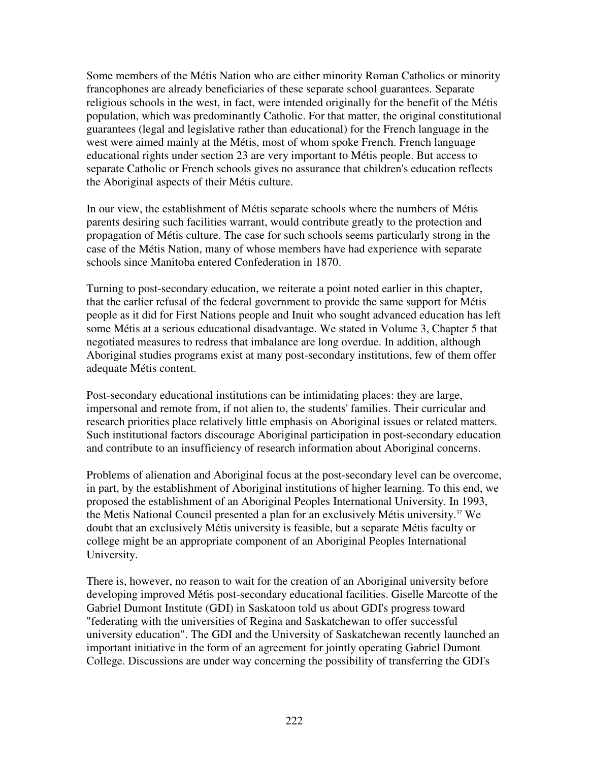Some members of the Métis Nation who are either minority Roman Catholics or minority francophones are already beneficiaries of these separate school guarantees. Separate religious schools in the west, in fact, were intended originally for the benefit of the Métis population, which was predominantly Catholic. For that matter, the original constitutional guarantees (legal and legislative rather than educational) for the French language in the west were aimed mainly at the Métis, most of whom spoke French. French language educational rights under section 23 are very important to Métis people. But access to separate Catholic or French schools gives no assurance that children's education reflects the Aboriginal aspects of their Métis culture.

In our view, the establishment of Métis separate schools where the numbers of Métis parents desiring such facilities warrant, would contribute greatly to the protection and propagation of Métis culture. The case for such schools seems particularly strong in the case of the Métis Nation, many of whose members have had experience with separate schools since Manitoba entered Confederation in 1870.

Turning to post-secondary education, we reiterate a point noted earlier in this chapter, that the earlier refusal of the federal government to provide the same support for Métis people as it did for First Nations people and Inuit who sought advanced education has left some Métis at a serious educational disadvantage. We stated in Volume 3, Chapter 5 that negotiated measures to redress that imbalance are long overdue. In addition, although Aboriginal studies programs exist at many post-secondary institutions, few of them offer adequate Métis content.

Post-secondary educational institutions can be intimidating places: they are large, impersonal and remote from, if not alien to, the students' families. Their curricular and research priorities place relatively little emphasis on Aboriginal issues or related matters. Such institutional factors discourage Aboriginal participation in post-secondary education and contribute to an insufficiency of research information about Aboriginal concerns.

Problems of alienation and Aboriginal focus at the post-secondary level can be overcome, in part, by the establishment of Aboriginal institutions of higher learning. To this end, we proposed the establishment of an Aboriginal Peoples International University. In 1993, the Metis National Council presented a plan for an exclusively Métis university. <sup>37</sup> We doubt that an exclusively Métis university is feasible, but a separate Métis faculty or college might be an appropriate component of an Aboriginal Peoples International University.

There is, however, no reason to wait for the creation of an Aboriginal university before developing improved Métis post-secondary educational facilities. Giselle Marcotte of the Gabriel Dumont Institute (GDI) in Saskatoon told us about GDI's progress toward "federating with the universities of Regina and Saskatchewan to offer successful university education". The GDI and the University of Saskatchewan recently launched an important initiative in the form of an agreement for jointly operating Gabriel Dumont College. Discussions are under way concerning the possibility of transferring the GDI's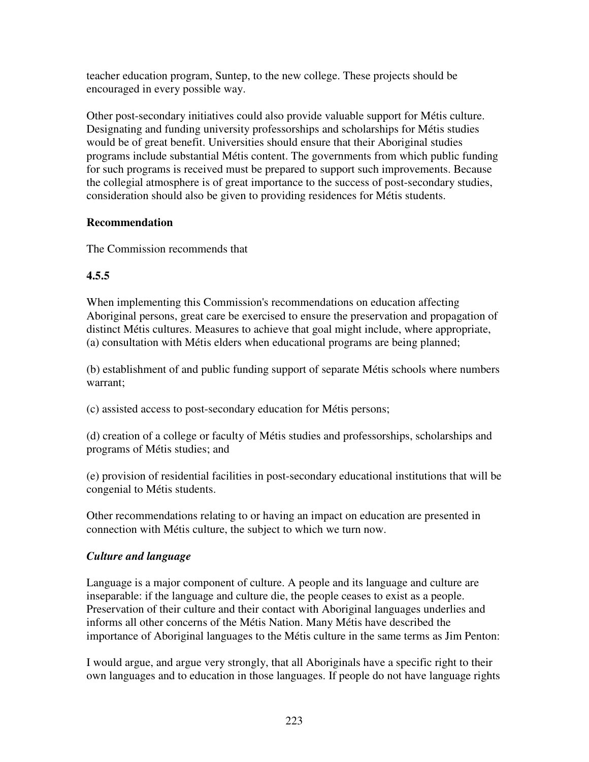teacher education program, Suntep, to the new college. These projects should be encouraged in every possible way.

Other post-secondary initiatives could also provide valuable support for Métis culture. Designating and funding university professorships and scholarships for Métis studies would be of great benefit. Universities should ensure that their Aboriginal studies programs include substantial Métis content. The governments from which public funding for such programs is received must be prepared to support such improvements. Because the collegial atmosphere is of great importance to the success of post-secondary studies, consideration should also be given to providing residences for Métis students.

# **Recommendation**

The Commission recommends that

# **4.5.5**

When implementing this Commission's recommendations on education affecting Aboriginal persons, great care be exercised to ensure the preservation and propagation of distinct Métis cultures. Measures to achieve that goal might include, where appropriate, (a) consultation with Métis elders when educational programs are being planned;

(b) establishment of and public funding support of separate Métis schools where numbers warrant;

(c) assisted access to post-secondary education for Métis persons;

(d) creation of a college or faculty of Métis studies and professorships, scholarships and programs of Métis studies; and

(e) provision of residential facilities in post-secondary educational institutions that will be congenial to Métis students.

Other recommendations relating to or having an impact on education are presented in connection with Métis culture, the subject to which we turn now.

# *Culture and language*

Language is a major component of culture. A people and its language and culture are inseparable: if the language and culture die, the people ceases to exist as a people. Preservation of their culture and their contact with Aboriginal languages underlies and informs all other concerns of the Métis Nation. Many Métis have described the importance of Aboriginal languages to the Métis culture in the same terms as Jim Penton:

I would argue, and argue very strongly, that all Aboriginals have a specific right to their own languages and to education in those languages. If people do not have language rights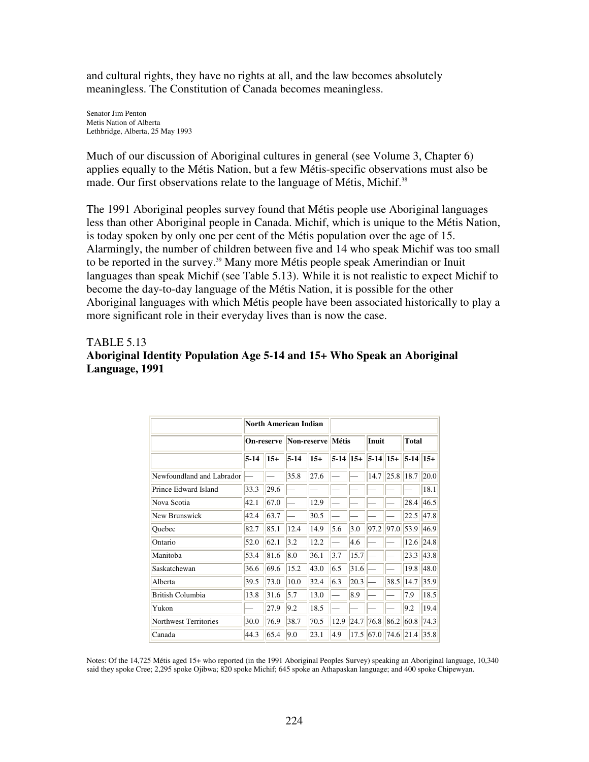and cultural rights, they have no rights at all, and the law becomes absolutely meaningless. The Constitution of Canada becomes meaningless.

Senator Jim Penton Metis Nation of Alberta Lethbridge, Alberta, 25 May 1993

Much of our discussion of Aboriginal cultures in general (see Volume 3, Chapter 6) applies equally to the Métis Nation, but a few Métis-specific observations must also be made. Our first observations relate to the language of Métis, Michif.<sup>38</sup>

The 1991 Aboriginal peoples survey found that Métis people use Aboriginal languages less than other Aboriginal people in Canada. Michif, which is unique to the Métis Nation, is today spoken by only one per cent of the Métis population over the age of 15. Alarmingly, the number of children between five and 14 who speak Michif was too small to be reported in the survey. <sup>39</sup> Many more Métis people speak Amerindian or Inuit languages than speak Michif (see Table 5.13). While it is not realistic to expect Michif to become the day-to-day language of the Métis Nation, it is possible for the other Aboriginal languages with which Métis people have been associated historically to play a more significant role in their everyday lives than is now the case.

#### TABLE 5.13 **Aboriginal Identity Population Age 5-14 and 15+ Who Speak an Aboriginal Language, 1991**

|                           | North American Indian |       |             |       |              |      |            |      |              |       |
|---------------------------|-----------------------|-------|-------------|-------|--------------|------|------------|------|--------------|-------|
|                           | <b>On-reserve</b>     |       | Non-reserve |       | <b>Métis</b> |      | Inuit      |      | <b>Total</b> |       |
|                           | $5 - 14$              | $15+$ | $5 - 14$    | $15+$ | $5-14$ 15+   |      | $5-14$ 15+ |      | $5-14$       | $15+$ |
| Newfoundland and Labrador |                       |       | 35.8        | 27.6  |              |      | 14.7       | 25.8 | 18.7         | 20.0  |
| Prince Edward Island      | 33.3                  | 29.6  |             |       |              |      |            |      |              | 18.1  |
| Nova Scotia               | 42.1                  | 67.0  |             | 12.9  |              |      |            |      | 28.4         | 46.5  |
| New Brunswick             | 42.4                  | 63.7  |             | 30.5  |              |      |            |      | 22.5         | 47.8  |
| Ouebec                    | 82.7                  | 85.1  | 12.4        | 14.9  | 5.6          | 3.0  | 97.2       | 97.0 | 53.9         | 46.9  |
| Ontario                   | 52.0                  | 62.1  | 3.2         | 12.2  |              | 4.6  |            |      | 12.6         | 24.8  |
| Manitoba                  | 53.4                  | 81.6  | 8.0         | 36.1  | 3.7          | 15.7 |            |      | 23.3         | 43.8  |
| Saskatchewan              | 36.6                  | 69.6  | 15.2        | 43.0  | 6.5          | 31.6 |            |      | 19.8         | 48.0  |
| Alberta                   | 39.5                  | 73.0  | 10.0        | 32.4  | 6.3          | 20.3 |            | 38.5 | 14.7         | 35.9  |
| <b>British Columbia</b>   | 13.8                  | 31.6  | 5.7         | 13.0  |              | 8.9  |            |      | 7.9          | 18.5  |
| Yukon                     |                       | 27.9  | 9.2         | 18.5  |              |      |            |      | 9.2          | 19.4  |
| Northwest Territories     | 30.0                  | 76.9  | 38.7        | 70.5  | 12.9         | 24.7 | 76.8       | 86.2 | 60.8         | 74.3  |
| Canada                    | 44.3                  | 65.4  | 9.0         | 23.1  | 4.9          | 17.5 | 67.0       | 74.6 | 21.4         | 35.8  |

Notes: Of the 14,725 Métis aged 15+ who reported (in the 1991 Aboriginal Peoples Survey) speaking an Aboriginal language, 10,340 said they spoke Cree; 2,295 spoke Ojibwa; 820 spoke Michif; 645 spoke an Athapaskan language; and 400 spoke Chipewyan.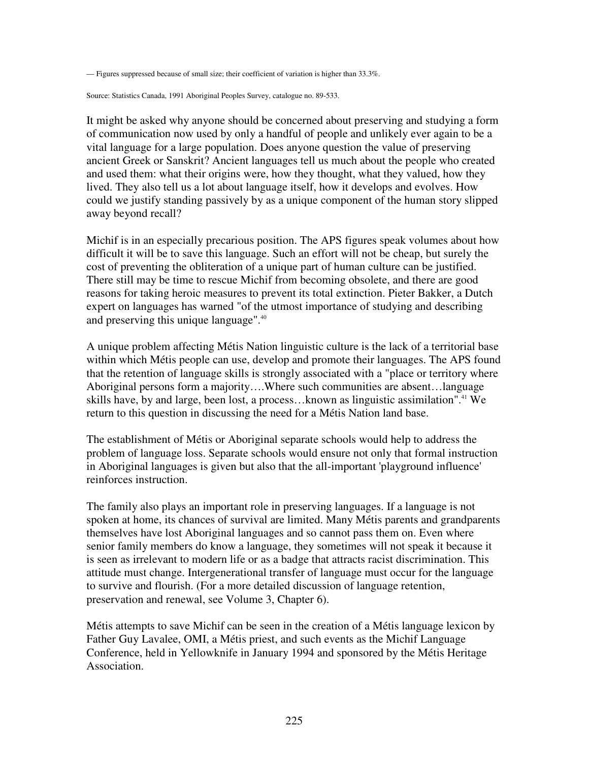— Figures suppressed because of small size; their coefficient of variation is higher than 33.3%.

Source: Statistics Canada, 1991 Aboriginal Peoples Survey, catalogue no. 89-533.

It might be asked why anyone should be concerned about preserving and studying a form of communication now used by only a handful of people and unlikely ever again to be a vital language for a large population. Does anyone question the value of preserving ancient Greek or Sanskrit? Ancient languages tell us much about the people who created and used them: what their origins were, how they thought, what they valued, how they lived. They also tell us a lot about language itself, how it develops and evolves. How could we justify standing passively by as a unique component of the human story slipped away beyond recall?

Michif is in an especially precarious position. The APS figures speak volumes about how difficult it will be to save this language. Such an effort will not be cheap, but surely the cost of preventing the obliteration of a unique part of human culture can be justified. There still may be time to rescue Michif from becoming obsolete, and there are good reasons for taking heroic measures to prevent its total extinction. Pieter Bakker, a Dutch expert on languages has warned "of the utmost importance of studying and describing and preserving this unique language". 40

A unique problem affecting Métis Nation linguistic culture is the lack of a territorial base within which Métis people can use, develop and promote their languages. The APS found that the retention of language skills is strongly associated with a "place or territory where Aboriginal persons form a majority….Where such communities are absent…language skills have, by and large, been lost, a process…known as linguistic assimilation". <sup>41</sup> We return to this question in discussing the need for a Métis Nation land base.

The establishment of Métis or Aboriginal separate schools would help to address the problem of language loss. Separate schools would ensure not only that formal instruction in Aboriginal languages is given but also that the all-important 'playground influence' reinforces instruction.

The family also plays an important role in preserving languages. If a language is not spoken at home, its chances of survival are limited. Many Métis parents and grandparents themselves have lost Aboriginal languages and so cannot pass them on. Even where senior family members do know a language, they sometimes will not speak it because it is seen as irrelevant to modern life or as a badge that attracts racist discrimination. This attitude must change. Intergenerational transfer of language must occur for the language to survive and flourish. (For a more detailed discussion of language retention, preservation and renewal, see Volume 3, Chapter 6).

Métis attempts to save Michif can be seen in the creation of a Métis language lexicon by Father Guy Lavalee, OMI, a Métis priest, and such events as the Michif Language Conference, held in Yellowknife in January 1994 and sponsored by the Métis Heritage Association.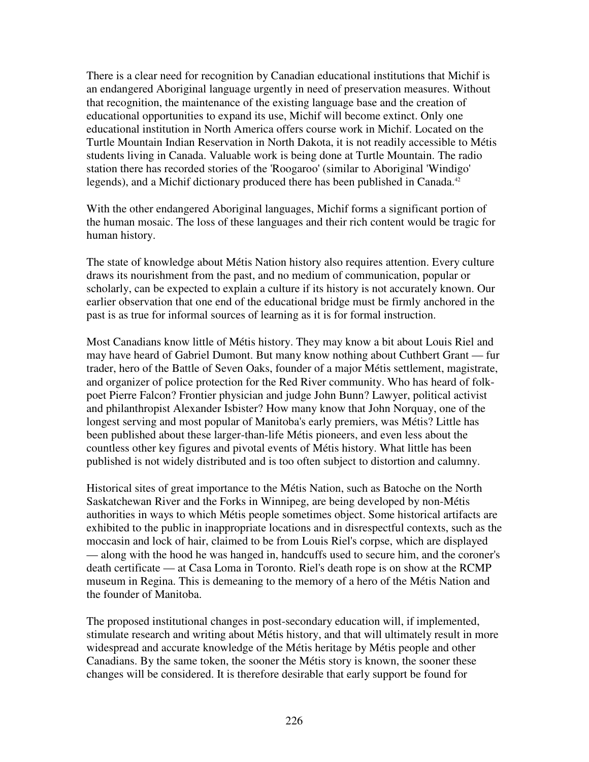There is a clear need for recognition by Canadian educational institutions that Michif is an endangered Aboriginal language urgently in need of preservation measures. Without that recognition, the maintenance of the existing language base and the creation of educational opportunities to expand its use, Michif will become extinct. Only one educational institution in North America offers course work in Michif. Located on the Turtle Mountain Indian Reservation in North Dakota, it is not readily accessible to Métis students living in Canada. Valuable work is being done at Turtle Mountain. The radio station there has recorded stories of the 'Roogaroo' (similar to Aboriginal 'Windigo' legends), and a Michif dictionary produced there has been published in Canada.<sup>42</sup>

With the other endangered Aboriginal languages, Michif forms a significant portion of the human mosaic. The loss of these languages and their rich content would be tragic for human history.

The state of knowledge about Métis Nation history also requires attention. Every culture draws its nourishment from the past, and no medium of communication, popular or scholarly, can be expected to explain a culture if its history is not accurately known. Our earlier observation that one end of the educational bridge must be firmly anchored in the past is as true for informal sources of learning as it is for formal instruction.

Most Canadians know little of Métis history. They may know a bit about Louis Riel and may have heard of Gabriel Dumont. But many know nothing about Cuthbert Grant — fur trader, hero of the Battle of Seven Oaks, founder of a major Métis settlement, magistrate, and organizer of police protection for the Red River community. Who has heard of folkpoet Pierre Falcon? Frontier physician and judge John Bunn? Lawyer, political activist and philanthropist Alexander Isbister? How many know that John Norquay, one of the longest serving and most popular of Manitoba's early premiers, was Métis? Little has been published about these larger-than-life Métis pioneers, and even less about the countless other key figures and pivotal events of Métis history. What little has been published is not widely distributed and is too often subject to distortion and calumny.

Historical sites of great importance to the Métis Nation, such as Batoche on the North Saskatchewan River and the Forks in Winnipeg, are being developed by non-Métis authorities in ways to which Métis people sometimes object. Some historical artifacts are exhibited to the public in inappropriate locations and in disrespectful contexts, such as the moccasin and lock of hair, claimed to be from Louis Riel's corpse, which are displayed — along with the hood he was hanged in, handcuffs used to secure him, and the coroner's death certificate — at Casa Loma in Toronto. Riel's death rope is on show at the RCMP museum in Regina. This is demeaning to the memory of a hero of the Métis Nation and the founder of Manitoba.

The proposed institutional changes in post-secondary education will, if implemented, stimulate research and writing about Métis history, and that will ultimately result in more widespread and accurate knowledge of the Métis heritage by Métis people and other Canadians. By the same token, the sooner the Métis story is known, the sooner these changes will be considered. It is therefore desirable that early support be found for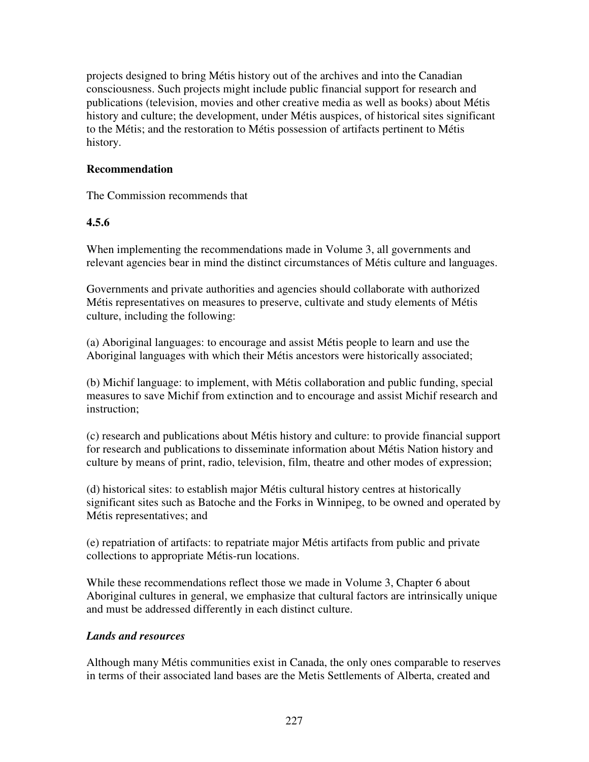projects designed to bring Métis history out of the archives and into the Canadian consciousness. Such projects might include public financial support for research and publications (television, movies and other creative media as well as books) about Métis history and culture; the development, under Métis auspices, of historical sites significant to the Métis; and the restoration to Métis possession of artifacts pertinent to Métis history.

#### **Recommendation**

The Commission recommends that

#### **4.5.6**

When implementing the recommendations made in Volume 3, all governments and relevant agencies bear in mind the distinct circumstances of Métis culture and languages.

Governments and private authorities and agencies should collaborate with authorized Métis representatives on measures to preserve, cultivate and study elements of Métis culture, including the following:

(a) Aboriginal languages: to encourage and assist Métis people to learn and use the Aboriginal languages with which their Métis ancestors were historically associated;

(b) Michif language: to implement, with Métis collaboration and public funding, special measures to save Michif from extinction and to encourage and assist Michif research and instruction;

(c) research and publications about Métis history and culture: to provide financial support for research and publications to disseminate information about Métis Nation history and culture by means of print, radio, television, film, theatre and other modes of expression;

(d) historical sites: to establish major Métis cultural history centres at historically significant sites such as Batoche and the Forks in Winnipeg, to be owned and operated by Métis representatives; and

(e) repatriation of artifacts: to repatriate major Métis artifacts from public and private collections to appropriate Métis-run locations.

While these recommendations reflect those we made in Volume 3, Chapter 6 about Aboriginal cultures in general, we emphasize that cultural factors are intrinsically unique and must be addressed differently in each distinct culture.

#### *Lands and resources*

Although many Métis communities exist in Canada, the only ones comparable to reserves in terms of their associated land bases are the Metis Settlements of Alberta, created and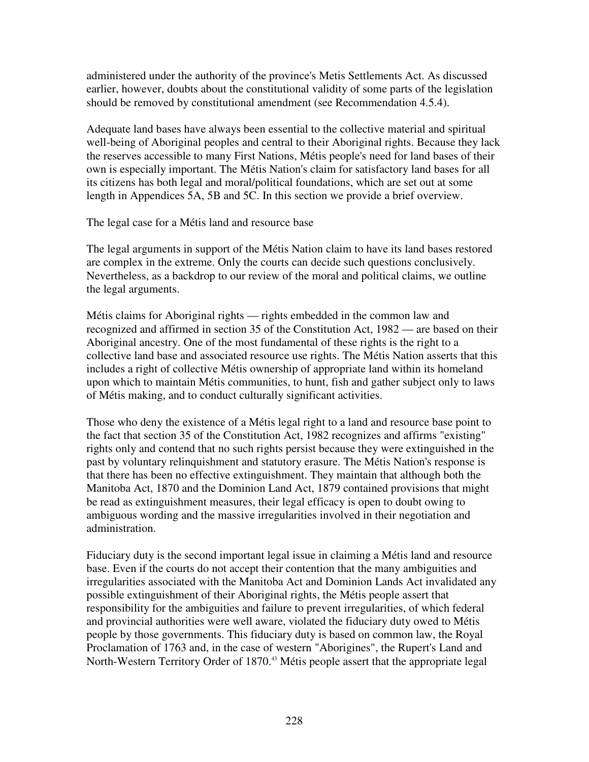administered under the authority of the province's Metis Settlements Act. As discussed earlier, however, doubts about the constitutional validity of some parts of the legislation should be removed by constitutional amendment (see Recommendation 4.5.4).

Adequate land bases have always been essential to the collective material and spiritual well-being of Aboriginal peoples and central to their Aboriginal rights. Because they lack the reserves accessible to many First Nations, Métis people's need for land bases of their own is especially important. The Métis Nation's claim for satisfactory land bases for all its citizens has both legal and moral/political foundations, which are set out at some length in Appendices 5A, 5B and 5C. In this section we provide a brief overview.

The legal case for a Métis land and resource base

The legal arguments in support of the Métis Nation claim to have its land bases restored are complex in the extreme. Only the courts can decide such questions conclusively. Nevertheless, as a backdrop to our review of the moral and political claims, we outline the legal arguments.

Métis claims for Aboriginal rights — rights embedded in the common law and recognized and affirmed in section 35 of the Constitution Act, 1982 — are based on their Aboriginal ancestry. One of the most fundamental of these rights is the right to a collective land base and associated resource use rights. The Métis Nation asserts that this includes a right of collective Métis ownership of appropriate land within its homeland upon which to maintain Métis communities, to hunt, fish and gather subject only to laws of Métis making, and to conduct culturally significant activities.

Those who deny the existence of a Métis legal right to a land and resource base point to the fact that section 35 of the Constitution Act, 1982 recognizes and affirms "existing" rights only and contend that no such rights persist because they were extinguished in the past by voluntary relinquishment and statutory erasure. The Métis Nation's response is that there has been no effective extinguishment. They maintain that although both the Manitoba Act, 1870 and the Dominion Land Act, 1879 contained provisions that might be read as extinguishment measures, their legal efficacy is open to doubt owing to ambiguous wording and the massive irregularities involved in their negotiation and administration.

Fiduciary duty is the second important legal issue in claiming a Métis land and resource base. Even if the courts do not accept their contention that the many ambiguities and irregularities associated with the Manitoba Act and Dominion Lands Act invalidated any possible extinguishment of their Aboriginal rights, the Métis people assert that responsibility for the ambiguities and failure to prevent irregularities, of which federal and provincial authorities were well aware, violated the fiduciary duty owed to Métis people by those governments. This fiduciary duty is based on common law, the Royal Proclamation of 1763 and, in the case of western "Aborigines", the Rupert's Land and North-Western Territory Order of 1870. <sup>43</sup> Métis people assert that the appropriate legal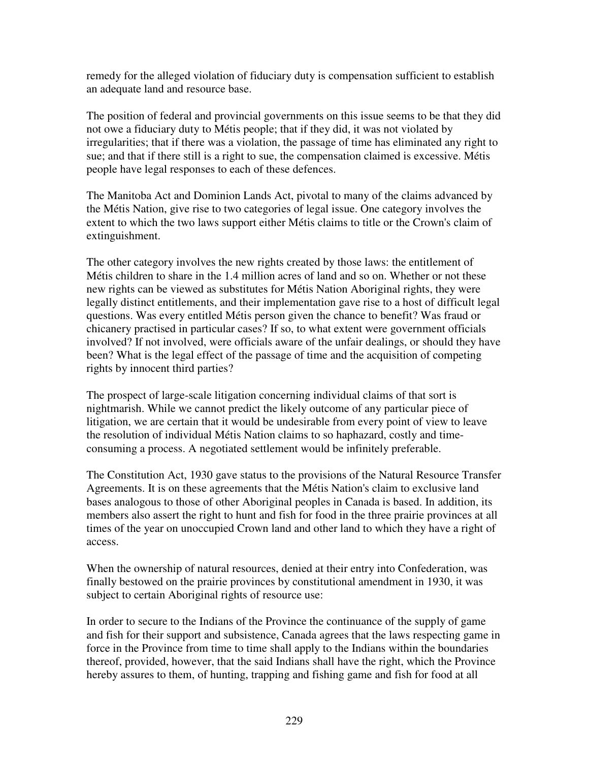remedy for the alleged violation of fiduciary duty is compensation sufficient to establish an adequate land and resource base.

The position of federal and provincial governments on this issue seems to be that they did not owe a fiduciary duty to Métis people; that if they did, it was not violated by irregularities; that if there was a violation, the passage of time has eliminated any right to sue; and that if there still is a right to sue, the compensation claimed is excessive. Métis people have legal responses to each of these defences.

The Manitoba Act and Dominion Lands Act, pivotal to many of the claims advanced by the Métis Nation, give rise to two categories of legal issue. One category involves the extent to which the two laws support either Métis claims to title or the Crown's claim of extinguishment.

The other category involves the new rights created by those laws: the entitlement of Métis children to share in the 1.4 million acres of land and so on. Whether or not these new rights can be viewed as substitutes for Métis Nation Aboriginal rights, they were legally distinct entitlements, and their implementation gave rise to a host of difficult legal questions. Was every entitled Métis person given the chance to benefit? Was fraud or chicanery practised in particular cases? If so, to what extent were government officials involved? If not involved, were officials aware of the unfair dealings, or should they have been? What is the legal effect of the passage of time and the acquisition of competing rights by innocent third parties?

The prospect of large-scale litigation concerning individual claims of that sort is nightmarish. While we cannot predict the likely outcome of any particular piece of litigation, we are certain that it would be undesirable from every point of view to leave the resolution of individual Métis Nation claims to so haphazard, costly and timeconsuming a process. A negotiated settlement would be infinitely preferable.

The Constitution Act, 1930 gave status to the provisions of the Natural Resource Transfer Agreements. It is on these agreements that the Métis Nation's claim to exclusive land bases analogous to those of other Aboriginal peoples in Canada is based. In addition, its members also assert the right to hunt and fish for food in the three prairie provinces at all times of the year on unoccupied Crown land and other land to which they have a right of access.

When the ownership of natural resources, denied at their entry into Confederation, was finally bestowed on the prairie provinces by constitutional amendment in 1930, it was subject to certain Aboriginal rights of resource use:

In order to secure to the Indians of the Province the continuance of the supply of game and fish for their support and subsistence, Canada agrees that the laws respecting game in force in the Province from time to time shall apply to the Indians within the boundaries thereof, provided, however, that the said Indians shall have the right, which the Province hereby assures to them, of hunting, trapping and fishing game and fish for food at all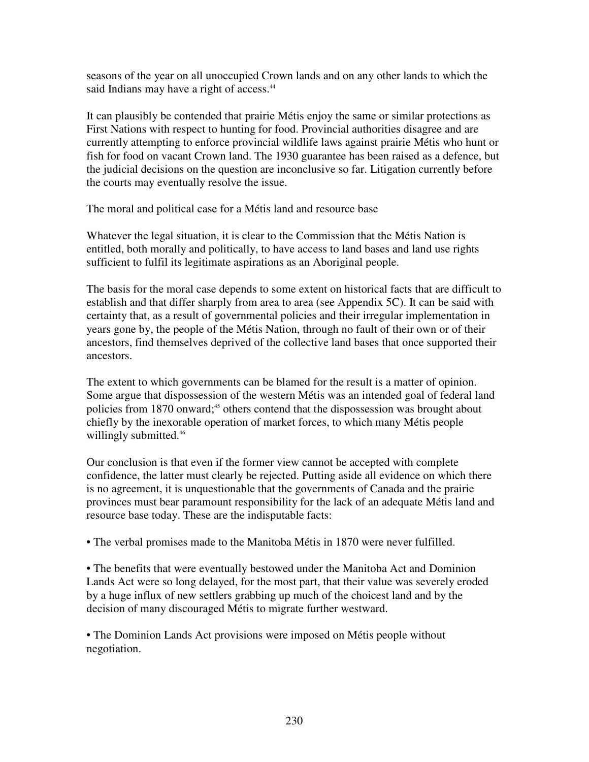seasons of the year on all unoccupied Crown lands and on any other lands to which the said Indians may have a right of access.<sup>44</sup>

It can plausibly be contended that prairie Métis enjoy the same or similar protections as First Nations with respect to hunting for food. Provincial authorities disagree and are currently attempting to enforce provincial wildlife laws against prairie Métis who hunt or fish for food on vacant Crown land. The 1930 guarantee has been raised as a defence, but the judicial decisions on the question are inconclusive so far. Litigation currently before the courts may eventually resolve the issue.

The moral and political case for a Métis land and resource base

Whatever the legal situation, it is clear to the Commission that the Métis Nation is entitled, both morally and politically, to have access to land bases and land use rights sufficient to fulfil its legitimate aspirations as an Aboriginal people.

The basis for the moral case depends to some extent on historical facts that are difficult to establish and that differ sharply from area to area (see Appendix 5C). It can be said with certainty that, as a result of governmental policies and their irregular implementation in years gone by, the people of the Métis Nation, through no fault of their own or of their ancestors, find themselves deprived of the collective land bases that once supported their ancestors.

The extent to which governments can be blamed for the result is a matter of opinion. Some argue that dispossession of the western Métis was an intended goal of federal land policies from 1870 onward;<sup>45</sup> others contend that the dispossession was brought about chiefly by the inexorable operation of market forces, to which many Métis people willingly submitted.<sup>46</sup>

Our conclusion is that even if the former view cannot be accepted with complete confidence, the latter must clearly be rejected. Putting aside all evidence on which there is no agreement, it is unquestionable that the governments of Canada and the prairie provinces must bear paramount responsibility for the lack of an adequate Métis land and resource base today. These are the indisputable facts:

• The verbal promises made to the Manitoba Métis in 1870 were never fulfilled.

• The benefits that were eventually bestowed under the Manitoba Act and Dominion Lands Act were so long delayed, for the most part, that their value was severely eroded by a huge influx of new settlers grabbing up much of the choicest land and by the decision of many discouraged Métis to migrate further westward.

• The Dominion Lands Act provisions were imposed on Métis people without negotiation.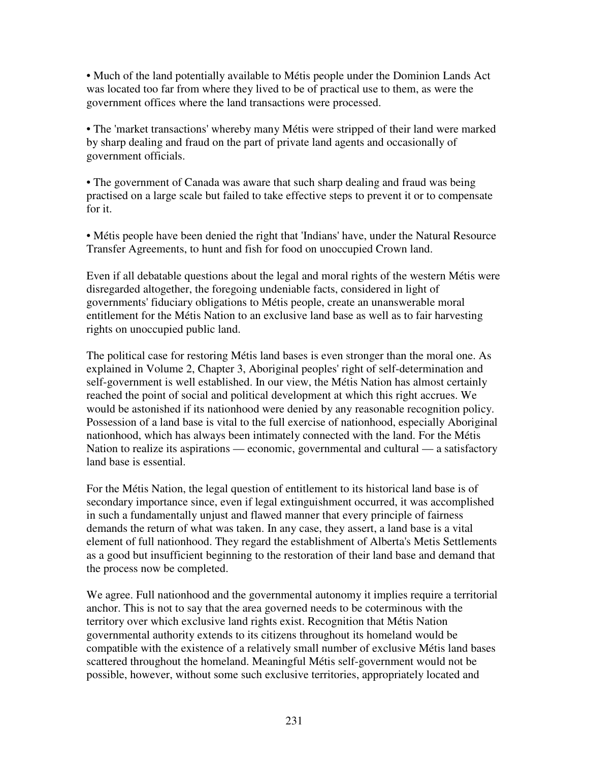• Much of the land potentially available to Métis people under the Dominion Lands Act was located too far from where they lived to be of practical use to them, as were the government offices where the land transactions were processed.

• The 'market transactions' whereby many Métis were stripped of their land were marked by sharp dealing and fraud on the part of private land agents and occasionally of government officials.

• The government of Canada was aware that such sharp dealing and fraud was being practised on a large scale but failed to take effective steps to prevent it or to compensate for it.

• Métis people have been denied the right that 'Indians' have, under the Natural Resource Transfer Agreements, to hunt and fish for food on unoccupied Crown land.

Even if all debatable questions about the legal and moral rights of the western Métis were disregarded altogether, the foregoing undeniable facts, considered in light of governments' fiduciary obligations to Métis people, create an unanswerable moral entitlement for the Métis Nation to an exclusive land base as well as to fair harvesting rights on unoccupied public land.

The political case for restoring Métis land bases is even stronger than the moral one. As explained in Volume 2, Chapter 3, Aboriginal peoples' right of self-determination and self-government is well established. In our view, the Métis Nation has almost certainly reached the point of social and political development at which this right accrues. We would be astonished if its nationhood were denied by any reasonable recognition policy. Possession of a land base is vital to the full exercise of nationhood, especially Aboriginal nationhood, which has always been intimately connected with the land. For the Métis Nation to realize its aspirations — economic, governmental and cultural — a satisfactory land base is essential.

For the Métis Nation, the legal question of entitlement to its historical land base is of secondary importance since, even if legal extinguishment occurred, it was accomplished in such a fundamentally unjust and flawed manner that every principle of fairness demands the return of what was taken. In any case, they assert, a land base is a vital element of full nationhood. They regard the establishment of Alberta's Metis Settlements as a good but insufficient beginning to the restoration of their land base and demand that the process now be completed.

We agree. Full nationhood and the governmental autonomy it implies require a territorial anchor. This is not to say that the area governed needs to be coterminous with the territory over which exclusive land rights exist. Recognition that Métis Nation governmental authority extends to its citizens throughout its homeland would be compatible with the existence of a relatively small number of exclusive Métis land bases scattered throughout the homeland. Meaningful Métis self-government would not be possible, however, without some such exclusive territories, appropriately located and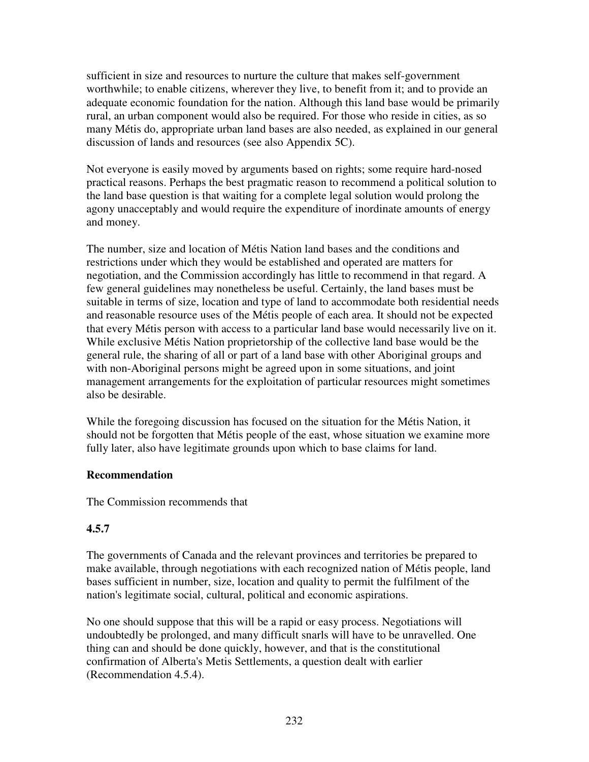sufficient in size and resources to nurture the culture that makes self-government worthwhile; to enable citizens, wherever they live, to benefit from it; and to provide an adequate economic foundation for the nation. Although this land base would be primarily rural, an urban component would also be required. For those who reside in cities, as so many Métis do, appropriate urban land bases are also needed, as explained in our general discussion of lands and resources (see also Appendix 5C).

Not everyone is easily moved by arguments based on rights; some require hard-nosed practical reasons. Perhaps the best pragmatic reason to recommend a political solution to the land base question is that waiting for a complete legal solution would prolong the agony unacceptably and would require the expenditure of inordinate amounts of energy and money.

The number, size and location of Métis Nation land bases and the conditions and restrictions under which they would be established and operated are matters for negotiation, and the Commission accordingly has little to recommend in that regard. A few general guidelines may nonetheless be useful. Certainly, the land bases must be suitable in terms of size, location and type of land to accommodate both residential needs and reasonable resource uses of the Métis people of each area. It should not be expected that every Métis person with access to a particular land base would necessarily live on it. While exclusive Métis Nation proprietorship of the collective land base would be the general rule, the sharing of all or part of a land base with other Aboriginal groups and with non-Aboriginal persons might be agreed upon in some situations, and joint management arrangements for the exploitation of particular resources might sometimes also be desirable.

While the foregoing discussion has focused on the situation for the Métis Nation, it should not be forgotten that Métis people of the east, whose situation we examine more fully later, also have legitimate grounds upon which to base claims for land.

#### **Recommendation**

The Commission recommends that

# **4.5.7**

The governments of Canada and the relevant provinces and territories be prepared to make available, through negotiations with each recognized nation of Métis people, land bases sufficient in number, size, location and quality to permit the fulfilment of the nation's legitimate social, cultural, political and economic aspirations.

No one should suppose that this will be a rapid or easy process. Negotiations will undoubtedly be prolonged, and many difficult snarls will have to be unravelled. One thing can and should be done quickly, however, and that is the constitutional confirmation of Alberta's Metis Settlements, a question dealt with earlier (Recommendation 4.5.4).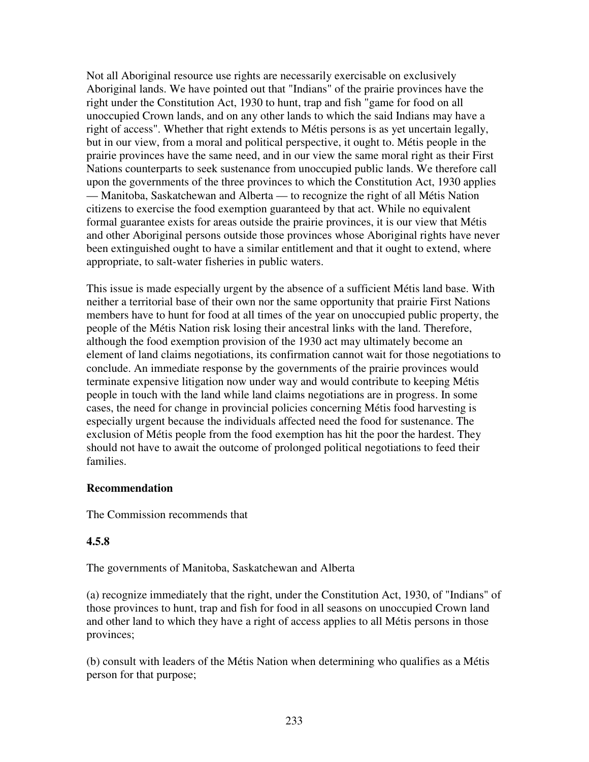Not all Aboriginal resource use rights are necessarily exercisable on exclusively Aboriginal lands. We have pointed out that "Indians" of the prairie provinces have the right under the Constitution Act, 1930 to hunt, trap and fish "game for food on all unoccupied Crown lands, and on any other lands to which the said Indians may have a right of access". Whether that right extends to Métis persons is as yet uncertain legally, but in our view, from a moral and political perspective, it ought to. Métis people in the prairie provinces have the same need, and in our view the same moral right as their First Nations counterparts to seek sustenance from unoccupied public lands. We therefore call upon the governments of the three provinces to which the Constitution Act, 1930 applies — Manitoba, Saskatchewan and Alberta — to recognize the right of all Métis Nation citizens to exercise the food exemption guaranteed by that act. While no equivalent formal guarantee exists for areas outside the prairie provinces, it is our view that Métis and other Aboriginal persons outside those provinces whose Aboriginal rights have never been extinguished ought to have a similar entitlement and that it ought to extend, where appropriate, to salt-water fisheries in public waters.

This issue is made especially urgent by the absence of a sufficient Métis land base. With neither a territorial base of their own nor the same opportunity that prairie First Nations members have to hunt for food at all times of the year on unoccupied public property, the people of the Métis Nation risk losing their ancestral links with the land. Therefore, although the food exemption provision of the 1930 act may ultimately become an element of land claims negotiations, its confirmation cannot wait for those negotiations to conclude. An immediate response by the governments of the prairie provinces would terminate expensive litigation now under way and would contribute to keeping Métis people in touch with the land while land claims negotiations are in progress. In some cases, the need for change in provincial policies concerning Métis food harvesting is especially urgent because the individuals affected need the food for sustenance. The exclusion of Métis people from the food exemption has hit the poor the hardest. They should not have to await the outcome of prolonged political negotiations to feed their families.

#### **Recommendation**

The Commission recommends that

#### **4.5.8**

The governments of Manitoba, Saskatchewan and Alberta

(a) recognize immediately that the right, under the Constitution Act, 1930, of "Indians" of those provinces to hunt, trap and fish for food in all seasons on unoccupied Crown land and other land to which they have a right of access applies to all Métis persons in those provinces;

(b) consult with leaders of the Métis Nation when determining who qualifies as a Métis person for that purpose;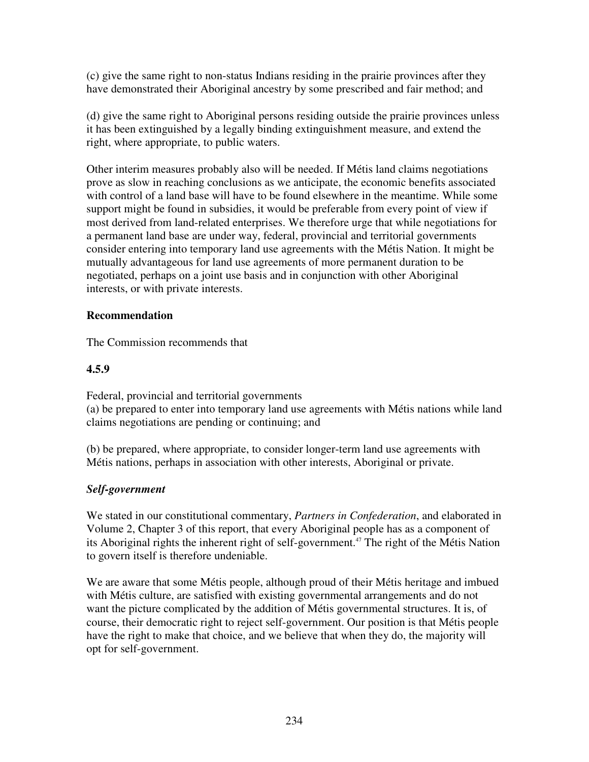(c) give the same right to non-status Indians residing in the prairie provinces after they have demonstrated their Aboriginal ancestry by some prescribed and fair method; and

(d) give the same right to Aboriginal persons residing outside the prairie provinces unless it has been extinguished by a legally binding extinguishment measure, and extend the right, where appropriate, to public waters.

Other interim measures probably also will be needed. If Métis land claims negotiations prove as slow in reaching conclusions as we anticipate, the economic benefits associated with control of a land base will have to be found elsewhere in the meantime. While some support might be found in subsidies, it would be preferable from every point of view if most derived from land-related enterprises. We therefore urge that while negotiations for a permanent land base are under way, federal, provincial and territorial governments consider entering into temporary land use agreements with the Métis Nation. It might be mutually advantageous for land use agreements of more permanent duration to be negotiated, perhaps on a joint use basis and in conjunction with other Aboriginal interests, or with private interests.

#### **Recommendation**

The Commission recommends that

#### **4.5.9**

Federal, provincial and territorial governments (a) be prepared to enter into temporary land use agreements with Métis nations while land claims negotiations are pending or continuing; and

(b) be prepared, where appropriate, to consider longer-term land use agreements with Métis nations, perhaps in association with other interests, Aboriginal or private.

#### *Self-government*

We stated in our constitutional commentary, *Partners in Confederation*, and elaborated in Volume 2, Chapter 3 of this report, that every Aboriginal people has as a component of its Aboriginal rights the inherent right of self-government. <sup>47</sup> The right of the Métis Nation to govern itself is therefore undeniable.

We are aware that some Métis people, although proud of their Métis heritage and imbued with Métis culture, are satisfied with existing governmental arrangements and do not want the picture complicated by the addition of Métis governmental structures. It is, of course, their democratic right to reject self-government. Our position is that Métis people have the right to make that choice, and we believe that when they do, the majority will opt for self-government.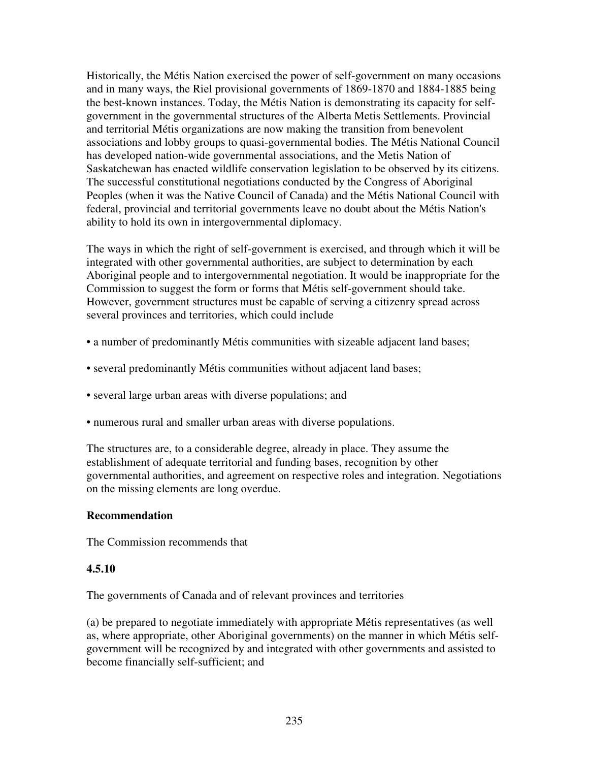Historically, the Métis Nation exercised the power of self-government on many occasions and in many ways, the Riel provisional governments of 1869-1870 and 1884-1885 being the best-known instances. Today, the Métis Nation is demonstrating its capacity for selfgovernment in the governmental structures of the Alberta Metis Settlements. Provincial and territorial Métis organizations are now making the transition from benevolent associations and lobby groups to quasi-governmental bodies. The Métis National Council has developed nation-wide governmental associations, and the Metis Nation of Saskatchewan has enacted wildlife conservation legislation to be observed by its citizens. The successful constitutional negotiations conducted by the Congress of Aboriginal Peoples (when it was the Native Council of Canada) and the Métis National Council with federal, provincial and territorial governments leave no doubt about the Métis Nation's ability to hold its own in intergovernmental diplomacy.

The ways in which the right of self-government is exercised, and through which it will be integrated with other governmental authorities, are subject to determination by each Aboriginal people and to intergovernmental negotiation. It would be inappropriate for the Commission to suggest the form or forms that Métis self-government should take. However, government structures must be capable of serving a citizenry spread across several provinces and territories, which could include

- a number of predominantly Métis communities with sizeable adjacent land bases;
- several predominantly Métis communities without adjacent land bases;
- several large urban areas with diverse populations; and
- numerous rural and smaller urban areas with diverse populations.

The structures are, to a considerable degree, already in place. They assume the establishment of adequate territorial and funding bases, recognition by other governmental authorities, and agreement on respective roles and integration. Negotiations on the missing elements are long overdue.

#### **Recommendation**

The Commission recommends that

#### **4.5.10**

The governments of Canada and of relevant provinces and territories

(a) be prepared to negotiate immediately with appropriate Métis representatives (as well as, where appropriate, other Aboriginal governments) on the manner in which Métis selfgovernment will be recognized by and integrated with other governments and assisted to become financially self-sufficient; and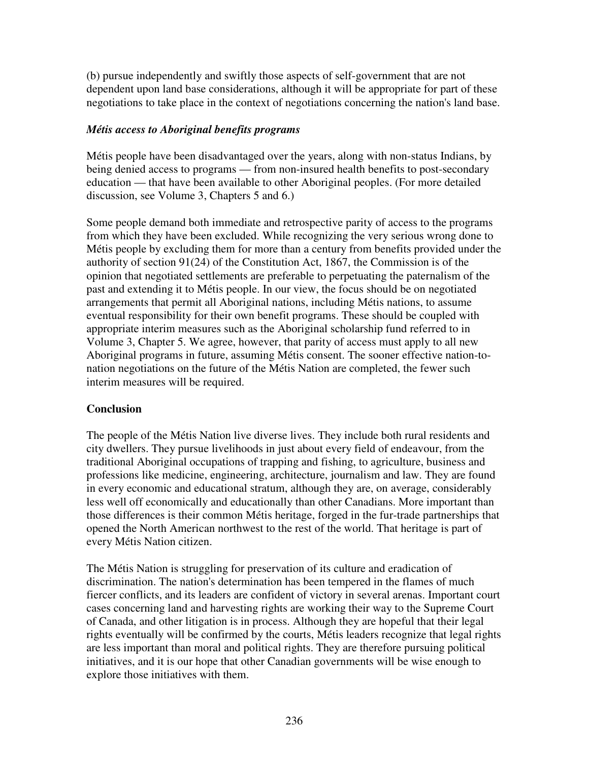(b) pursue independently and swiftly those aspects of self-government that are not dependent upon land base considerations, although it will be appropriate for part of these negotiations to take place in the context of negotiations concerning the nation's land base.

#### *Métis access to Aboriginal benefits programs*

Métis people have been disadvantaged over the years, along with non-status Indians, by being denied access to programs — from non-insured health benefits to post-secondary education — that have been available to other Aboriginal peoples. (For more detailed discussion, see Volume 3, Chapters 5 and 6.)

Some people demand both immediate and retrospective parity of access to the programs from which they have been excluded. While recognizing the very serious wrong done to Métis people by excluding them for more than a century from benefits provided under the authority of section 91(24) of the Constitution Act, 1867, the Commission is of the opinion that negotiated settlements are preferable to perpetuating the paternalism of the past and extending it to Métis people. In our view, the focus should be on negotiated arrangements that permit all Aboriginal nations, including Métis nations, to assume eventual responsibility for their own benefit programs. These should be coupled with appropriate interim measures such as the Aboriginal scholarship fund referred to in Volume 3, Chapter 5. We agree, however, that parity of access must apply to all new Aboriginal programs in future, assuming Métis consent. The sooner effective nation-tonation negotiations on the future of the Métis Nation are completed, the fewer such interim measures will be required.

#### **Conclusion**

The people of the Métis Nation live diverse lives. They include both rural residents and city dwellers. They pursue livelihoods in just about every field of endeavour, from the traditional Aboriginal occupations of trapping and fishing, to agriculture, business and professions like medicine, engineering, architecture, journalism and law. They are found in every economic and educational stratum, although they are, on average, considerably less well off economically and educationally than other Canadians. More important than those differences is their common Métis heritage, forged in the fur-trade partnerships that opened the North American northwest to the rest of the world. That heritage is part of every Métis Nation citizen.

The Métis Nation is struggling for preservation of its culture and eradication of discrimination. The nation's determination has been tempered in the flames of much fiercer conflicts, and its leaders are confident of victory in several arenas. Important court cases concerning land and harvesting rights are working their way to the Supreme Court of Canada, and other litigation is in process. Although they are hopeful that their legal rights eventually will be confirmed by the courts, Métis leaders recognize that legal rights are less important than moral and political rights. They are therefore pursuing political initiatives, and it is our hope that other Canadian governments will be wise enough to explore those initiatives with them.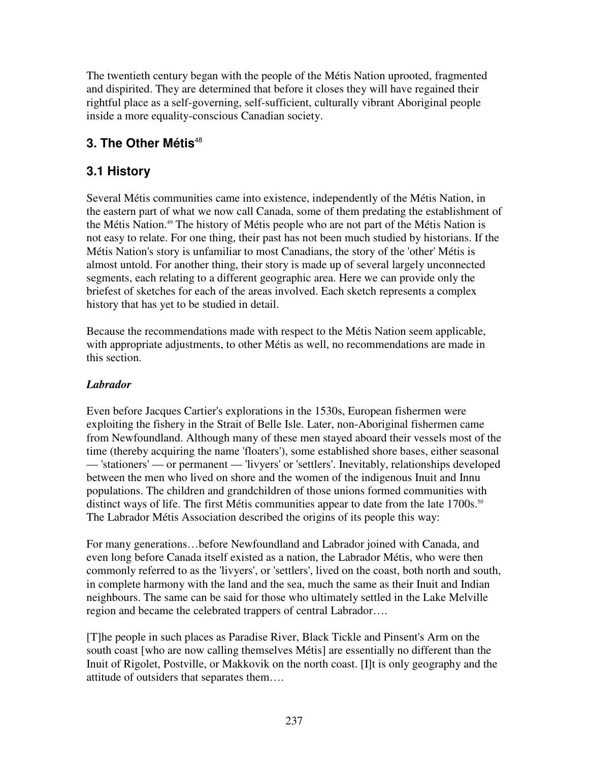The twentieth century began with the people of the Métis Nation uprooted, fragmented and dispirited. They are determined that before it closes they will have regained their rightful place as a self-governing, self-sufficient, culturally vibrant Aboriginal people inside a more equality-conscious Canadian society.

# **3. The Other Métis** 48

# **3.1 History**

Several Métis communities came into existence, independently of the Métis Nation, in the eastern part of what we now call Canada, some of them predating the establishment of the Métis Nation. <sup>49</sup> The history of Métis people who are not part of the Métis Nation is not easy to relate. For one thing, their past has not been much studied by historians. If the Métis Nation's story is unfamiliar to most Canadians, the story of the 'other' Métis is almost untold. For another thing, their story is made up of several largely unconnected segments, each relating to a different geographic area. Here we can provide only the briefest of sketches for each of the areas involved. Each sketch represents a complex history that has yet to be studied in detail.

Because the recommendations made with respect to the Métis Nation seem applicable, with appropriate adjustments, to other Métis as well, no recommendations are made in this section.

### *Labrador*

Even before Jacques Cartier's explorations in the 1530s, European fishermen were exploiting the fishery in the Strait of Belle Isle. Later, non-Aboriginal fishermen came from Newfoundland. Although many of these men stayed aboard their vessels most of the time (thereby acquiring the name 'floaters'), some established shore bases, either seasonal — 'stationers' — or permanent — 'livyers' or 'settlers'. Inevitably, relationships developed between the men who lived on shore and the women of the indigenous Inuit and Innu populations. The children and grandchildren of those unions formed communities with distinct ways of life. The first Métis communities appear to date from the late 1700s.<sup>50</sup> The Labrador Métis Association described the origins of its people this way:

For many generations…before Newfoundland and Labrador joined with Canada, and even long before Canada itself existed as a nation, the Labrador Métis, who were then commonly referred to as the 'livyers', or 'settlers', lived on the coast, both north and south, in complete harmony with the land and the sea, much the same as their Inuit and Indian neighbours. The same can be said for those who ultimately settled in the Lake Melville region and became the celebrated trappers of central Labrador….

[T]he people in such places as Paradise River, Black Tickle and Pinsent's Arm on the south coast [who are now calling themselves Métis] are essentially no different than the Inuit of Rigolet, Postville, or Makkovik on the north coast. [I]t is only geography and the attitude of outsiders that separates them….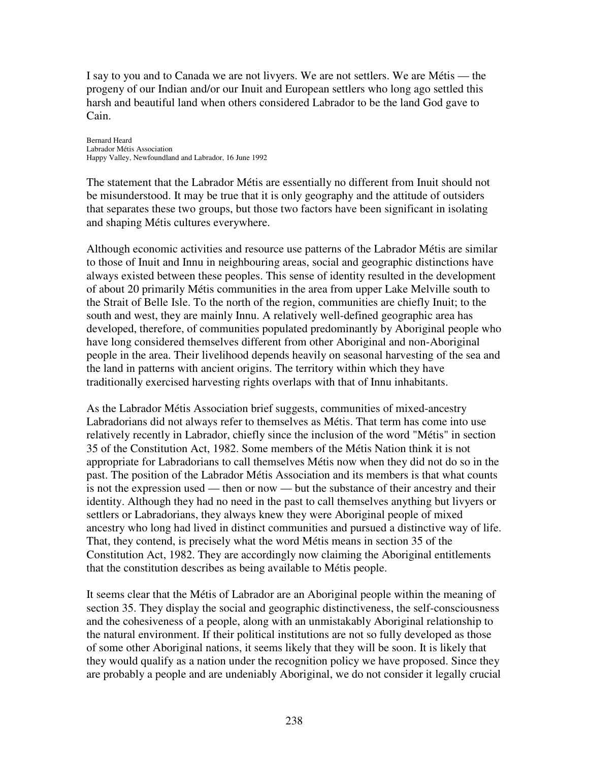I say to you and to Canada we are not livyers. We are not settlers. We are Métis — the progeny of our Indian and/or our Inuit and European settlers who long ago settled this harsh and beautiful land when others considered Labrador to be the land God gave to Cain.

Bernard Heard Labrador Métis Association Happy Valley, Newfoundland and Labrador, 16 June 1992

The statement that the Labrador Métis are essentially no different from Inuit should not be misunderstood. It may be true that it is only geography and the attitude of outsiders that separates these two groups, but those two factors have been significant in isolating and shaping Métis cultures everywhere.

Although economic activities and resource use patterns of the Labrador Métis are similar to those of Inuit and Innu in neighbouring areas, social and geographic distinctions have always existed between these peoples. This sense of identity resulted in the development of about 20 primarily Métis communities in the area from upper Lake Melville south to the Strait of Belle Isle. To the north of the region, communities are chiefly Inuit; to the south and west, they are mainly Innu. A relatively well-defined geographic area has developed, therefore, of communities populated predominantly by Aboriginal people who have long considered themselves different from other Aboriginal and non-Aboriginal people in the area. Their livelihood depends heavily on seasonal harvesting of the sea and the land in patterns with ancient origins. The territory within which they have traditionally exercised harvesting rights overlaps with that of Innu inhabitants.

As the Labrador Métis Association brief suggests, communities of mixed-ancestry Labradorians did not always refer to themselves as Métis. That term has come into use relatively recently in Labrador, chiefly since the inclusion of the word "Métis" in section 35 of the Constitution Act, 1982. Some members of the Métis Nation think it is not appropriate for Labradorians to call themselves Métis now when they did not do so in the past. The position of the Labrador Métis Association and its members is that what counts is not the expression used — then or now — but the substance of their ancestry and their identity. Although they had no need in the past to call themselves anything but livyers or settlers or Labradorians, they always knew they were Aboriginal people of mixed ancestry who long had lived in distinct communities and pursued a distinctive way of life. That, they contend, is precisely what the word Métis means in section 35 of the Constitution Act, 1982. They are accordingly now claiming the Aboriginal entitlements that the constitution describes as being available to Métis people.

It seems clear that the Métis of Labrador are an Aboriginal people within the meaning of section 35. They display the social and geographic distinctiveness, the self-consciousness and the cohesiveness of a people, along with an unmistakably Aboriginal relationship to the natural environment. If their political institutions are not so fully developed as those of some other Aboriginal nations, it seems likely that they will be soon. It is likely that they would qualify as a nation under the recognition policy we have proposed. Since they are probably a people and are undeniably Aboriginal, we do not consider it legally crucial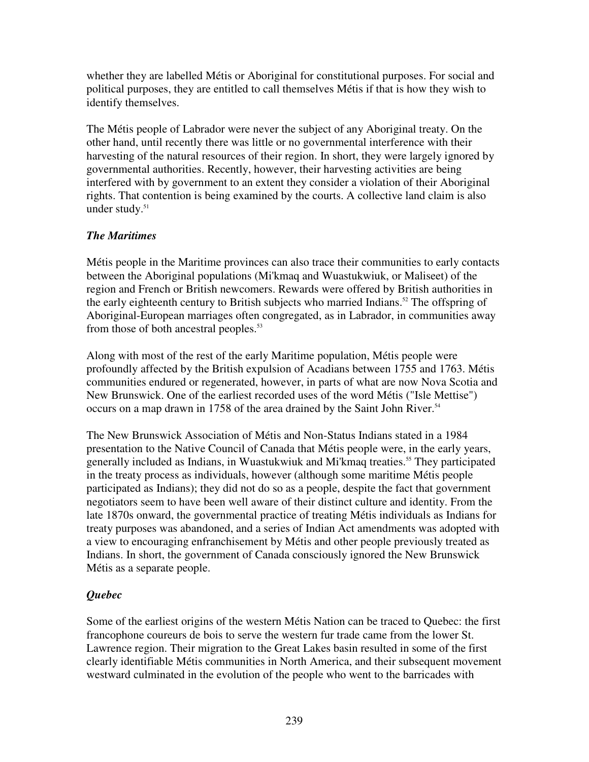whether they are labelled Métis or Aboriginal for constitutional purposes. For social and political purposes, they are entitled to call themselves Métis if that is how they wish to identify themselves.

The Métis people of Labrador were never the subject of any Aboriginal treaty. On the other hand, until recently there was little or no governmental interference with their harvesting of the natural resources of their region. In short, they were largely ignored by governmental authorities. Recently, however, their harvesting activities are being interfered with by government to an extent they consider a violation of their Aboriginal rights. That contention is being examined by the courts. A collective land claim is also under study. 51

### *The Maritimes*

Métis people in the Maritime provinces can also trace their communities to early contacts between the Aboriginal populations (Mi'kmaq and Wuastukwiuk, or Maliseet) of the region and French or British newcomers. Rewards were offered by British authorities in the early eighteenth century to British subjects who married Indians. <sup>52</sup> The offspring of Aboriginal-European marriages often congregated, as in Labrador, in communities away from those of both ancestral peoples.<sup>53</sup>

Along with most of the rest of the early Maritime population, Métis people were profoundly affected by the British expulsion of Acadians between 1755 and 1763. Métis communities endured or regenerated, however, in parts of what are now Nova Scotia and New Brunswick. One of the earliest recorded uses of the word Métis ("Isle Mettise") occurs on a map drawn in 1758 of the area drained by the Saint John River.<sup>54</sup>

The New Brunswick Association of Métis and Non-Status Indians stated in a 1984 presentation to the Native Council of Canada that Métis people were, in the early years, generally included as Indians, in Wuastukwiuk and Mi'kmaq treaties. <sup>55</sup> They participated in the treaty process as individuals, however (although some maritime Métis people participated as Indians); they did not do so as a people, despite the fact that government negotiators seem to have been well aware of their distinct culture and identity. From the late 1870s onward, the governmental practice of treating Métis individuals as Indians for treaty purposes was abandoned, and a series of Indian Act amendments was adopted with a view to encouraging enfranchisement by Métis and other people previously treated as Indians. In short, the government of Canada consciously ignored the New Brunswick Métis as a separate people.

# *Quebec*

Some of the earliest origins of the western Métis Nation can be traced to Quebec: the first francophone coureurs de bois to serve the western fur trade came from the lower St. Lawrence region. Their migration to the Great Lakes basin resulted in some of the first clearly identifiable Métis communities in North America, and their subsequent movement westward culminated in the evolution of the people who went to the barricades with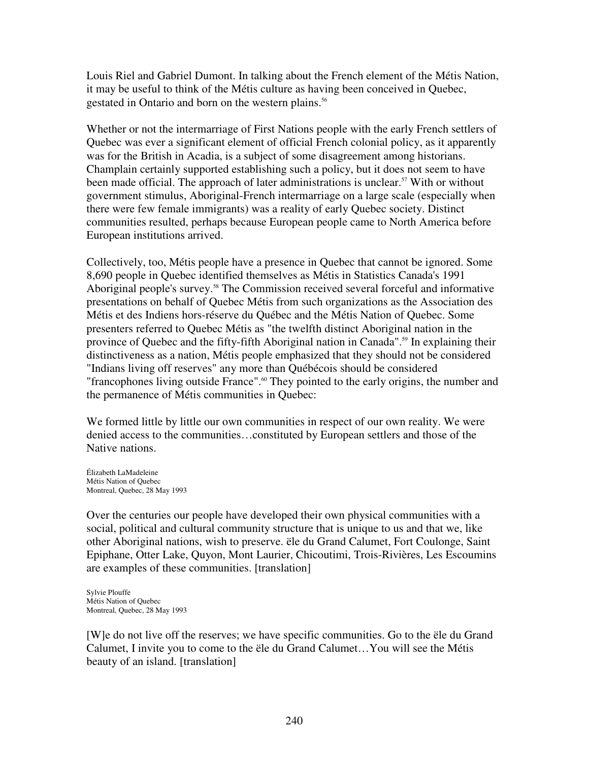Louis Riel and Gabriel Dumont. In talking about the French element of the Métis Nation, it may be useful to think of the Métis culture as having been conceived in Quebec, gestated in Ontario and born on the western plains. 56

Whether or not the intermarriage of First Nations people with the early French settlers of Quebec was ever a significant element of official French colonial policy, as it apparently was for the British in Acadia, is a subject of some disagreement among historians. Champlain certainly supported establishing such a policy, but it does not seem to have been made official. The approach of later administrations is unclear.<sup>57</sup> With or without government stimulus, Aboriginal-French intermarriage on a large scale (especially when there were few female immigrants) was a reality of early Quebec society. Distinct communities resulted, perhaps because European people came to North America before European institutions arrived.

Collectively, too, Métis people have a presence in Quebec that cannot be ignored. Some 8,690 people in Quebec identified themselves as Métis in Statistics Canada's 1991 Aboriginal people's survey. <sup>58</sup> The Commission received several forceful and informative presentations on behalf of Quebec Métis from such organizations as the Association des Métis et des Indiens hors-réserve du Québec and the Métis Nation of Quebec. Some presenters referred to Quebec Métis as "the twelfth distinct Aboriginal nation in the province of Quebec and the fifty-fifth Aboriginal nation in Canada". 59 In explaining their distinctiveness as a nation, Métis people emphasized that they should not be considered "Indians living off reserves" any more than Québécois should be considered "francophones living outside France".<sup>60</sup> They pointed to the early origins, the number and the permanence of Métis communities in Quebec:

We formed little by little our own communities in respect of our own reality. We were denied access to the communities…constituted by European settlers and those of the Native nations.

Élizabeth LaMadeleine Métis Nation of Quebec Montreal, Quebec, 28 May 1993

Over the centuries our people have developed their own physical communities with a social, political and cultural community structure that is unique to us and that we, like other Aboriginal nations, wish to preserve. ële du Grand Calumet, Fort Coulonge, Saint Epiphane, Otter Lake, Quyon, Mont Laurier, Chicoutimi, Trois-Rivières, Les Escoumins are examples of these communities. [translation]

Sylvie Plouffe Métis Nation of Quebec Montreal, Quebec, 28 May 1993

[W]e do not live off the reserves; we have specific communities. Go to the ële du Grand Calumet, I invite you to come to the ële du Grand Calumet…You will see the Métis beauty of an island. [translation]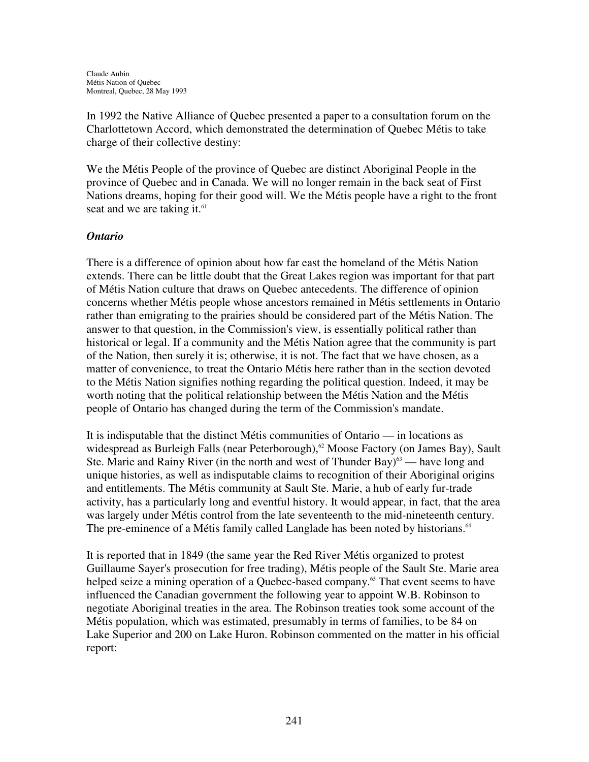In 1992 the Native Alliance of Quebec presented a paper to a consultation forum on the Charlottetown Accord, which demonstrated the determination of Quebec Métis to take charge of their collective destiny:

We the Métis People of the province of Quebec are distinct Aboriginal People in the province of Quebec and in Canada. We will no longer remain in the back seat of First Nations dreams, hoping for their good will. We the Métis people have a right to the front seat and we are taking it.<sup>61</sup>

### *Ontario*

There is a difference of opinion about how far east the homeland of the Métis Nation extends. There can be little doubt that the Great Lakes region was important for that part of Métis Nation culture that draws on Quebec antecedents. The difference of opinion concerns whether Métis people whose ancestors remained in Métis settlements in Ontario rather than emigrating to the prairies should be considered part of the Métis Nation. The answer to that question, in the Commission's view, is essentially political rather than historical or legal. If a community and the Métis Nation agree that the community is part of the Nation, then surely it is; otherwise, it is not. The fact that we have chosen, as a matter of convenience, to treat the Ontario Métis here rather than in the section devoted to the Métis Nation signifies nothing regarding the political question. Indeed, it may be worth noting that the political relationship between the Métis Nation and the Métis people of Ontario has changed during the term of the Commission's mandate.

It is indisputable that the distinct Métis communities of Ontario — in locations as widespread as Burleigh Falls (near Peterborough), <sup>62</sup> Moose Factory (on James Bay), Sault Ste. Marie and Rainy River (in the north and west of Thunder Bay)<sup>63</sup> — have long and unique histories, as well as indisputable claims to recognition of their Aboriginal origins and entitlements. The Métis community at Sault Ste. Marie, a hub of early fur-trade activity, has a particularly long and eventful history. It would appear, in fact, that the area was largely under Métis control from the late seventeenth to the mid-nineteenth century. The pre-eminence of a Métis family called Langlade has been noted by historians.<sup>64</sup>

It is reported that in 1849 (the same year the Red River Métis organized to protest Guillaume Sayer's prosecution for free trading), Métis people of the Sault Ste. Marie area helped seize a mining operation of a Quebec-based company. <sup>65</sup> That event seems to have influenced the Canadian government the following year to appoint W.B. Robinson to negotiate Aboriginal treaties in the area. The Robinson treaties took some account of the Métis population, which was estimated, presumably in terms of families, to be 84 on Lake Superior and 200 on Lake Huron. Robinson commented on the matter in his official report: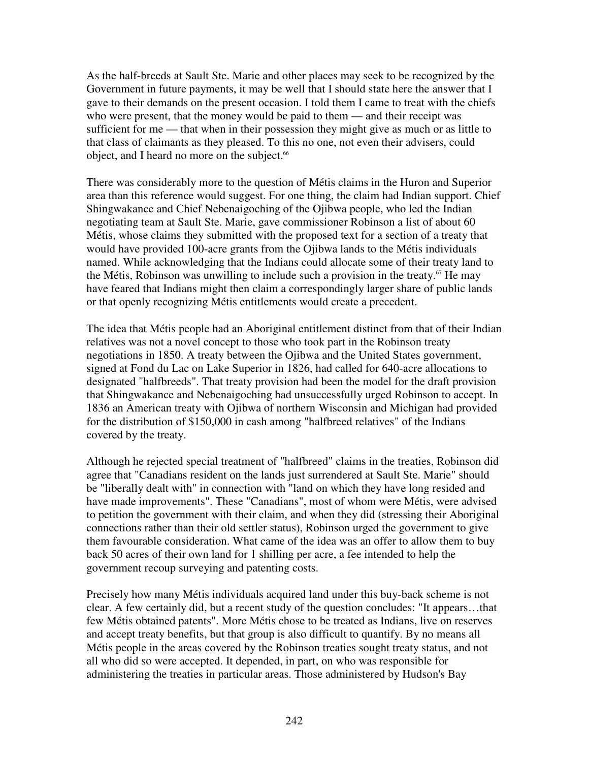As the half-breeds at Sault Ste. Marie and other places may seek to be recognized by the Government in future payments, it may be well that I should state here the answer that I gave to their demands on the present occasion. I told them I came to treat with the chiefs who were present, that the money would be paid to them — and their receipt was sufficient for me — that when in their possession they might give as much or as little to that class of claimants as they pleased. To this no one, not even their advisers, could object, and I heard no more on the subject. 66

There was considerably more to the question of Métis claims in the Huron and Superior area than this reference would suggest. For one thing, the claim had Indian support. Chief Shingwakance and Chief Nebenaigoching of the Ojibwa people, who led the Indian negotiating team at Sault Ste. Marie, gave commissioner Robinson a list of about 60 Métis, whose claims they submitted with the proposed text for a section of a treaty that would have provided 100-acre grants from the Ojibwa lands to the Métis individuals named. While acknowledging that the Indians could allocate some of their treaty land to the Métis, Robinson was unwilling to include such a provision in the treaty. <sup>67</sup> He may have feared that Indians might then claim a correspondingly larger share of public lands or that openly recognizing Métis entitlements would create a precedent.

The idea that Métis people had an Aboriginal entitlement distinct from that of their Indian relatives was not a novel concept to those who took part in the Robinson treaty negotiations in 1850. A treaty between the Ojibwa and the United States government, signed at Fond du Lac on Lake Superior in 1826, had called for 640-acre allocations to designated "halfbreeds". That treaty provision had been the model for the draft provision that Shingwakance and Nebenaigoching had unsuccessfully urged Robinson to accept. In 1836 an American treaty with Ojibwa of northern Wisconsin and Michigan had provided for the distribution of \$150,000 in cash among "halfbreed relatives" of the Indians covered by the treaty.

Although he rejected special treatment of "halfbreed" claims in the treaties, Robinson did agree that "Canadians resident on the lands just surrendered at Sault Ste. Marie" should be "liberally dealt with" in connection with "land on which they have long resided and have made improvements". These "Canadians", most of whom were Métis, were advised to petition the government with their claim, and when they did (stressing their Aboriginal connections rather than their old settler status), Robinson urged the government to give them favourable consideration. What came of the idea was an offer to allow them to buy back 50 acres of their own land for 1 shilling per acre, a fee intended to help the government recoup surveying and patenting costs.

Precisely how many Métis individuals acquired land under this buy-back scheme is not clear. A few certainly did, but a recent study of the question concludes: "It appears…that few Métis obtained patents". More Métis chose to be treated as Indians, live on reserves and accept treaty benefits, but that group is also difficult to quantify. By no means all Métis people in the areas covered by the Robinson treaties sought treaty status, and not all who did so were accepted. It depended, in part, on who was responsible for administering the treaties in particular areas. Those administered by Hudson's Bay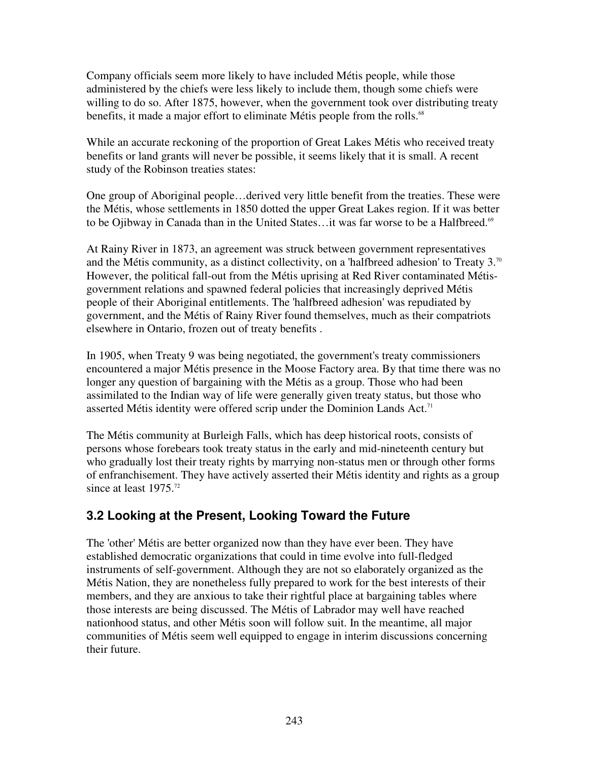Company officials seem more likely to have included Métis people, while those administered by the chiefs were less likely to include them, though some chiefs were willing to do so. After 1875, however, when the government took over distributing treaty benefits, it made a major effort to eliminate Métis people from the rolls.<sup>68</sup>

While an accurate reckoning of the proportion of Great Lakes Métis who received treaty benefits or land grants will never be possible, it seems likely that it is small. A recent study of the Robinson treaties states:

One group of Aboriginal people…derived very little benefit from the treaties. These were the Métis, whose settlements in 1850 dotted the upper Great Lakes region. If it was better to be Ojibway in Canada than in the United States...it was far worse to be a Halfbreed.<sup>69</sup>

At Rainy River in 1873, an agreement was struck between government representatives and the Métis community, as a distinct collectivity, on a 'halfbreed adhesion' to Treaty 3.<sup>70</sup> However, the political fall-out from the Métis uprising at Red River contaminated Métisgovernment relations and spawned federal policies that increasingly deprived Métis people of their Aboriginal entitlements. The 'halfbreed adhesion' was repudiated by government, and the Métis of Rainy River found themselves, much as their compatriots elsewhere in Ontario, frozen out of treaty benefits .

In 1905, when Treaty 9 was being negotiated, the government's treaty commissioners encountered a major Métis presence in the Moose Factory area. By that time there was no longer any question of bargaining with the Métis as a group. Those who had been assimilated to the Indian way of life were generally given treaty status, but those who asserted Métis identity were offered scrip under the Dominion Lands Act.<sup>71</sup>

The Métis community at Burleigh Falls, which has deep historical roots, consists of persons whose forebears took treaty status in the early and mid-nineteenth century but who gradually lost their treaty rights by marrying non-status men or through other forms of enfranchisement. They have actively asserted their Métis identity and rights as a group since at least 1975.<sup>72</sup>

# **3.2 Looking at the Present, Looking Toward the Future**

The 'other' Métis are better organized now than they have ever been. They have established democratic organizations that could in time evolve into full-fledged instruments of self-government. Although they are not so elaborately organized as the Métis Nation, they are nonetheless fully prepared to work for the best interests of their members, and they are anxious to take their rightful place at bargaining tables where those interests are being discussed. The Métis of Labrador may well have reached nationhood status, and other Métis soon will follow suit. In the meantime, all major communities of Métis seem well equipped to engage in interim discussions concerning their future.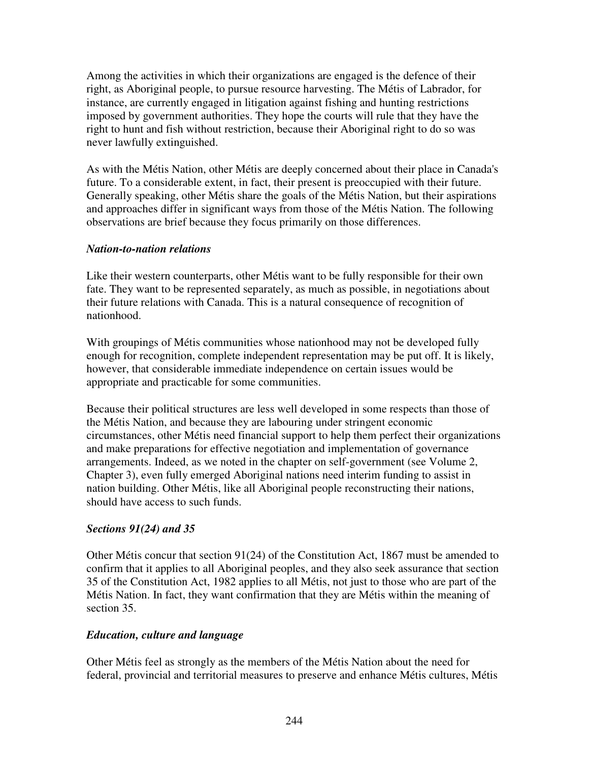Among the activities in which their organizations are engaged is the defence of their right, as Aboriginal people, to pursue resource harvesting. The Métis of Labrador, for instance, are currently engaged in litigation against fishing and hunting restrictions imposed by government authorities. They hope the courts will rule that they have the right to hunt and fish without restriction, because their Aboriginal right to do so was never lawfully extinguished.

As with the Métis Nation, other Métis are deeply concerned about their place in Canada's future. To a considerable extent, in fact, their present is preoccupied with their future. Generally speaking, other Métis share the goals of the Métis Nation, but their aspirations and approaches differ in significant ways from those of the Métis Nation. The following observations are brief because they focus primarily on those differences.

#### *Nation-to-nation relations*

Like their western counterparts, other Métis want to be fully responsible for their own fate. They want to be represented separately, as much as possible, in negotiations about their future relations with Canada. This is a natural consequence of recognition of nationhood.

With groupings of Métis communities whose nationhood may not be developed fully enough for recognition, complete independent representation may be put off. It is likely, however, that considerable immediate independence on certain issues would be appropriate and practicable for some communities.

Because their political structures are less well developed in some respects than those of the Métis Nation, and because they are labouring under stringent economic circumstances, other Métis need financial support to help them perfect their organizations and make preparations for effective negotiation and implementation of governance arrangements. Indeed, as we noted in the chapter on self-government (see Volume 2, Chapter 3), even fully emerged Aboriginal nations need interim funding to assist in nation building. Other Métis, like all Aboriginal people reconstructing their nations, should have access to such funds.

#### *Sections 91(24) and 35*

Other Métis concur that section 91(24) of the Constitution Act, 1867 must be amended to confirm that it applies to all Aboriginal peoples, and they also seek assurance that section 35 of the Constitution Act, 1982 applies to all Métis, not just to those who are part of the Métis Nation. In fact, they want confirmation that they are Métis within the meaning of section 35.

#### *Education, culture and language*

Other Métis feel as strongly as the members of the Métis Nation about the need for federal, provincial and territorial measures to preserve and enhance Métis cultures, Métis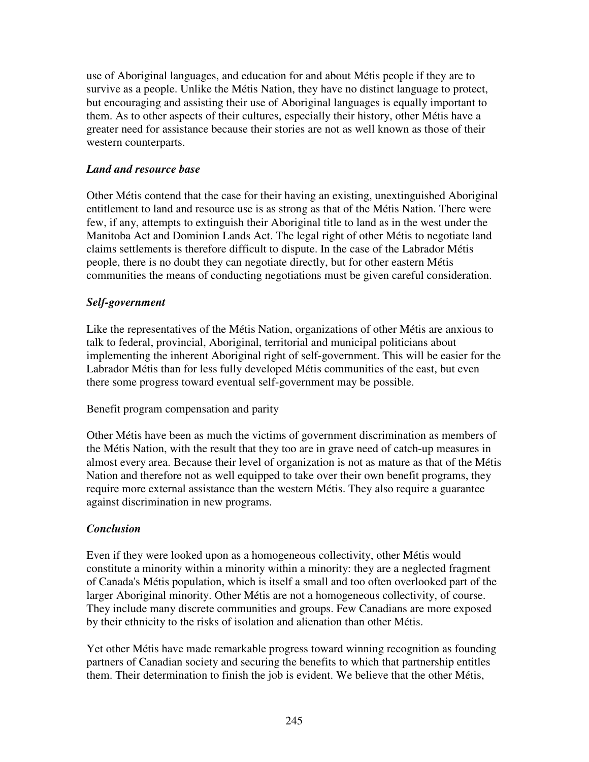use of Aboriginal languages, and education for and about Métis people if they are to survive as a people. Unlike the Métis Nation, they have no distinct language to protect, but encouraging and assisting their use of Aboriginal languages is equally important to them. As to other aspects of their cultures, especially their history, other Métis have a greater need for assistance because their stories are not as well known as those of their western counterparts.

#### *Land and resource base*

Other Métis contend that the case for their having an existing, unextinguished Aboriginal entitlement to land and resource use is as strong as that of the Métis Nation. There were few, if any, attempts to extinguish their Aboriginal title to land as in the west under the Manitoba Act and Dominion Lands Act. The legal right of other Métis to negotiate land claims settlements is therefore difficult to dispute. In the case of the Labrador Métis people, there is no doubt they can negotiate directly, but for other eastern Métis communities the means of conducting negotiations must be given careful consideration.

#### *Self-government*

Like the representatives of the Métis Nation, organizations of other Métis are anxious to talk to federal, provincial, Aboriginal, territorial and municipal politicians about implementing the inherent Aboriginal right of self-government. This will be easier for the Labrador Métis than for less fully developed Métis communities of the east, but even there some progress toward eventual self-government may be possible.

Benefit program compensation and parity

Other Métis have been as much the victims of government discrimination as members of the Métis Nation, with the result that they too are in grave need of catch-up measures in almost every area. Because their level of organization is not as mature as that of the Métis Nation and therefore not as well equipped to take over their own benefit programs, they require more external assistance than the western Métis. They also require a guarantee against discrimination in new programs.

#### *Conclusion*

Even if they were looked upon as a homogeneous collectivity, other Métis would constitute a minority within a minority within a minority: they are a neglected fragment of Canada's Métis population, which is itself a small and too often overlooked part of the larger Aboriginal minority. Other Métis are not a homogeneous collectivity, of course. They include many discrete communities and groups. Few Canadians are more exposed by their ethnicity to the risks of isolation and alienation than other Métis.

Yet other Métis have made remarkable progress toward winning recognition as founding partners of Canadian society and securing the benefits to which that partnership entitles them. Their determination to finish the job is evident. We believe that the other Métis,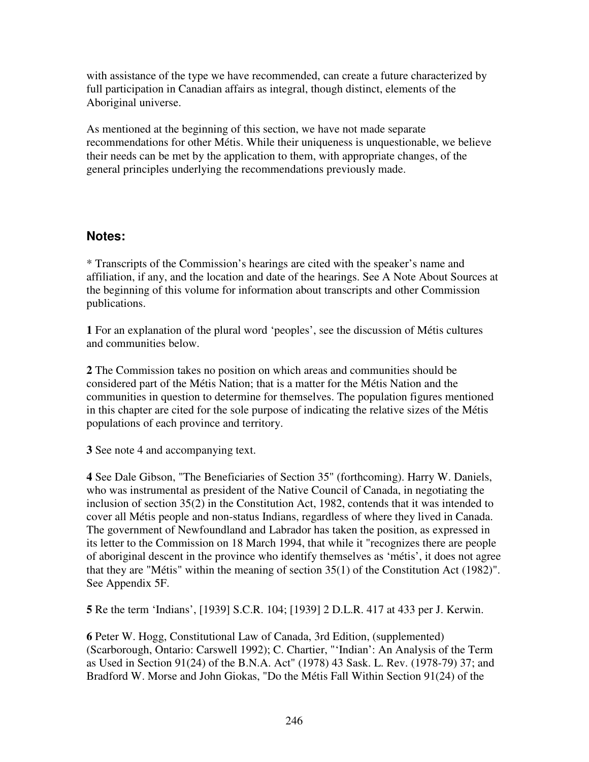with assistance of the type we have recommended, can create a future characterized by full participation in Canadian affairs as integral, though distinct, elements of the Aboriginal universe.

As mentioned at the beginning of this section, we have not made separate recommendations for other Métis. While their uniqueness is unquestionable, we believe their needs can be met by the application to them, with appropriate changes, of the general principles underlying the recommendations previously made.

# **Notes:**

\* Transcripts of the Commission's hearings are cited with the speaker's name and affiliation, if any, and the location and date of the hearings. See A Note About Sources at the beginning of this volume for information about transcripts and other Commission publications.

**1** For an explanation of the plural word 'peoples', see the discussion of Métis cultures and communities below.

**2** The Commission takes no position on which areas and communities should be considered part of the Métis Nation; that is a matter for the Métis Nation and the communities in question to determine for themselves. The population figures mentioned in this chapter are cited for the sole purpose of indicating the relative sizes of the Métis populations of each province and territory.

**3** See note 4 and accompanying text.

**4** See Dale Gibson, "The Beneficiaries of Section 35" (forthcoming). Harry W. Daniels, who was instrumental as president of the Native Council of Canada, in negotiating the inclusion of section 35(2) in the Constitution Act, 1982, contends that it was intended to cover all Métis people and non-status Indians, regardless of where they lived in Canada. The government of Newfoundland and Labrador has taken the position, as expressed in its letter to the Commission on 18 March 1994, that while it "recognizes there are people of aboriginal descent in the province who identify themselves as 'métis', it does not agree that they are "Métis" within the meaning of section 35(1) of the Constitution Act (1982)". See Appendix 5F.

**5** Re the term 'Indians', [1939] S.C.R. 104; [1939] 2 D.L.R. 417 at 433 per J. Kerwin.

**6** Peter W. Hogg, Constitutional Law of Canada, 3rd Edition, (supplemented) (Scarborough, Ontario: Carswell 1992); C. Chartier, "'Indian': An Analysis of the Term as Used in Section 91(24) of the B.N.A. Act" (1978) 43 Sask. L. Rev. (1978-79) 37; and Bradford W. Morse and John Giokas, "Do the Métis Fall Within Section 91(24) of the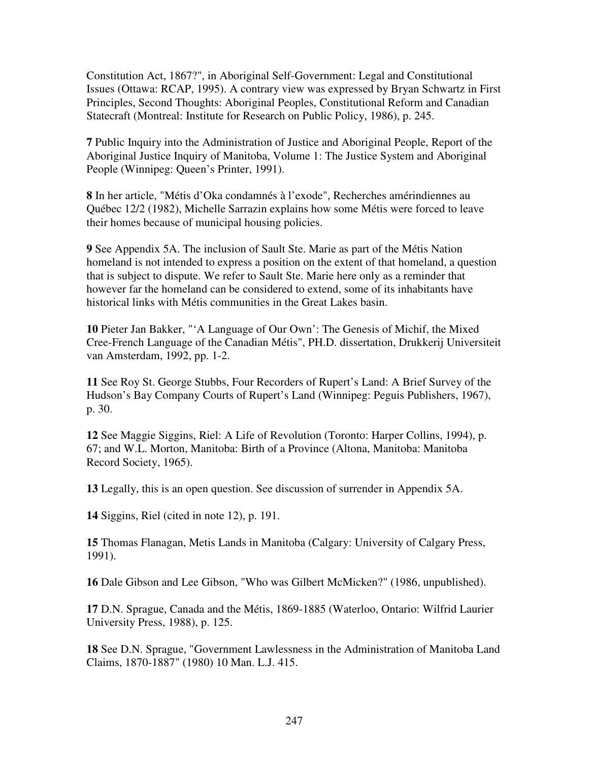Constitution Act, 1867?", in Aboriginal Self-Government: Legal and Constitutional Issues (Ottawa: RCAP, 1995). A contrary view was expressed by Bryan Schwartz in First Principles, Second Thoughts: Aboriginal Peoples, Constitutional Reform and Canadian Statecraft (Montreal: Institute for Research on Public Policy, 1986), p. 245.

**7** Public Inquiry into the Administration of Justice and Aboriginal People, Report of the Aboriginal Justice Inquiry of Manitoba, Volume 1: The Justice System and Aboriginal People (Winnipeg: Queen's Printer, 1991).

**8** In her article, "Métis d'Oka condamnés à l'exode", Recherches amérindiennes au Québec 12/2 (1982), Michelle Sarrazin explains how some Métis were forced to leave their homes because of municipal housing policies.

**9** See Appendix 5A. The inclusion of Sault Ste. Marie as part of the Métis Nation homeland is not intended to express a position on the extent of that homeland, a question that is subject to dispute. We refer to Sault Ste. Marie here only as a reminder that however far the homeland can be considered to extend, some of its inhabitants have historical links with Métis communities in the Great Lakes basin.

**10** Pieter Jan Bakker, "'A Language of Our Own': The Genesis of Michif, the Mixed Cree-French Language of the Canadian Métis", PH.D. dissertation, Drukkerij Universiteit van Amsterdam, 1992, pp. 1-2.

**11** See Roy St. George Stubbs, Four Recorders of Rupert's Land: A Brief Survey of the Hudson's Bay Company Courts of Rupert's Land (Winnipeg: Peguis Publishers, 1967), p. 30.

**12** See Maggie Siggins, Riel: A Life of Revolution (Toronto: Harper Collins, 1994), p. 67; and W.L. Morton, Manitoba: Birth of a Province (Altona, Manitoba: Manitoba Record Society, 1965).

**13** Legally, this is an open question. See discussion of surrender in Appendix 5A.

**14** Siggins, Riel (cited in note 12), p. 191.

**15** Thomas Flanagan, Metis Lands in Manitoba (Calgary: University of Calgary Press, 1991).

**16** Dale Gibson and Lee Gibson, "Who was Gilbert McMicken?" (1986, unpublished).

**17** D.N. Sprague, Canada and the Métis, 1869-1885 (Waterloo, Ontario: Wilfrid Laurier University Press, 1988), p. 125.

**18** See D.N. Sprague, "Government Lawlessness in the Administration of Manitoba Land Claims, 1870-1887" (1980) 10 Man. L.J. 415.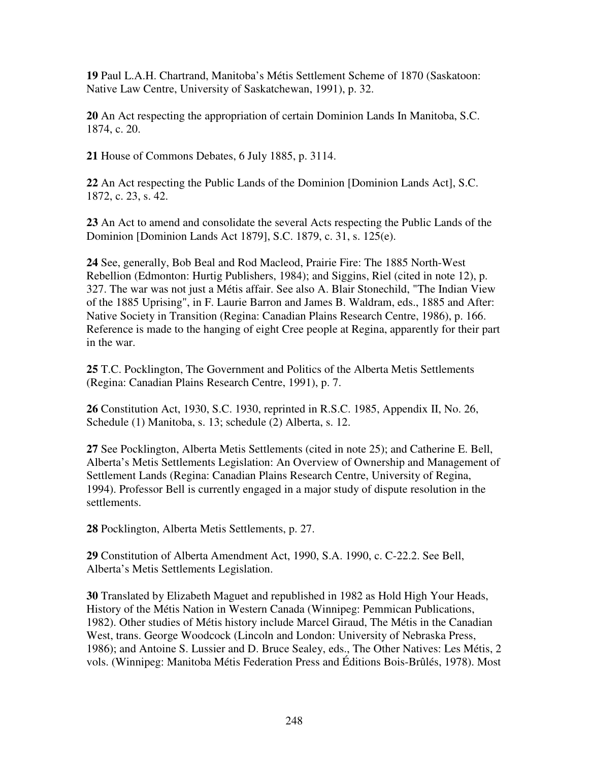**19** Paul L.A.H. Chartrand, Manitoba's Métis Settlement Scheme of 1870 (Saskatoon: Native Law Centre, University of Saskatchewan, 1991), p. 32.

**20** An Act respecting the appropriation of certain Dominion Lands In Manitoba, S.C. 1874, c. 20.

**21** House of Commons Debates, 6 July 1885, p. 3114.

**22** An Act respecting the Public Lands of the Dominion [Dominion Lands Act], S.C. 1872, c. 23, s. 42.

**23** An Act to amend and consolidate the several Acts respecting the Public Lands of the Dominion [Dominion Lands Act 1879], S.C. 1879, c. 31, s. 125(e).

**24** See, generally, Bob Beal and Rod Macleod, Prairie Fire: The 1885 North-West Rebellion (Edmonton: Hurtig Publishers, 1984); and Siggins, Riel (cited in note 12), p. 327. The war was not just a Métis affair. See also A. Blair Stonechild, "The Indian View of the 1885 Uprising", in F. Laurie Barron and James B. Waldram, eds., 1885 and After: Native Society in Transition (Regina: Canadian Plains Research Centre, 1986), p. 166. Reference is made to the hanging of eight Cree people at Regina, apparently for their part in the war.

**25** T.C. Pocklington, The Government and Politics of the Alberta Metis Settlements (Regina: Canadian Plains Research Centre, 1991), p. 7.

**26** Constitution Act, 1930, S.C. 1930, reprinted in R.S.C. 1985, Appendix II, No. 26, Schedule (1) Manitoba, s. 13; schedule (2) Alberta, s. 12.

**27** See Pocklington, Alberta Metis Settlements (cited in note 25); and Catherine E. Bell, Alberta's Metis Settlements Legislation: An Overview of Ownership and Management of Settlement Lands (Regina: Canadian Plains Research Centre, University of Regina, 1994). Professor Bell is currently engaged in a major study of dispute resolution in the settlements.

**28** Pocklington, Alberta Metis Settlements, p. 27.

**29** Constitution of Alberta Amendment Act, 1990, S.A. 1990, c. C-22.2. See Bell, Alberta's Metis Settlements Legislation.

**30** Translated by Elizabeth Maguet and republished in 1982 as Hold High Your Heads, History of the Métis Nation in Western Canada (Winnipeg: Pemmican Publications, 1982). Other studies of Métis history include Marcel Giraud, The Métis in the Canadian West, trans. George Woodcock (Lincoln and London: University of Nebraska Press, 1986); and Antoine S. Lussier and D. Bruce Sealey, eds., The Other Natives: Les Métis, 2 vols. (Winnipeg: Manitoba Métis Federation Press and Éditions Bois-Brûlés, 1978). Most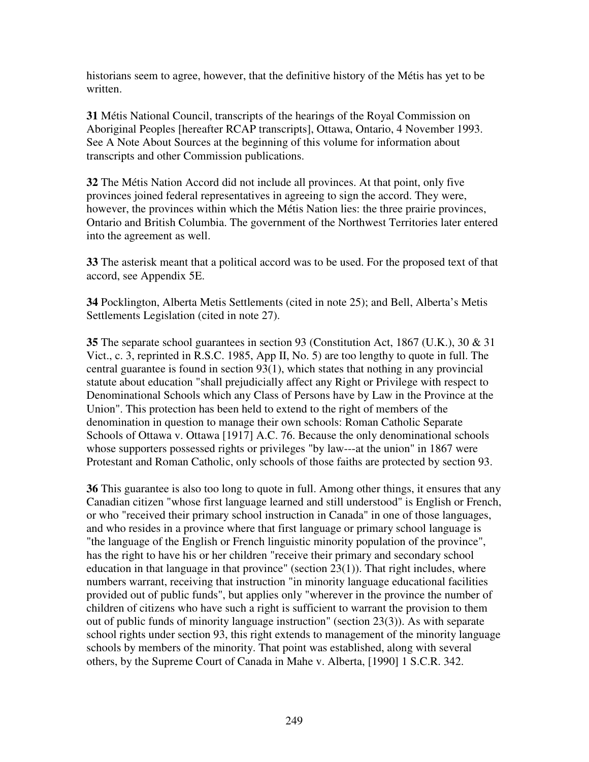historians seem to agree, however, that the definitive history of the Métis has yet to be written.

**31** Métis National Council, transcripts of the hearings of the Royal Commission on Aboriginal Peoples [hereafter RCAP transcripts], Ottawa, Ontario, 4 November 1993. See A Note About Sources at the beginning of this volume for information about transcripts and other Commission publications.

**32** The Métis Nation Accord did not include all provinces. At that point, only five provinces joined federal representatives in agreeing to sign the accord. They were, however, the provinces within which the Métis Nation lies: the three prairie provinces, Ontario and British Columbia. The government of the Northwest Territories later entered into the agreement as well.

**33** The asterisk meant that a political accord was to be used. For the proposed text of that accord, see Appendix 5E.

**34** Pocklington, Alberta Metis Settlements (cited in note 25); and Bell, Alberta's Metis Settlements Legislation (cited in note 27).

**35** The separate school guarantees in section 93 (Constitution Act, 1867 (U.K.), 30 & 31 Vict., c. 3, reprinted in R.S.C. 1985, App II, No. 5) are too lengthy to quote in full. The central guarantee is found in section 93(1), which states that nothing in any provincial statute about education "shall prejudicially affect any Right or Privilege with respect to Denominational Schools which any Class of Persons have by Law in the Province at the Union". This protection has been held to extend to the right of members of the denomination in question to manage their own schools: Roman Catholic Separate Schools of Ottawa v. Ottawa [1917] A.C. 76. Because the only denominational schools whose supporters possessed rights or privileges "by law---at the union" in 1867 were Protestant and Roman Catholic, only schools of those faiths are protected by section 93.

**36** This guarantee is also too long to quote in full. Among other things, it ensures that any Canadian citizen "whose first language learned and still understood" is English or French, or who "received their primary school instruction in Canada" in one of those languages, and who resides in a province where that first language or primary school language is "the language of the English or French linguistic minority population of the province", has the right to have his or her children "receive their primary and secondary school education in that language in that province" (section  $23(1)$ ). That right includes, where numbers warrant, receiving that instruction "in minority language educational facilities provided out of public funds", but applies only "wherever in the province the number of children of citizens who have such a right is sufficient to warrant the provision to them out of public funds of minority language instruction" (section 23(3)). As with separate school rights under section 93, this right extends to management of the minority language schools by members of the minority. That point was established, along with several others, by the Supreme Court of Canada in Mahe v. Alberta, [1990] 1 S.C.R. 342.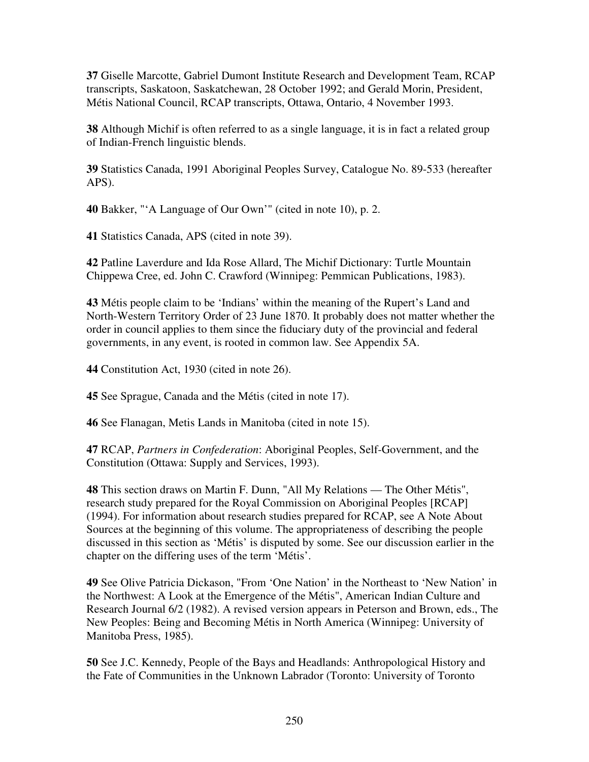**37** Giselle Marcotte, Gabriel Dumont Institute Research and Development Team, RCAP transcripts, Saskatoon, Saskatchewan, 28 October 1992; and Gerald Morin, President, Métis National Council, RCAP transcripts, Ottawa, Ontario, 4 November 1993.

**38** Although Michif is often referred to as a single language, it is in fact a related group of Indian-French linguistic blends.

**39** Statistics Canada, 1991 Aboriginal Peoples Survey, Catalogue No. 89-533 (hereafter APS).

**40** Bakker, "'A Language of Our Own'" (cited in note 10), p. 2.

**41** Statistics Canada, APS (cited in note 39).

**42** Patline Laverdure and Ida Rose Allard, The Michif Dictionary: Turtle Mountain Chippewa Cree, ed. John C. Crawford (Winnipeg: Pemmican Publications, 1983).

**43** Métis people claim to be 'Indians' within the meaning of the Rupert's Land and North-Western Territory Order of 23 June 1870. It probably does not matter whether the order in council applies to them since the fiduciary duty of the provincial and federal governments, in any event, is rooted in common law. See Appendix 5A.

**44** Constitution Act, 1930 (cited in note 26).

**45** See Sprague, Canada and the Métis (cited in note 17).

**46** See Flanagan, Metis Lands in Manitoba (cited in note 15).

**47** RCAP, *Partners in Confederation*: Aboriginal Peoples, Self-Government, and the Constitution (Ottawa: Supply and Services, 1993).

**48** This section draws on Martin F. Dunn, "All My Relations — The Other Métis", research study prepared for the Royal Commission on Aboriginal Peoples [RCAP] (1994). For information about research studies prepared for RCAP, see A Note About Sources at the beginning of this volume. The appropriateness of describing the people discussed in this section as 'Métis' is disputed by some. See our discussion earlier in the chapter on the differing uses of the term 'Métis'.

**49** See Olive Patricia Dickason, "From 'One Nation' in the Northeast to 'New Nation' in the Northwest: A Look at the Emergence of the Métis", American Indian Culture and Research Journal 6/2 (1982). A revised version appears in Peterson and Brown, eds., The New Peoples: Being and Becoming Métis in North America (Winnipeg: University of Manitoba Press, 1985).

**50** See J.C. Kennedy, People of the Bays and Headlands: Anthropological History and the Fate of Communities in the Unknown Labrador (Toronto: University of Toronto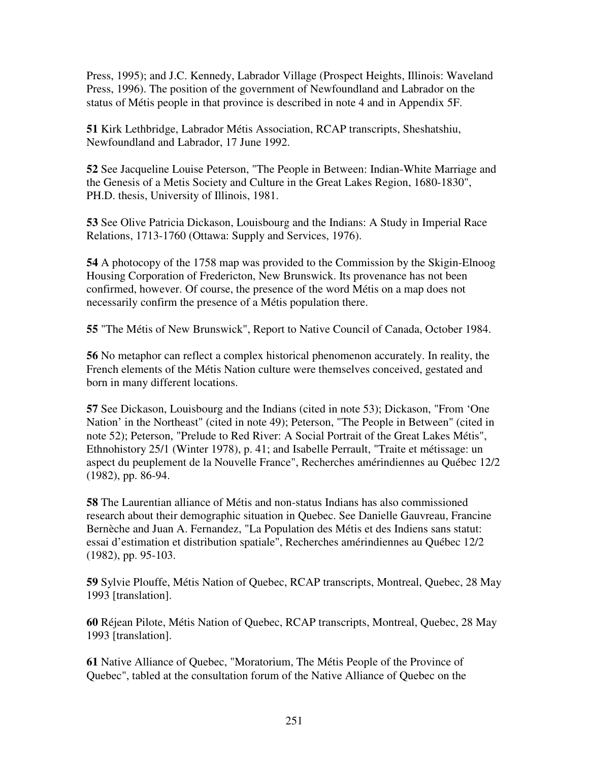Press, 1995); and J.C. Kennedy, Labrador Village (Prospect Heights, Illinois: Waveland Press, 1996). The position of the government of Newfoundland and Labrador on the status of Métis people in that province is described in note 4 and in Appendix 5F.

**51** Kirk Lethbridge, Labrador Métis Association, RCAP transcripts, Sheshatshiu, Newfoundland and Labrador, 17 June 1992.

**52** See Jacqueline Louise Peterson, "The People in Between: Indian-White Marriage and the Genesis of a Metis Society and Culture in the Great Lakes Region, 1680-1830", PH.D. thesis, University of Illinois, 1981.

**53** See Olive Patricia Dickason, Louisbourg and the Indians: A Study in Imperial Race Relations, 1713-1760 (Ottawa: Supply and Services, 1976).

**54** A photocopy of the 1758 map was provided to the Commission by the Skigin-Elnoog Housing Corporation of Fredericton, New Brunswick. Its provenance has not been confirmed, however. Of course, the presence of the word Métis on a map does not necessarily confirm the presence of a Métis population there.

**55** "The Métis of New Brunswick", Report to Native Council of Canada, October 1984.

**56** No metaphor can reflect a complex historical phenomenon accurately. In reality, the French elements of the Métis Nation culture were themselves conceived, gestated and born in many different locations.

**57** See Dickason, Louisbourg and the Indians (cited in note 53); Dickason, "From 'One Nation' in the Northeast" (cited in note 49); Peterson, "The People in Between" (cited in note 52); Peterson, "Prelude to Red River: A Social Portrait of the Great Lakes Métis", Ethnohistory 25/1 (Winter 1978), p. 41; and Isabelle Perrault, "Traite et métissage: un aspect du peuplement de la Nouvelle France", Recherches amérindiennes au Québec 12/2 (1982), pp. 86-94.

**58** The Laurentian alliance of Métis and non-status Indians has also commissioned research about their demographic situation in Quebec. See Danielle Gauvreau, Francine Bernèche and Juan A. Fernandez, "La Population des Métis et des Indiens sans statut: essai d'estimation et distribution spatiale", Recherches amérindiennes au Québec 12/2 (1982), pp. 95-103.

**59** Sylvie Plouffe, Métis Nation of Quebec, RCAP transcripts, Montreal, Quebec, 28 May 1993 [translation].

**60** Réjean Pilote, Métis Nation of Quebec, RCAP transcripts, Montreal, Quebec, 28 May 1993 [translation].

**61** Native Alliance of Quebec, "Moratorium, The Métis People of the Province of Quebec", tabled at the consultation forum of the Native Alliance of Quebec on the